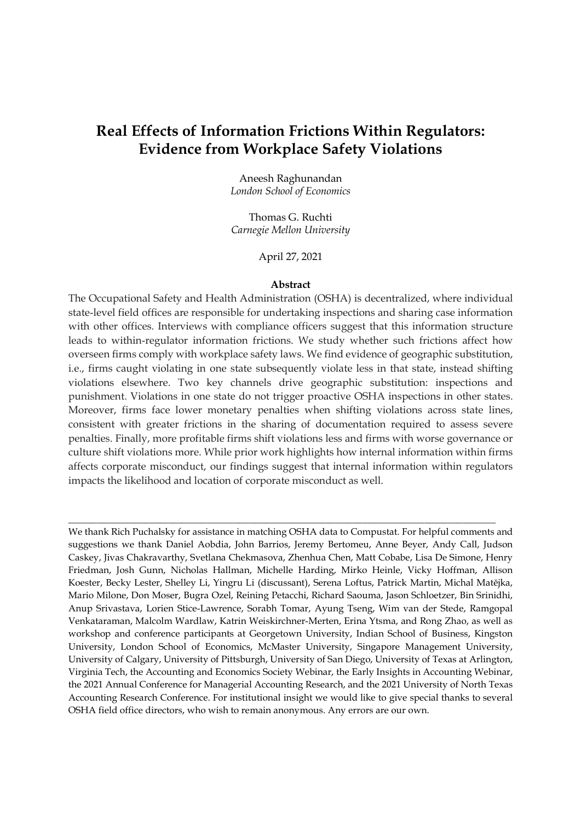# Real Effects of Information Frictions Within Regulators: Evidence from Workplace Safety Violations

Aneesh Raghunandan London School of Economics

Thomas G. Ruchti Carnegie Mellon University

April 27, 2021

## Abstract

The Occupational Safety and Health Administration (OSHA) is decentralized, where individual state-level field offices are responsible for undertaking inspections and sharing case information with other offices. Interviews with compliance officers suggest that this information structure leads to within-regulator information frictions. We study whether such frictions affect how overseen firms comply with workplace safety laws. We find evidence of geographic substitution, i.e., firms caught violating in one state subsequently violate less in that state, instead shifting violations elsewhere. Two key channels drive geographic substitution: inspections and punishment. Violations in one state do not trigger proactive OSHA inspections in other states. Moreover, firms face lower monetary penalties when shifting violations across state lines, consistent with greater frictions in the sharing of documentation required to assess severe penalties. Finally, more profitable firms shift violations less and firms with worse governance or culture shift violations more. While prior work highlights how internal information within firms affects corporate misconduct, our findings suggest that internal information within regulators impacts the likelihood and location of corporate misconduct as well.

We thank Rich Puchalsky for assistance in matching OSHA data to Compustat. For helpful comments and suggestions we thank Daniel Aobdia, John Barrios, Jeremy Bertomeu, Anne Beyer, Andy Call, Judson Caskey, Jivas Chakravarthy, Svetlana Chekmasova, Zhenhua Chen, Matt Cobabe, Lisa De Simone, Henry Friedman, Josh Gunn, Nicholas Hallman, Michelle Harding, Mirko Heinle, Vicky Hoffman, Allison Koester, Becky Lester, Shelley Li, Yingru Li (discussant), Serena Loftus, Patrick Martin, Michal Matějka, Mario Milone, Don Moser, Bugra Ozel, Reining Petacchi, Richard Saouma, Jason Schloetzer, Bin Srinidhi, Anup Srivastava, Lorien Stice-Lawrence, Sorabh Tomar, Ayung Tseng, Wim van der Stede, Ramgopal Venkataraman, Malcolm Wardlaw, Katrin Weiskirchner-Merten, Erina Ytsma, and Rong Zhao, as well as workshop and conference participants at Georgetown University, Indian School of Business, Kingston University, London School of Economics, McMaster University, Singapore Management University, University of Calgary, University of Pittsburgh, University of San Diego, University of Texas at Arlington, Virginia Tech, the Accounting and Economics Society Webinar, the Early Insights in Accounting Webinar, the 2021 Annual Conference for Managerial Accounting Research, and the 2021 University of North Texas Accounting Research Conference. For institutional insight we would like to give special thanks to several OSHA field office directors, who wish to remain anonymous. Any errors are our own.

\_\_\_\_\_\_\_\_\_\_\_\_\_\_\_\_\_\_\_\_\_\_\_\_\_\_\_\_\_\_\_\_\_\_\_\_\_\_\_\_\_\_\_\_\_\_\_\_\_\_\_\_\_\_\_\_\_\_\_\_\_\_\_\_\_\_\_\_\_\_\_\_\_\_\_\_\_\_\_\_\_\_\_\_\_\_\_\_\_\_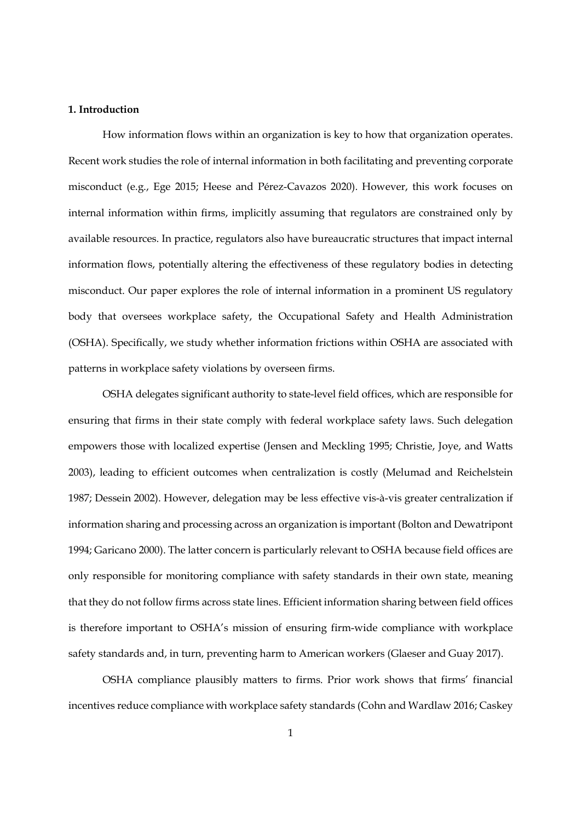## 1. Introduction

How information flows within an organization is key to how that organization operates. Recent work studies the role of internal information in both facilitating and preventing corporate misconduct (e.g., Ege 2015; Heese and Pérez-Cavazos 2020). However, this work focuses on internal information within firms, implicitly assuming that regulators are constrained only by available resources. In practice, regulators also have bureaucratic structures that impact internal information flows, potentially altering the effectiveness of these regulatory bodies in detecting misconduct. Our paper explores the role of internal information in a prominent US regulatory body that oversees workplace safety, the Occupational Safety and Health Administration (OSHA). Specifically, we study whether information frictions within OSHA are associated with patterns in workplace safety violations by overseen firms.

OSHA delegates significant authority to state-level field offices, which are responsible for ensuring that firms in their state comply with federal workplace safety laws. Such delegation empowers those with localized expertise (Jensen and Meckling 1995; Christie, Joye, and Watts 2003), leading to efficient outcomes when centralization is costly (Melumad and Reichelstein 1987; Dessein 2002). However, delegation may be less effective vis-à-vis greater centralization if information sharing and processing across an organization is important (Bolton and Dewatripont 1994; Garicano 2000). The latter concern is particularly relevant to OSHA because field offices are only responsible for monitoring compliance with safety standards in their own state, meaning that they do not follow firms across state lines. Efficient information sharing between field offices is therefore important to OSHA's mission of ensuring firm-wide compliance with workplace safety standards and, in turn, preventing harm to American workers (Glaeser and Guay 2017).

OSHA compliance plausibly matters to firms. Prior work shows that firms' financial incentives reduce compliance with workplace safety standards (Cohn and Wardlaw 2016; Caskey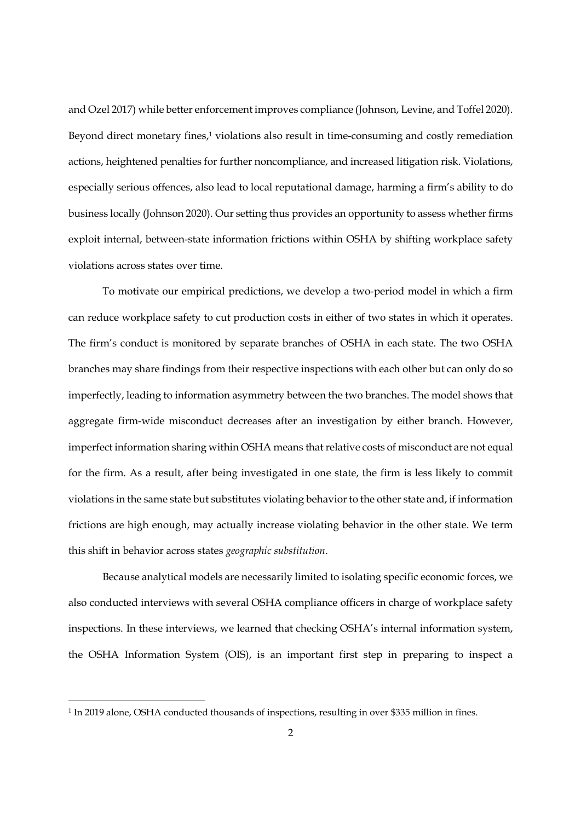and Ozel 2017) while better enforcement improves compliance (Johnson, Levine, and Toffel 2020). Beyond direct monetary fines,<sup>1</sup> violations also result in time-consuming and costly remediation actions, heightened penalties for further noncompliance, and increased litigation risk. Violations, especially serious offences, also lead to local reputational damage, harming a firm's ability to do business locally (Johnson 2020). Our setting thus provides an opportunity to assess whether firms exploit internal, between-state information frictions within OSHA by shifting workplace safety violations across states over time.

 To motivate our empirical predictions, we develop a two-period model in which a firm can reduce workplace safety to cut production costs in either of two states in which it operates. The firm's conduct is monitored by separate branches of OSHA in each state. The two OSHA branches may share findings from their respective inspections with each other but can only do so imperfectly, leading to information asymmetry between the two branches. The model shows that aggregate firm-wide misconduct decreases after an investigation by either branch. However, imperfect information sharing within OSHA means that relative costs of misconduct are not equal for the firm. As a result, after being investigated in one state, the firm is less likely to commit violations in the same state but substitutes violating behavior to the other state and, if information frictions are high enough, may actually increase violating behavior in the other state. We term this shift in behavior across states geographic substitution.

Because analytical models are necessarily limited to isolating specific economic forces, we also conducted interviews with several OSHA compliance officers in charge of workplace safety inspections. In these interviews, we learned that checking OSHA's internal information system, the OSHA Information System (OIS), is an important first step in preparing to inspect a

<sup>&</sup>lt;sup>1</sup> In 2019 alone, OSHA conducted thousands of inspections, resulting in over \$335 million in fines.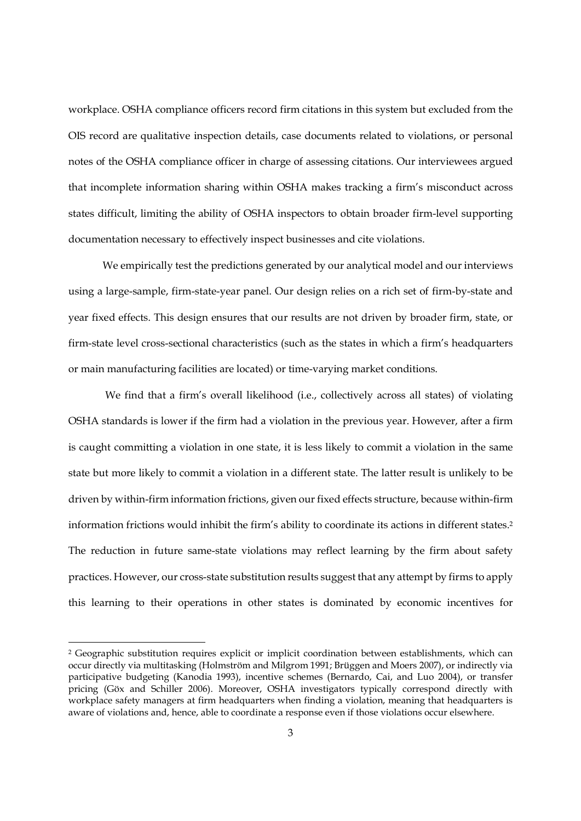workplace. OSHA compliance officers record firm citations in this system but excluded from the OIS record are qualitative inspection details, case documents related to violations, or personal notes of the OSHA compliance officer in charge of assessing citations. Our interviewees argued that incomplete information sharing within OSHA makes tracking a firm's misconduct across states difficult, limiting the ability of OSHA inspectors to obtain broader firm-level supporting documentation necessary to effectively inspect businesses and cite violations.

We empirically test the predictions generated by our analytical model and our interviews using a large-sample, firm-state-year panel. Our design relies on a rich set of firm-by-state and year fixed effects. This design ensures that our results are not driven by broader firm, state, or firm-state level cross-sectional characteristics (such as the states in which a firm's headquarters or main manufacturing facilities are located) or time-varying market conditions.

We find that a firm's overall likelihood (i.e., collectively across all states) of violating OSHA standards is lower if the firm had a violation in the previous year. However, after a firm is caught committing a violation in one state, it is less likely to commit a violation in the same state but more likely to commit a violation in a different state. The latter result is unlikely to be driven by within-firm information frictions, given our fixed effects structure, because within-firm information frictions would inhibit the firm's ability to coordinate its actions in different states.<sup>2</sup> The reduction in future same-state violations may reflect learning by the firm about safety practices. However, our cross-state substitution results suggest that any attempt by firms to apply this learning to their operations in other states is dominated by economic incentives for

<sup>2</sup> Geographic substitution requires explicit or implicit coordination between establishments, which can occur directly via multitasking (Holmström and Milgrom 1991; Brüggen and Moers 2007), or indirectly via participative budgeting (Kanodia 1993), incentive schemes (Bernardo, Cai, and Luo 2004), or transfer pricing (Göx and Schiller 2006). Moreover, OSHA investigators typically correspond directly with workplace safety managers at firm headquarters when finding a violation, meaning that headquarters is aware of violations and, hence, able to coordinate a response even if those violations occur elsewhere.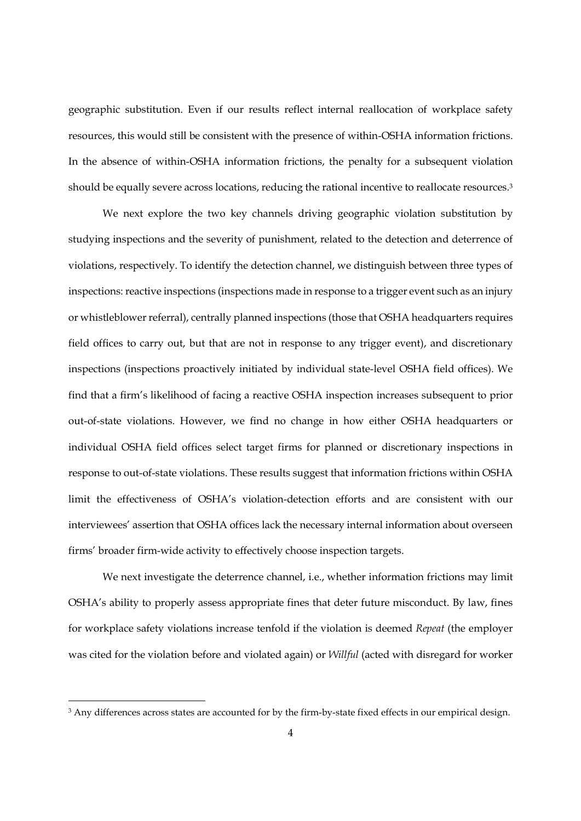geographic substitution. Even if our results reflect internal reallocation of workplace safety resources, this would still be consistent with the presence of within-OSHA information frictions. In the absence of within-OSHA information frictions, the penalty for a subsequent violation should be equally severe across locations, reducing the rational incentive to reallocate resources.<sup>3</sup>

We next explore the two key channels driving geographic violation substitution by studying inspections and the severity of punishment, related to the detection and deterrence of violations, respectively. To identify the detection channel, we distinguish between three types of inspections: reactive inspections (inspections made in response to a trigger event such as an injury or whistleblower referral), centrally planned inspections (those that OSHA headquarters requires field offices to carry out, but that are not in response to any trigger event), and discretionary inspections (inspections proactively initiated by individual state-level OSHA field offices). We find that a firm's likelihood of facing a reactive OSHA inspection increases subsequent to prior out-of-state violations. However, we find no change in how either OSHA headquarters or individual OSHA field offices select target firms for planned or discretionary inspections in response to out-of-state violations. These results suggest that information frictions within OSHA limit the effectiveness of OSHA's violation-detection efforts and are consistent with our interviewees' assertion that OSHA offices lack the necessary internal information about overseen firms' broader firm-wide activity to effectively choose inspection targets.

We next investigate the deterrence channel, i.e., whether information frictions may limit OSHA's ability to properly assess appropriate fines that deter future misconduct. By law, fines for workplace safety violations increase tenfold if the violation is deemed Repeat (the employer was cited for the violation before and violated again) or Willful (acted with disregard for worker

<sup>&</sup>lt;sup>3</sup> Any differences across states are accounted for by the firm-by-state fixed effects in our empirical design.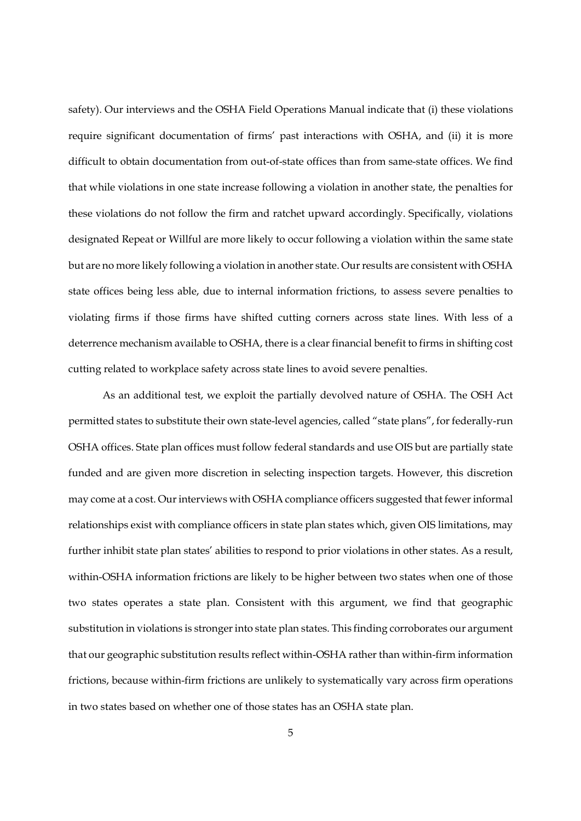safety). Our interviews and the OSHA Field Operations Manual indicate that (i) these violations require significant documentation of firms' past interactions with OSHA, and (ii) it is more difficult to obtain documentation from out-of-state offices than from same-state offices. We find that while violations in one state increase following a violation in another state, the penalties for these violations do not follow the firm and ratchet upward accordingly. Specifically, violations designated Repeat or Willful are more likely to occur following a violation within the same state but are no more likely following a violation in another state. Our results are consistent with OSHA state offices being less able, due to internal information frictions, to assess severe penalties to violating firms if those firms have shifted cutting corners across state lines. With less of a deterrence mechanism available to OSHA, there is a clear financial benefit to firms in shifting cost cutting related to workplace safety across state lines to avoid severe penalties.

As an additional test, we exploit the partially devolved nature of OSHA. The OSH Act permitted states to substitute their own state-level agencies, called "state plans", for federally-run OSHA offices. State plan offices must follow federal standards and use OIS but are partially state funded and are given more discretion in selecting inspection targets. However, this discretion may come at a cost. Our interviews with OSHA compliance officers suggested that fewer informal relationships exist with compliance officers in state plan states which, given OIS limitations, may further inhibit state plan states' abilities to respond to prior violations in other states. As a result, within-OSHA information frictions are likely to be higher between two states when one of those two states operates a state plan. Consistent with this argument, we find that geographic substitution in violations is stronger into state plan states. This finding corroborates our argument that our geographic substitution results reflect within-OSHA rather than within-firm information frictions, because within-firm frictions are unlikely to systematically vary across firm operations in two states based on whether one of those states has an OSHA state plan.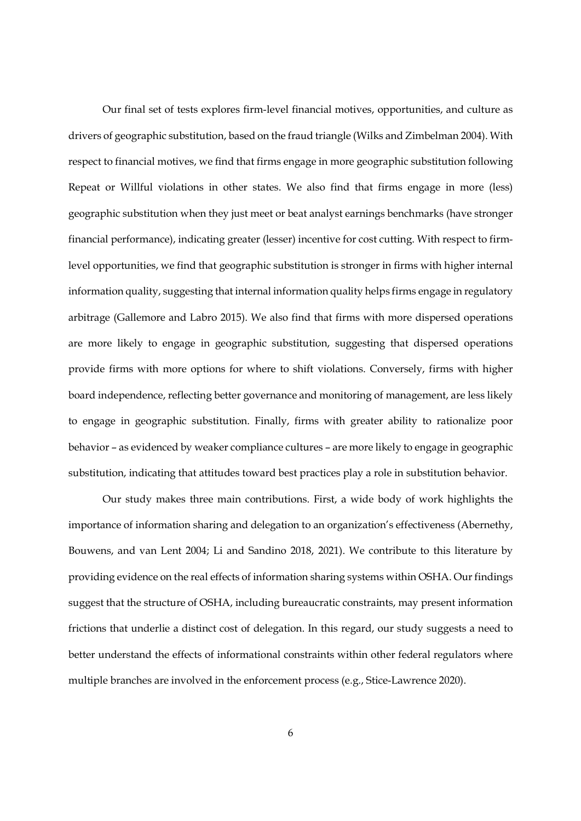Our final set of tests explores firm-level financial motives, opportunities, and culture as drivers of geographic substitution, based on the fraud triangle (Wilks and Zimbelman 2004). With respect to financial motives, we find that firms engage in more geographic substitution following Repeat or Willful violations in other states. We also find that firms engage in more (less) geographic substitution when they just meet or beat analyst earnings benchmarks (have stronger financial performance), indicating greater (lesser) incentive for cost cutting. With respect to firmlevel opportunities, we find that geographic substitution is stronger in firms with higher internal information quality, suggesting that internal information quality helps firms engage in regulatory arbitrage (Gallemore and Labro 2015). We also find that firms with more dispersed operations are more likely to engage in geographic substitution, suggesting that dispersed operations provide firms with more options for where to shift violations. Conversely, firms with higher board independence, reflecting better governance and monitoring of management, are less likely to engage in geographic substitution. Finally, firms with greater ability to rationalize poor behavior – as evidenced by weaker compliance cultures – are more likely to engage in geographic substitution, indicating that attitudes toward best practices play a role in substitution behavior.

Our study makes three main contributions. First, a wide body of work highlights the importance of information sharing and delegation to an organization's effectiveness (Abernethy, Bouwens, and van Lent 2004; Li and Sandino 2018, 2021). We contribute to this literature by providing evidence on the real effects of information sharing systems within OSHA. Our findings suggest that the structure of OSHA, including bureaucratic constraints, may present information frictions that underlie a distinct cost of delegation. In this regard, our study suggests a need to better understand the effects of informational constraints within other federal regulators where multiple branches are involved in the enforcement process (e.g., Stice-Lawrence 2020).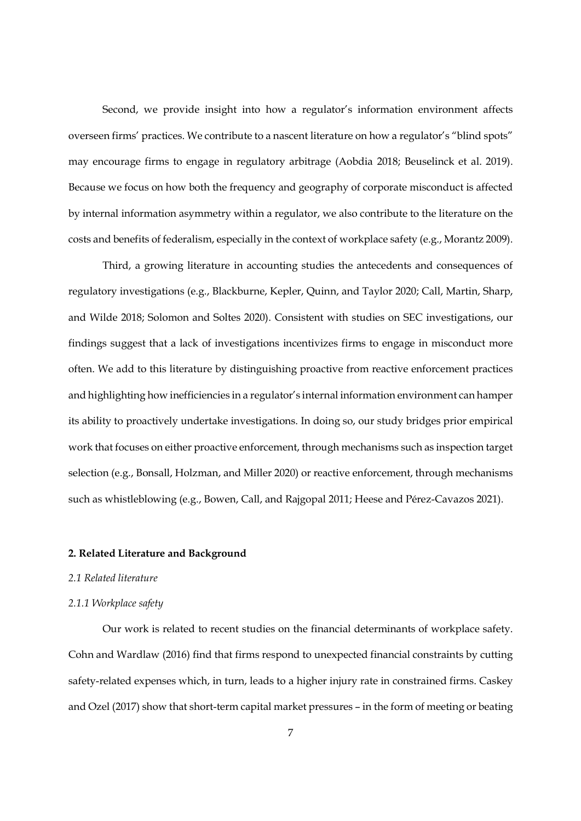Second, we provide insight into how a regulator's information environment affects overseen firms' practices. We contribute to a nascent literature on how a regulator's "blind spots" may encourage firms to engage in regulatory arbitrage (Aobdia 2018; Beuselinck et al. 2019). Because we focus on how both the frequency and geography of corporate misconduct is affected by internal information asymmetry within a regulator, we also contribute to the literature on the costs and benefits of federalism, especially in the context of workplace safety (e.g., Morantz 2009).

Third, a growing literature in accounting studies the antecedents and consequences of regulatory investigations (e.g., Blackburne, Kepler, Quinn, and Taylor 2020; Call, Martin, Sharp, and Wilde 2018; Solomon and Soltes 2020). Consistent with studies on SEC investigations, our findings suggest that a lack of investigations incentivizes firms to engage in misconduct more often. We add to this literature by distinguishing proactive from reactive enforcement practices and highlighting how inefficiencies in a regulator's internal information environment can hamper its ability to proactively undertake investigations. In doing so, our study bridges prior empirical work that focuses on either proactive enforcement, through mechanisms such as inspection target selection (e.g., Bonsall, Holzman, and Miller 2020) or reactive enforcement, through mechanisms such as whistleblowing (e.g., Bowen, Call, and Rajgopal 2011; Heese and Pérez-Cavazos 2021).

## 2. Related Literature and Background

## 2.1 Related literature

## 2.1.1 Workplace safety

Our work is related to recent studies on the financial determinants of workplace safety. Cohn and Wardlaw (2016) find that firms respond to unexpected financial constraints by cutting safety-related expenses which, in turn, leads to a higher injury rate in constrained firms. Caskey and Ozel (2017) show that short-term capital market pressures – in the form of meeting or beating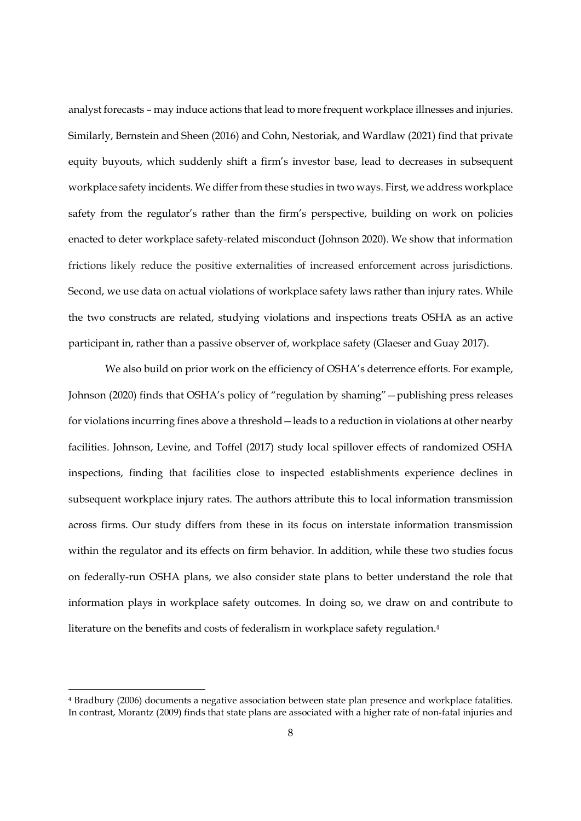analyst forecasts – may induce actions that lead to more frequent workplace illnesses and injuries. Similarly, Bernstein and Sheen (2016) and Cohn, Nestoriak, and Wardlaw (2021) find that private equity buyouts, which suddenly shift a firm's investor base, lead to decreases in subsequent workplace safety incidents. We differ from these studies in two ways. First, we address workplace safety from the regulator's rather than the firm's perspective, building on work on policies enacted to deter workplace safety-related misconduct (Johnson 2020). We show that information frictions likely reduce the positive externalities of increased enforcement across jurisdictions. Second, we use data on actual violations of workplace safety laws rather than injury rates. While the two constructs are related, studying violations and inspections treats OSHA as an active participant in, rather than a passive observer of, workplace safety (Glaeser and Guay 2017).

 We also build on prior work on the efficiency of OSHA's deterrence efforts. For example, Johnson (2020) finds that OSHA's policy of "regulation by shaming"—publishing press releases for violations incurring fines above a threshold—leads to a reduction in violations at other nearby facilities. Johnson, Levine, and Toffel (2017) study local spillover effects of randomized OSHA inspections, finding that facilities close to inspected establishments experience declines in subsequent workplace injury rates. The authors attribute this to local information transmission across firms. Our study differs from these in its focus on interstate information transmission within the regulator and its effects on firm behavior. In addition, while these two studies focus on federally-run OSHA plans, we also consider state plans to better understand the role that information plays in workplace safety outcomes. In doing so, we draw on and contribute to literature on the benefits and costs of federalism in workplace safety regulation.<sup>4</sup>

<sup>4</sup> Bradbury (2006) documents a negative association between state plan presence and workplace fatalities. In contrast, Morantz (2009) finds that state plans are associated with a higher rate of non-fatal injuries and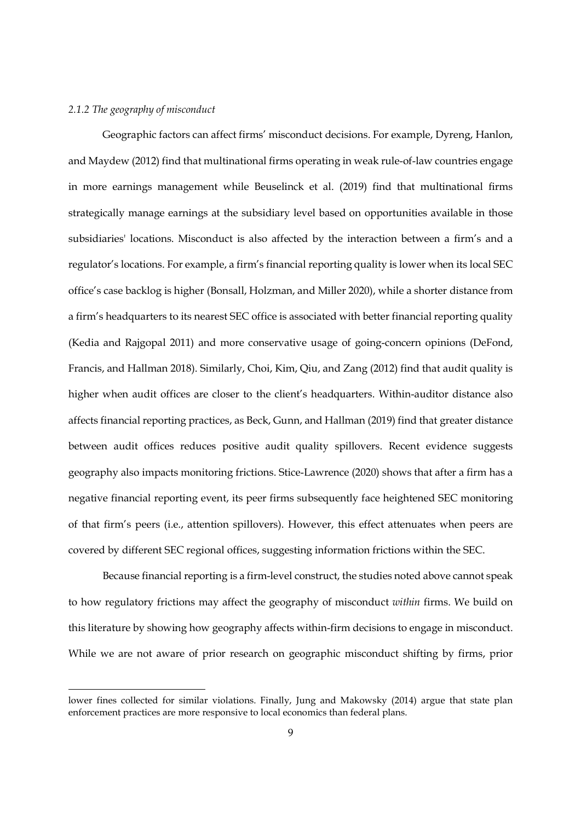## 2.1.2 The geography of misconduct

Geographic factors can affect firms' misconduct decisions. For example, Dyreng, Hanlon, and Maydew (2012) find that multinational firms operating in weak rule-of-law countries engage in more earnings management while Beuselinck et al. (2019) find that multinational firms strategically manage earnings at the subsidiary level based on opportunities available in those subsidiaries' locations. Misconduct is also affected by the interaction between a firm's and a regulator's locations. For example, a firm's financial reporting quality is lower when its local SEC office's case backlog is higher (Bonsall, Holzman, and Miller 2020), while a shorter distance from a firm's headquarters to its nearest SEC office is associated with better financial reporting quality (Kedia and Rajgopal 2011) and more conservative usage of going-concern opinions (DeFond, Francis, and Hallman 2018). Similarly, Choi, Kim, Qiu, and Zang (2012) find that audit quality is higher when audit offices are closer to the client's headquarters. Within-auditor distance also affects financial reporting practices, as Beck, Gunn, and Hallman (2019) find that greater distance between audit offices reduces positive audit quality spillovers. Recent evidence suggests geography also impacts monitoring frictions. Stice-Lawrence (2020) shows that after a firm has a negative financial reporting event, its peer firms subsequently face heightened SEC monitoring of that firm's peers (i.e., attention spillovers). However, this effect attenuates when peers are covered by different SEC regional offices, suggesting information frictions within the SEC.

Because financial reporting is a firm-level construct, the studies noted above cannot speak to how regulatory frictions may affect the geography of misconduct within firms. We build on this literature by showing how geography affects within-firm decisions to engage in misconduct. While we are not aware of prior research on geographic misconduct shifting by firms, prior

lower fines collected for similar violations. Finally, Jung and Makowsky (2014) argue that state plan enforcement practices are more responsive to local economics than federal plans.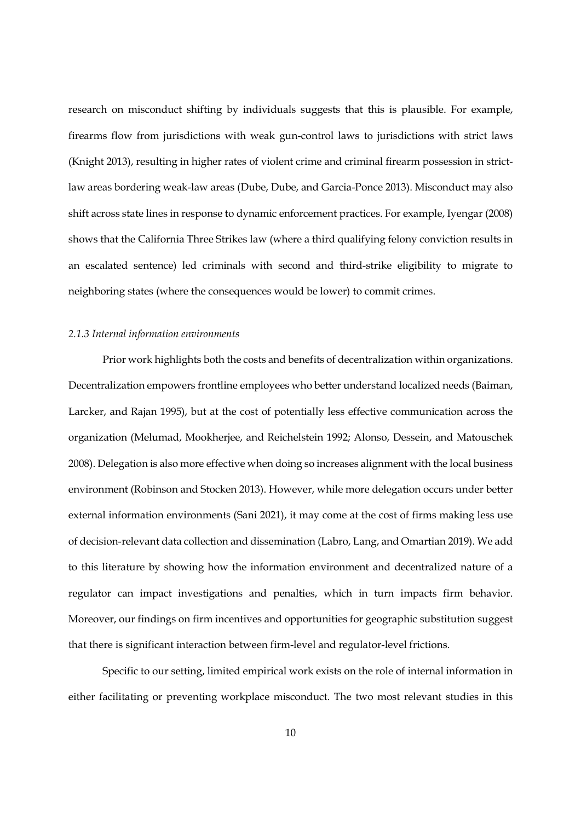research on misconduct shifting by individuals suggests that this is plausible. For example, firearms flow from jurisdictions with weak gun-control laws to jurisdictions with strict laws (Knight 2013), resulting in higher rates of violent crime and criminal firearm possession in strictlaw areas bordering weak-law areas (Dube, Dube, and Garcia-Ponce 2013). Misconduct may also shift across state lines in response to dynamic enforcement practices. For example, Iyengar (2008) shows that the California Three Strikes law (where a third qualifying felony conviction results in an escalated sentence) led criminals with second and third-strike eligibility to migrate to neighboring states (where the consequences would be lower) to commit crimes.

### 2.1.3 Internal information environments

Prior work highlights both the costs and benefits of decentralization within organizations. Decentralization empowers frontline employees who better understand localized needs (Baiman, Larcker, and Rajan 1995), but at the cost of potentially less effective communication across the organization (Melumad, Mookherjee, and Reichelstein 1992; Alonso, Dessein, and Matouschek 2008). Delegation is also more effective when doing so increases alignment with the local business environment (Robinson and Stocken 2013). However, while more delegation occurs under better external information environments (Sani 2021), it may come at the cost of firms making less use of decision-relevant data collection and dissemination (Labro, Lang, and Omartian 2019). We add to this literature by showing how the information environment and decentralized nature of a regulator can impact investigations and penalties, which in turn impacts firm behavior. Moreover, our findings on firm incentives and opportunities for geographic substitution suggest that there is significant interaction between firm-level and regulator-level frictions.

Specific to our setting, limited empirical work exists on the role of internal information in either facilitating or preventing workplace misconduct. The two most relevant studies in this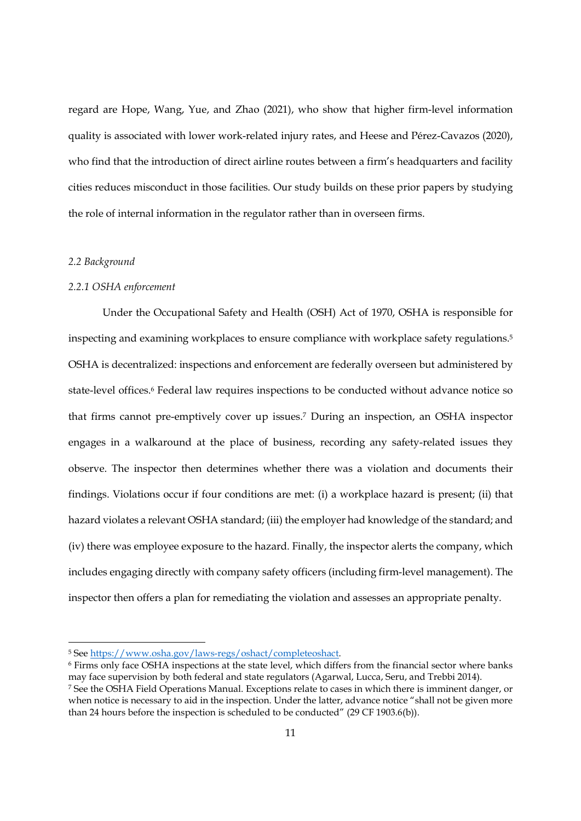regard are Hope, Wang, Yue, and Zhao (2021), who show that higher firm-level information quality is associated with lower work-related injury rates, and Heese and Pérez-Cavazos (2020), who find that the introduction of direct airline routes between a firm's headquarters and facility cities reduces misconduct in those facilities. Our study builds on these prior papers by studying the role of internal information in the regulator rather than in overseen firms.

### 2.2 Background

## 2.2.1 OSHA enforcement

 Under the Occupational Safety and Health (OSH) Act of 1970, OSHA is responsible for inspecting and examining workplaces to ensure compliance with workplace safety regulations.<sup>5</sup> OSHA is decentralized: inspections and enforcement are federally overseen but administered by state-level offices.<sup>6</sup> Federal law requires inspections to be conducted without advance notice so that firms cannot pre-emptively cover up issues.7 During an inspection, an OSHA inspector engages in a walkaround at the place of business, recording any safety-related issues they observe. The inspector then determines whether there was a violation and documents their findings. Violations occur if four conditions are met: (i) a workplace hazard is present; (ii) that hazard violates a relevant OSHA standard; (iii) the employer had knowledge of the standard; and (iv) there was employee exposure to the hazard. Finally, the inspector alerts the company, which includes engaging directly with company safety officers (including firm-level management). The inspector then offers a plan for remediating the violation and assesses an appropriate penalty.

6 Firms only face OSHA inspections at the state level, which differs from the financial sector where banks may face supervision by both federal and state regulators (Agarwal, Lucca, Seru, and Trebbi 2014).

<sup>&</sup>lt;sup>5</sup> See https://www.osha.gov/laws-regs/oshact/completeoshact.

<sup>7</sup> See the OSHA Field Operations Manual. Exceptions relate to cases in which there is imminent danger, or when notice is necessary to aid in the inspection. Under the latter, advance notice "shall not be given more than 24 hours before the inspection is scheduled to be conducted" (29 CF 1903.6(b)).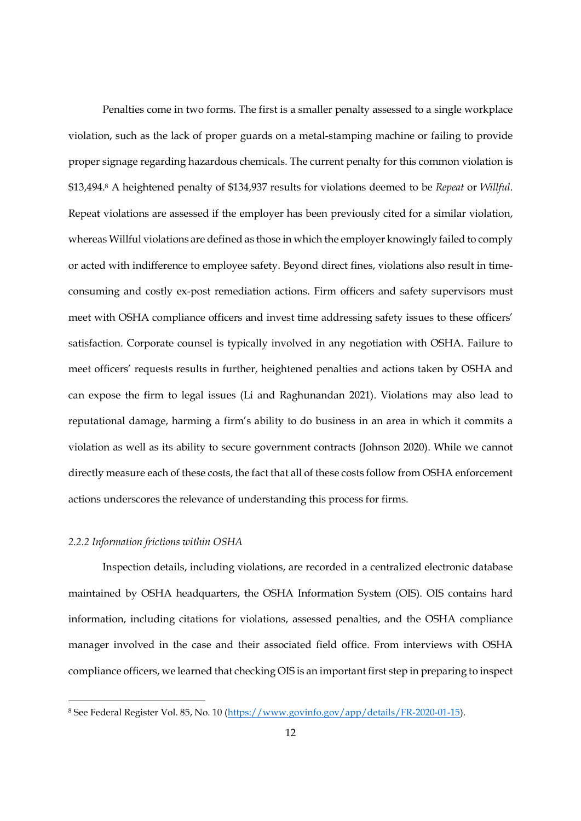Penalties come in two forms. The first is a smaller penalty assessed to a single workplace violation, such as the lack of proper guards on a metal-stamping machine or failing to provide proper signage regarding hazardous chemicals. The current penalty for this common violation is \$13,494.8 A heightened penalty of \$134,937 results for violations deemed to be Repeat or Willful. Repeat violations are assessed if the employer has been previously cited for a similar violation, whereas Willful violations are defined as those in which the employer knowingly failed to comply or acted with indifference to employee safety. Beyond direct fines, violations also result in timeconsuming and costly ex-post remediation actions. Firm officers and safety supervisors must meet with OSHA compliance officers and invest time addressing safety issues to these officers' satisfaction. Corporate counsel is typically involved in any negotiation with OSHA. Failure to meet officers' requests results in further, heightened penalties and actions taken by OSHA and can expose the firm to legal issues (Li and Raghunandan 2021). Violations may also lead to reputational damage, harming a firm's ability to do business in an area in which it commits a violation as well as its ability to secure government contracts (Johnson 2020). While we cannot directly measure each of these costs, the fact that all of these costs follow from OSHA enforcement actions underscores the relevance of understanding this process for firms.

### 2.2.2 Information frictions within OSHA

Inspection details, including violations, are recorded in a centralized electronic database maintained by OSHA headquarters, the OSHA Information System (OIS). OIS contains hard information, including citations for violations, assessed penalties, and the OSHA compliance manager involved in the case and their associated field office. From interviews with OSHA compliance officers, we learned that checking OIS is an important first step in preparing to inspect

<sup>&</sup>lt;sup>8</sup> See Federal Register Vol. 85, No. 10 (https://www.govinfo.gov/app/details/FR-2020-01-15).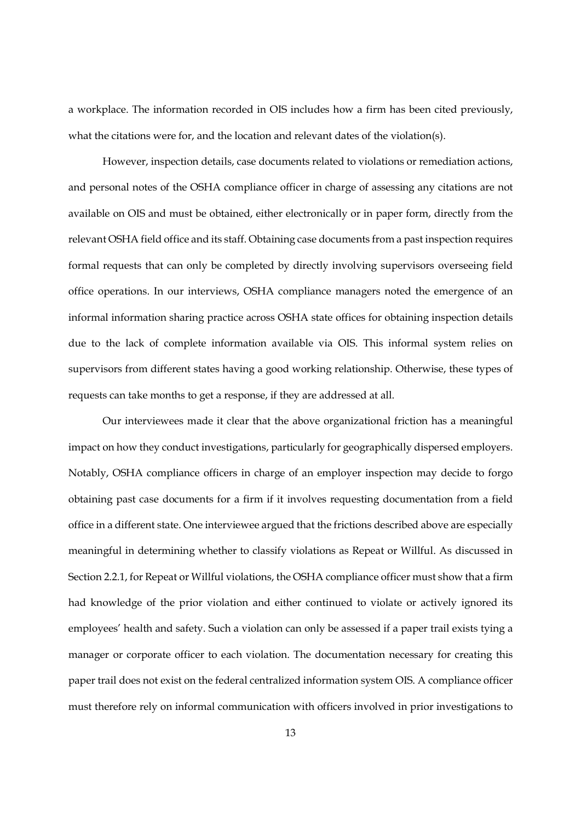a workplace. The information recorded in OIS includes how a firm has been cited previously, what the citations were for, and the location and relevant dates of the violation(s).

However, inspection details, case documents related to violations or remediation actions, and personal notes of the OSHA compliance officer in charge of assessing any citations are not available on OIS and must be obtained, either electronically or in paper form, directly from the relevant OSHA field office and its staff. Obtaining case documents from a past inspection requires formal requests that can only be completed by directly involving supervisors overseeing field office operations. In our interviews, OSHA compliance managers noted the emergence of an informal information sharing practice across OSHA state offices for obtaining inspection details due to the lack of complete information available via OIS. This informal system relies on supervisors from different states having a good working relationship. Otherwise, these types of requests can take months to get a response, if they are addressed at all.

Our interviewees made it clear that the above organizational friction has a meaningful impact on how they conduct investigations, particularly for geographically dispersed employers. Notably, OSHA compliance officers in charge of an employer inspection may decide to forgo obtaining past case documents for a firm if it involves requesting documentation from a field office in a different state. One interviewee argued that the frictions described above are especially meaningful in determining whether to classify violations as Repeat or Willful. As discussed in Section 2.2.1, for Repeat or Willful violations, the OSHA compliance officer must show that a firm had knowledge of the prior violation and either continued to violate or actively ignored its employees' health and safety. Such a violation can only be assessed if a paper trail exists tying a manager or corporate officer to each violation. The documentation necessary for creating this paper trail does not exist on the federal centralized information system OIS. A compliance officer must therefore rely on informal communication with officers involved in prior investigations to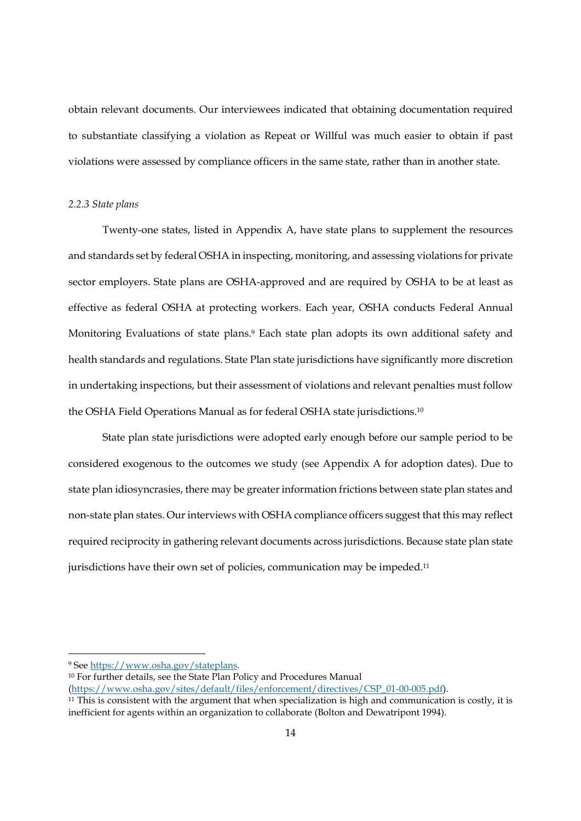obtain relevant documents. Our interviewees indicated that obtaining documentation required to substantiate classifying a violation as Repeat or Willful was much easier to obtain if past violations were assessed by compliance officers in the same state, rather than in another state.

## 2.2.3 State plans

 Twenty-one states, listed in Appendix A, have state plans to supplement the resources and standards set by federal OSHA in inspecting, monitoring, and assessing violations for private sector employers. State plans are OSHA-approved and are required by OSHA to be at least as effective as federal OSHA at protecting workers. Each year, OSHA conducts Federal Annual Monitoring Evaluations of state plans.9 Each state plan adopts its own additional safety and health standards and regulations. State Plan state jurisdictions have significantly more discretion in undertaking inspections, but their assessment of violations and relevant penalties must follow the OSHA Field Operations Manual as for federal OSHA state jurisdictions.<sup>10</sup>

 State plan state jurisdictions were adopted early enough before our sample period to be considered exogenous to the outcomes we study (see Appendix A for adoption dates). Due to state plan idiosyncrasies, there may be greater information frictions between state plan states and non-state plan states. Our interviews with OSHA compliance officers suggest that this may reflect required reciprocity in gathering relevant documents across jurisdictions. Because state plan state jurisdictions have their own set of policies, communication may be impeded.<sup>11</sup>

<sup>10</sup> For further details, see the State Plan Policy and Procedures Manual

(https://www.osha.gov/sites/default/files/enforcement/directives/CSP\_01-00-005.pdf).

<sup>&</sup>lt;sup>9</sup> See https://www.osha.gov/stateplans.

<sup>&</sup>lt;sup>11</sup> This is consistent with the argument that when specialization is high and communication is costly, it is inefficient for agents within an organization to collaborate (Bolton and Dewatripont 1994).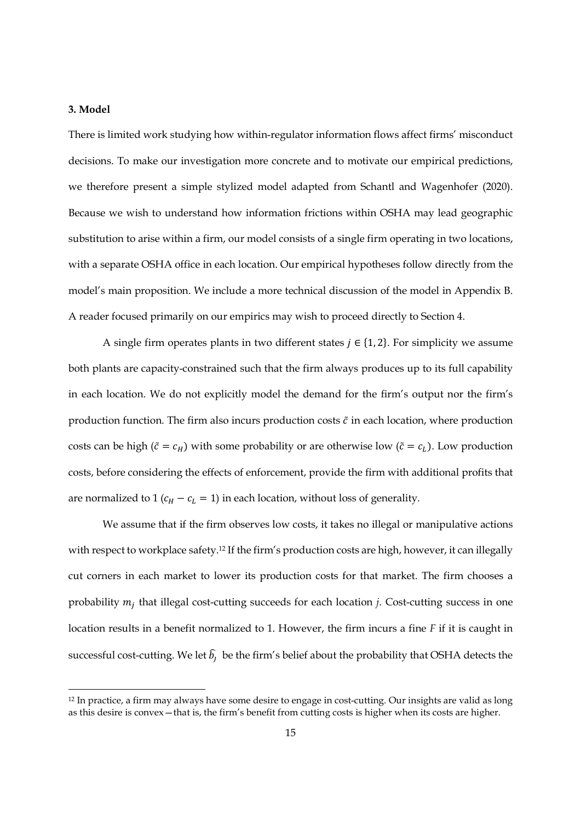## 3. Model

There is limited work studying how within-regulator information flows affect firms' misconduct decisions. To make our investigation more concrete and to motivate our empirical predictions, we therefore present a simple stylized model adapted from Schantl and Wagenhofer (2020). Because we wish to understand how information frictions within OSHA may lead geographic substitution to arise within a firm, our model consists of a single firm operating in two locations, with a separate OSHA office in each location. Our empirical hypotheses follow directly from the model's main proposition. We include a more technical discussion of the model in Appendix B. A reader focused primarily on our empirics may wish to proceed directly to Section 4.

A single firm operates plants in two different states  $j \in \{1, 2\}$ . For simplicity we assume both plants are capacity-constrained such that the firm always produces up to its full capability in each location. We do not explicitly model the demand for the firm's output nor the firm's production function. The firm also incurs production costs  $\tilde{c}$  in each location, where production costs can be high ( $\tilde{c} = c_H$ ) with some probability or are otherwise low ( $\tilde{c} = c_L$ ). Low production costs, before considering the effects of enforcement, provide the firm with additional profits that are normalized to 1 ( $c_H - c_L = 1$ ) in each location, without loss of generality.

We assume that if the firm observes low costs, it takes no illegal or manipulative actions with respect to workplace safety.<sup>12</sup> If the firm's production costs are high, however, it can illegally cut corners in each market to lower its production costs for that market. The firm chooses a probability  $m_j$  that illegal cost-cutting succeeds for each location *j*. Cost-cutting success in one location results in a benefit normalized to 1. However, the firm incurs a fine F if it is caught in successful cost-cutting. We let  $\widehat{b_j}\,$  be the firm's belief about the probability that OSHA detects the

<sup>12</sup> In practice, a firm may always have some desire to engage in cost-cutting. Our insights are valid as long as this desire is convex—that is, the firm's benefit from cutting costs is higher when its costs are higher.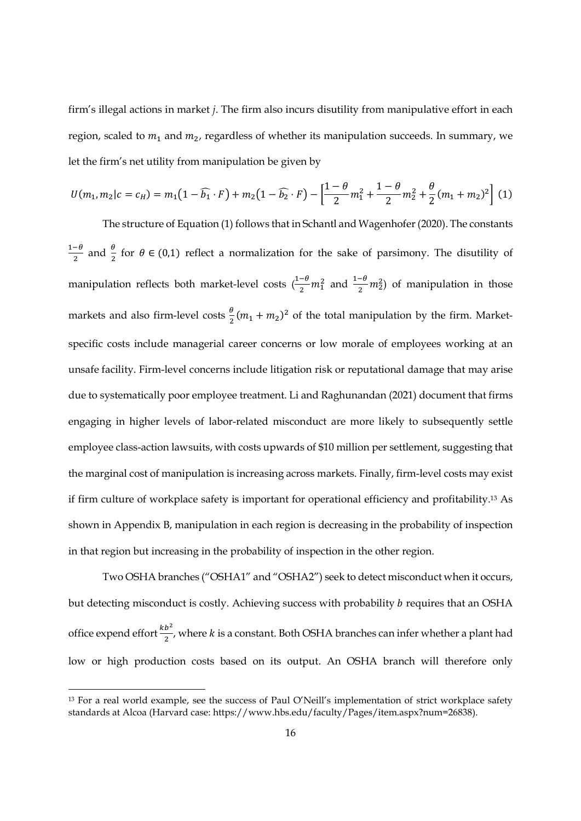firm's illegal actions in market j. The firm also incurs disutility from manipulative effort in each region, scaled to  $m_1$  and  $m_2$ , regardless of whether its manipulation succeeds. In summary, we let the firm's net utility from manipulation be given by

$$
U(m_1, m_2 | c = c_H) = m_1 (1 - \widehat{b_1} \cdot F) + m_2 (1 - \widehat{b_2} \cdot F) - \left[ \frac{1 - \theta}{2} m_1^2 + \frac{1 - \theta}{2} m_2^2 + \frac{\theta}{2} (m_1 + m_2)^2 \right] (1)
$$

The structure of Equation (1) follows that in Schantl and Wagenhofer (2020). The constants  $1-\theta$  $\frac{-\theta}{2}$  and  $\frac{\theta}{2}$  for  $\theta \in (0,1)$  reflect a normalization for the sake of parsimony. The disutility of manipulation reflects both market-level costs  $\left(\frac{1-\theta}{2}m_1^2 \text{ and } \frac{1-\theta}{2}m_2^2\right)$  of manipulation in those markets and also firm-level costs  $\frac{\theta}{2}(m_1 + m_2)^2$  of the total manipulation by the firm. Marketspecific costs include managerial career concerns or low morale of employees working at an unsafe facility. Firm-level concerns include litigation risk or reputational damage that may arise due to systematically poor employee treatment. Li and Raghunandan (2021) document that firms engaging in higher levels of labor-related misconduct are more likely to subsequently settle employee class-action lawsuits, with costs upwards of \$10 million per settlement, suggesting that the marginal cost of manipulation is increasing across markets. Finally, firm-level costs may exist if firm culture of workplace safety is important for operational efficiency and profitability.13 As shown in Appendix B, manipulation in each region is decreasing in the probability of inspection in that region but increasing in the probability of inspection in the other region.

Two OSHA branches ("OSHA1" and "OSHA2") seek to detect misconduct when it occurs, but detecting misconduct is costly. Achieving success with probability *b* requires that an OSHA office expend effort  $\frac{kb^2}{2}$ , where k is a constant. Both OSHA branches can infer whether a plant had low or high production costs based on its output. An OSHA branch will therefore only

<sup>13</sup> For a real world example, see the success of Paul O'Neill's implementation of strict workplace safety standards at Alcoa (Harvard case: https://www.hbs.edu/faculty/Pages/item.aspx?num=26838).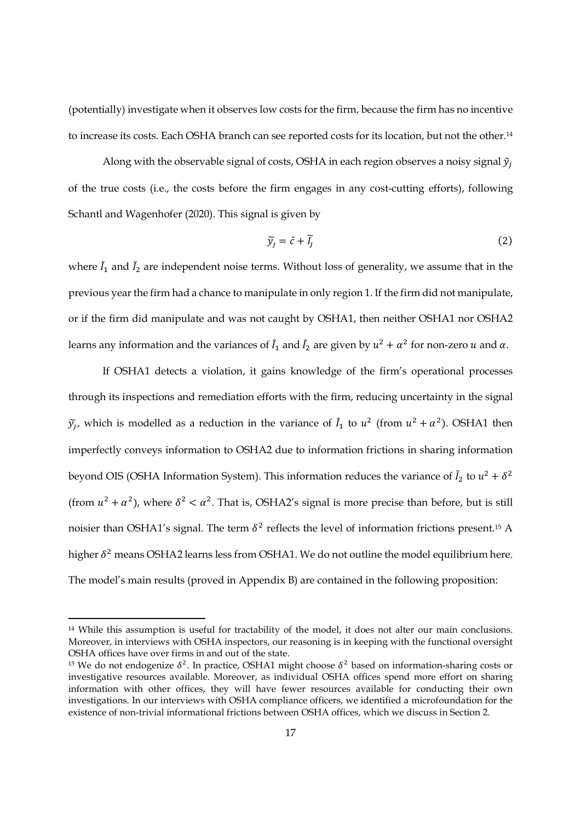(potentially) investigate when it observes low costs for the firm, because the firm has no incentive to increase its costs. Each OSHA branch can see reported costs for its location, but not the other.<sup>14</sup>

Along with the observable signal of costs, OSHA in each region observes a noisy signal  $\tilde{y}_i$ of the true costs (i.e., the costs before the firm engages in any cost-cutting efforts), following Schantl and Wagenhofer (2020). This signal is given by

$$
\widetilde{y}_j = \widetilde{c} + \widetilde{l}_j \tag{2}
$$

where  $\tilde{l}_1$  and  $\tilde{l}_2$  are independent noise terms. Without loss of generality, we assume that in the previous year the firm had a chance to manipulate in only region 1. If the firm did not manipulate, or if the firm did manipulate and was not caught by OSHA1, then neither OSHA1 nor OSHA2 learns any information and the variances of  $\tilde{l}_1$  and  $\tilde{l}_2$  are given by  $u^2 + \alpha^2$  for non-zero  $u$  and  $\alpha$ .

If OSHA1 detects a violation, it gains knowledge of the firm's operational processes through its inspections and remediation efforts with the firm, reducing uncertainty in the signal  $\widetilde{y}_j$ , which is modelled as a reduction in the variance of  $\widetilde{I}_1$  to  $u^2$  (from  $u^2 + \alpha^2$ ). OSHA1 then imperfectly conveys information to OSHA2 due to information frictions in sharing information beyond OIS (OSHA Information System). This information reduces the variance of  $\tilde{I}_2$  to  $u^2 + \delta^2$ (from  $u^2 + \alpha^2$ ), where  $\delta^2 < \alpha^2$ . That is, OSHA2's signal is more precise than before, but is still noisier than OSHA1's signal. The term  $\delta^2$  reflects the level of information frictions present.<sup>15</sup> A higher  $\delta^2$  means OSHA2 learns less from OSHA1. We do not outline the model equilibrium here. The model's main results (proved in Appendix B) are contained in the following proposition:

<sup>&</sup>lt;sup>14</sup> While this assumption is useful for tractability of the model, it does not alter our main conclusions. Moreover, in interviews with OSHA inspectors, our reasoning is in keeping with the functional oversight OSHA offices have over firms in and out of the state.

<sup>&</sup>lt;sup>15</sup> We do not endogenize  $\delta^2$ . In practice, OSHA1 might choose  $\delta^2$  based on information-sharing costs or investigative resources available. Moreover, as individual OSHA offices spend more effort on sharing information with other offices, they will have fewer resources available for conducting their own investigations. In our interviews with OSHA compliance officers, we identified a microfoundation for the existence of non-trivial informational frictions between OSHA offices, which we discuss in Section 2.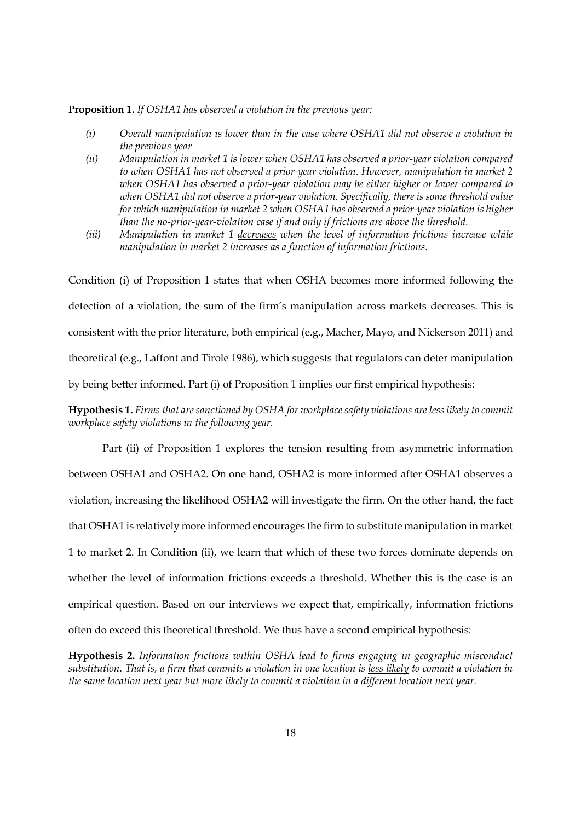**Proposition 1.** If OSHA1 has observed a violation in the previous year:

- (i) Overall manipulation is lower than in the case where OSHA1 did not observe a violation in the previous year
- (ii) Manipulation in market 1 is lower when OSHA1 has observed a prior-year violation compared to when OSHA1 has not observed a prior-year violation. However, manipulation in market 2 when OSHA1 has observed a prior-year violation may be either higher or lower compared to when OSHA1 did not observe a prior-year violation. Specifically, there is some threshold value for which manipulation in market 2 when OSHA1 has observed a prior-year violation is higher than the no-prior-year-violation case if and only if frictions are above the threshold.
- (iii) Manipulation in market 1 decreases when the level of information frictions increase while manipulation in market 2 increases as a function of information frictions.

Condition (i) of Proposition 1 states that when OSHA becomes more informed following the detection of a violation, the sum of the firm's manipulation across markets decreases. This is consistent with the prior literature, both empirical (e.g., Macher, Mayo, and Nickerson 2011) and theoretical (e.g., Laffont and Tirole 1986), which suggests that regulators can deter manipulation by being better informed. Part (i) of Proposition 1 implies our first empirical hypothesis:

Hypothesis 1. Firms that are sanctioned by OSHA for workplace safety violations are less likely to commit workplace safety violations in the following year.

Part (ii) of Proposition 1 explores the tension resulting from asymmetric information between OSHA1 and OSHA2. On one hand, OSHA2 is more informed after OSHA1 observes a violation, increasing the likelihood OSHA2 will investigate the firm. On the other hand, the fact that OSHA1 is relatively more informed encourages the firm to substitute manipulation in market 1 to market 2. In Condition (ii), we learn that which of these two forces dominate depends on whether the level of information frictions exceeds a threshold. Whether this is the case is an empirical question. Based on our interviews we expect that, empirically, information frictions often do exceed this theoretical threshold. We thus have a second empirical hypothesis:

Hypothesis 2. Information frictions within OSHA lead to firms engaging in geographic misconduct substitution. That is, a firm that commits a violation in one location is less likely to commit a violation in the same location next year but more likely to commit a violation in a different location next year.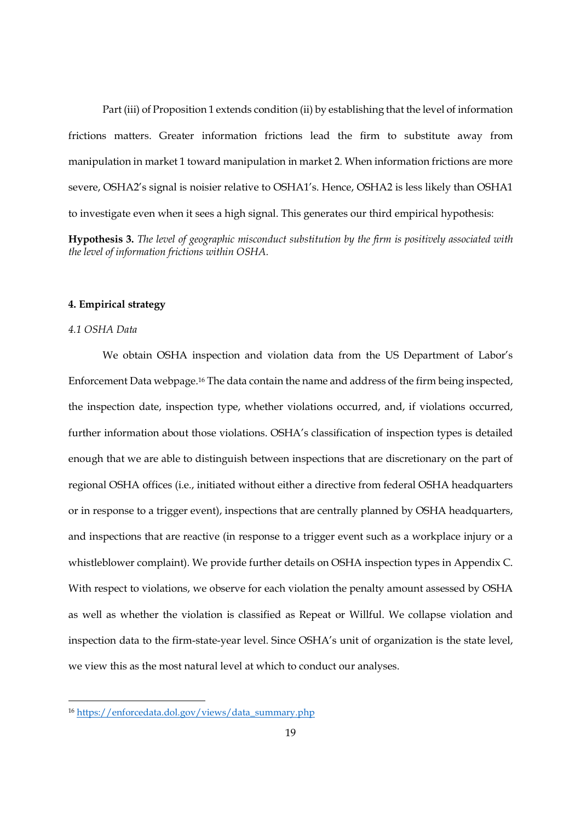Part (iii) of Proposition 1 extends condition (ii) by establishing that the level of information frictions matters. Greater information frictions lead the firm to substitute away from manipulation in market 1 toward manipulation in market 2. When information frictions are more severe, OSHA2's signal is noisier relative to OSHA1's. Hence, OSHA2 is less likely than OSHA1 to investigate even when it sees a high signal. This generates our third empirical hypothesis:

Hypothesis 3. The level of geographic misconduct substitution by the firm is positively associated with the level of information frictions within OSHA.

## 4. Empirical strategy

## 4.1 OSHA Data

 We obtain OSHA inspection and violation data from the US Department of Labor's Enforcement Data webpage.16 The data contain the name and address of the firm being inspected, the inspection date, inspection type, whether violations occurred, and, if violations occurred, further information about those violations. OSHA's classification of inspection types is detailed enough that we are able to distinguish between inspections that are discretionary on the part of regional OSHA offices (i.e., initiated without either a directive from federal OSHA headquarters or in response to a trigger event), inspections that are centrally planned by OSHA headquarters, and inspections that are reactive (in response to a trigger event such as a workplace injury or a whistleblower complaint). We provide further details on OSHA inspection types in Appendix C. With respect to violations, we observe for each violation the penalty amount assessed by OSHA as well as whether the violation is classified as Repeat or Willful. We collapse violation and inspection data to the firm-state-year level. Since OSHA's unit of organization is the state level, we view this as the most natural level at which to conduct our analyses.

<sup>16</sup> https://enforcedata.dol.gov/views/data\_summary.php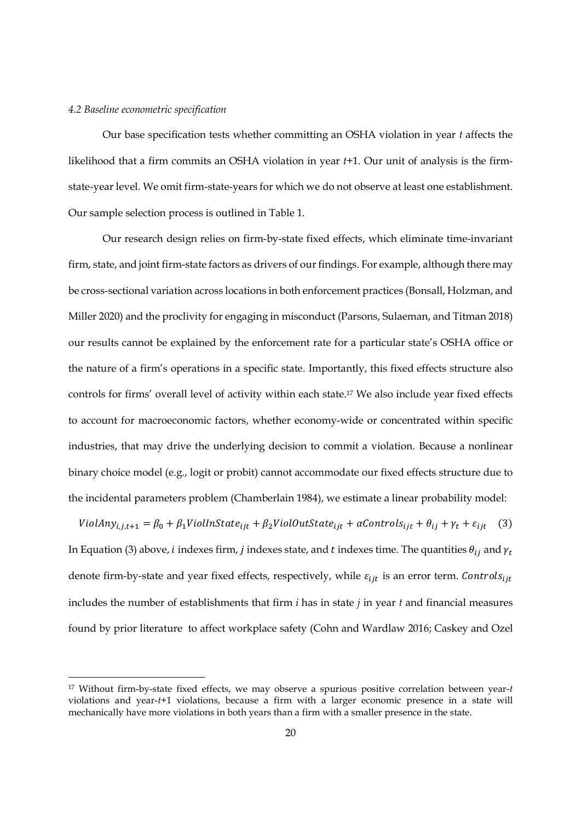### 4.2 Baseline econometric specification

 Our base specification tests whether committing an OSHA violation in year t affects the likelihood that a firm commits an OSHA violation in year t+1. Our unit of analysis is the firmstate-year level. We omit firm-state-years for which we do not observe at least one establishment. Our sample selection process is outlined in Table 1.

Our research design relies on firm-by-state fixed effects, which eliminate time-invariant firm, state, and joint firm-state factors as drivers of our findings. For example, although there may be cross-sectional variation across locations in both enforcement practices (Bonsall, Holzman, and Miller 2020) and the proclivity for engaging in misconduct (Parsons, Sulaeman, and Titman 2018) our results cannot be explained by the enforcement rate for a particular state's OSHA office or the nature of a firm's operations in a specific state. Importantly, this fixed effects structure also controls for firms' overall level of activity within each state.17 We also include year fixed effects to account for macroeconomic factors, whether economy-wide or concentrated within specific industries, that may drive the underlying decision to commit a violation. Because a nonlinear binary choice model (e.g., logit or probit) cannot accommodate our fixed effects structure due to the incidental parameters problem (Chamberlain 1984), we estimate a linear probability model:

ViolAn $y_{i,j,t+1} = \beta_0 + \beta_1$ Viol $InState_{ijt} + \beta_2$ ViolOutStat $e_{ijt} + \alpha$ Controls $_{ijt} + \theta_{ij} + \gamma_t + \varepsilon_{ijt}$  (3) In Equation (3) above, *i* indexes firm, *j* indexes state, and *t* indexes time. The quantities  $\theta_{ij}$  and  $\gamma_t$ denote firm-by-state and year fixed effects, respectively, while  $\varepsilon_{ijt}$  is an error term. Controls $_{ijt}$ includes the number of establishments that firm  $i$  has in state  $j$  in year  $t$  and financial measures found by prior literature to affect workplace safety (Cohn and Wardlaw 2016; Caskey and Ozel

 $17$  Without firm-by-state fixed effects, we may observe a spurious positive correlation between year-t violations and year-t+1 violations, because a firm with a larger economic presence in a state will mechanically have more violations in both years than a firm with a smaller presence in the state.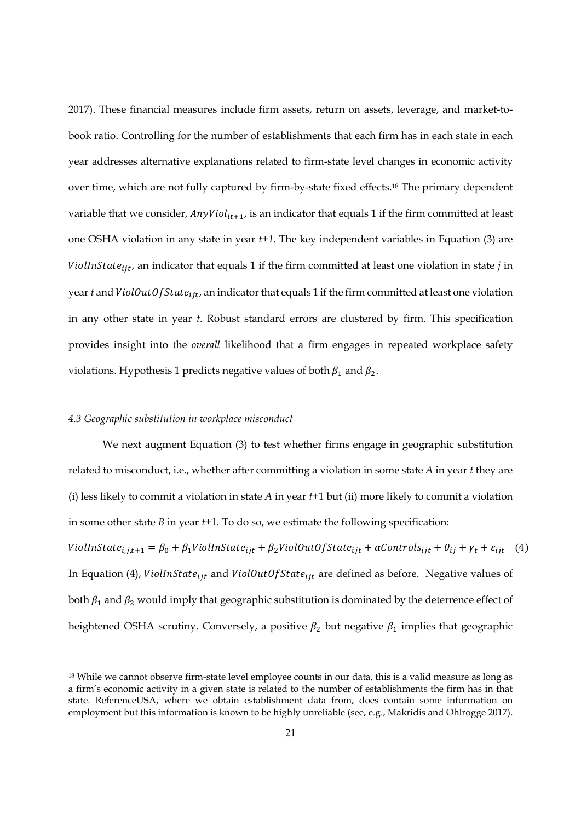2017). These financial measures include firm assets, return on assets, leverage, and market-tobook ratio. Controlling for the number of establishments that each firm has in each state in each year addresses alternative explanations related to firm-state level changes in economic activity over time, which are not fully captured by firm-by-state fixed effects.18 The primary dependent variable that we consider,  $Any Viol_{it+1}$ , is an indicator that equals 1 if the firm committed at least one OSHA violation in any state in year t+1. The key independent variables in Equation (3) are ViolInState<sub>iit</sub>, an indicator that equals 1 if the firm committed at least one violation in state j in year t and  $ViolOutOfState_{ijt}$ , an indicator that equals 1 if the firm committed at least one violation in any other state in year t. Robust standard errors are clustered by firm. This specification provides insight into the overall likelihood that a firm engages in repeated workplace safety violations. Hypothesis 1 predicts negative values of both  $\beta_1$  and  $\beta_2$ .

### 4.3 Geographic substitution in workplace misconduct

 We next augment Equation (3) to test whether firms engage in geographic substitution related to misconduct, i.e., whether after committing a violation in some state  $A$  in year  $t$  they are (i) less likely to commit a violation in state  $A$  in year  $t+1$  but (ii) more likely to commit a violation in some other state  $B$  in year  $t+1$ . To do so, we estimate the following specification: ViollnState<sub>i,j,t+1</sub> =  $\beta_0 + \beta_1$ ViollnState<sub>ijt</sub> +  $\beta_2$ ViolOutOfState<sub>ijt</sub> +  $\alpha$ Controls<sub>ijt</sub> +  $\theta_{ij}$  +  $\gamma_t$  +  $\varepsilon_{ijt}$  (4) In Equation (4), ViollnState<sub>iit</sub> and ViolOutOfState<sub>iit</sub> are defined as before. Negative values of both  $\beta_1$  and  $\beta_2$  would imply that geographic substitution is dominated by the deterrence effect of heightened OSHA scrutiny. Conversely, a positive  $\beta_2$  but negative  $\beta_1$  implies that geographic

<sup>&</sup>lt;sup>18</sup> While we cannot observe firm-state level employee counts in our data, this is a valid measure as long as a firm's economic activity in a given state is related to the number of establishments the firm has in that state. ReferenceUSA, where we obtain establishment data from, does contain some information on employment but this information is known to be highly unreliable (see, e.g., Makridis and Ohlrogge 2017).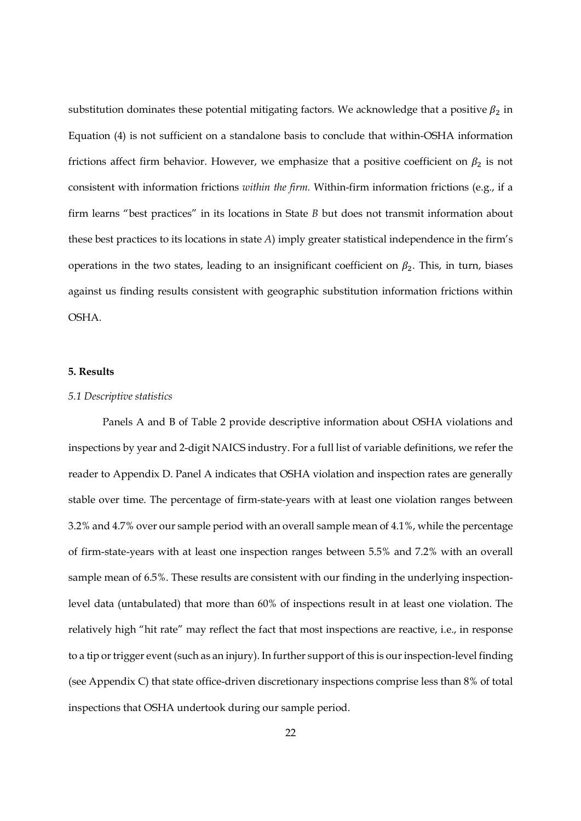substitution dominates these potential mitigating factors. We acknowledge that a positive  $\beta_2$  in Equation (4) is not sufficient on a standalone basis to conclude that within-OSHA information frictions affect firm behavior. However, we emphasize that a positive coefficient on  $\beta_2$  is not consistent with information frictions within the firm. Within-firm information frictions (e.g., if a firm learns "best practices" in its locations in State B but does not transmit information about these best practices to its locations in state A) imply greater statistical independence in the firm's operations in the two states, leading to an insignificant coefficient on  $\beta_2$ . This, in turn, biases against us finding results consistent with geographic substitution information frictions within OSHA.

## 5. Results

### 5.1 Descriptive statistics

Panels A and B of Table 2 provide descriptive information about OSHA violations and inspections by year and 2-digit NAICS industry. For a full list of variable definitions, we refer the reader to Appendix D. Panel A indicates that OSHA violation and inspection rates are generally stable over time. The percentage of firm-state-years with at least one violation ranges between 3.2% and 4.7% over our sample period with an overall sample mean of 4.1%, while the percentage of firm-state-years with at least one inspection ranges between 5.5% and 7.2% with an overall sample mean of 6.5%. These results are consistent with our finding in the underlying inspectionlevel data (untabulated) that more than 60% of inspections result in at least one violation. The relatively high "hit rate" may reflect the fact that most inspections are reactive, i.e., in response to a tip or trigger event (such as an injury). In further support of this is our inspection-level finding (see Appendix C) that state office-driven discretionary inspections comprise less than 8% of total inspections that OSHA undertook during our sample period.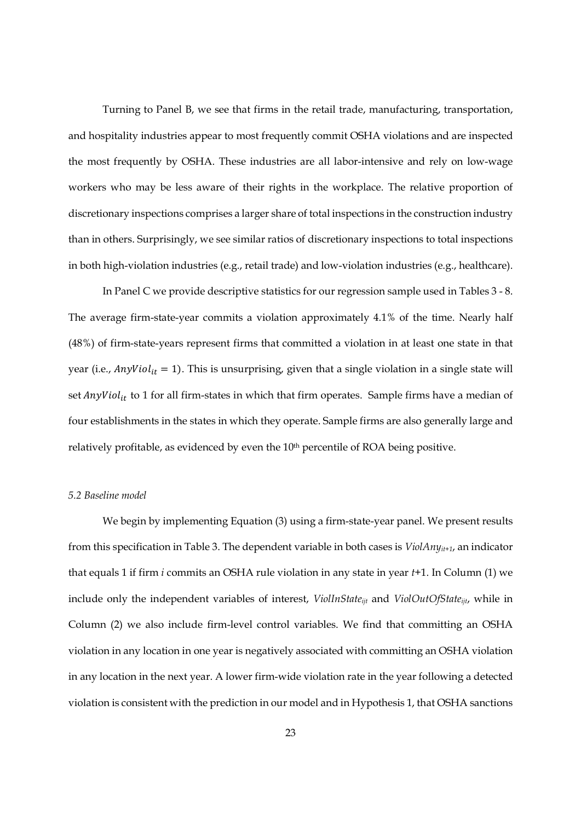Turning to Panel B, we see that firms in the retail trade, manufacturing, transportation, and hospitality industries appear to most frequently commit OSHA violations and are inspected the most frequently by OSHA. These industries are all labor-intensive and rely on low-wage workers who may be less aware of their rights in the workplace. The relative proportion of discretionary inspections comprises a larger share of total inspections in the construction industry than in others. Surprisingly, we see similar ratios of discretionary inspections to total inspections in both high-violation industries (e.g., retail trade) and low-violation industries (e.g., healthcare).

In Panel C we provide descriptive statistics for our regression sample used in Tables 3 - 8. The average firm-state-year commits a violation approximately 4.1% of the time. Nearly half (48%) of firm-state-years represent firms that committed a violation in at least one state in that year (i.e.,  $AnyViol_{it} = 1$ ). This is unsurprising, given that a single violation in a single state will set  $Any Viol_{it}$  to 1 for all firm-states in which that firm operates. Sample firms have a median of four establishments in the states in which they operate. Sample firms are also generally large and relatively profitable, as evidenced by even the 10<sup>th</sup> percentile of ROA being positive.

## 5.2 Baseline model

 We begin by implementing Equation (3) using a firm-state-year panel. We present results from this specification in Table 3. The dependent variable in both cases is  $ViolAnv<sub>it+1</sub>$ , an indicator that equals 1 if firm i commits an OSHA rule violation in any state in year t+1. In Column (1) we include only the independent variables of interest, ViolInState<sub>ijt</sub> and ViolOutOfState<sub>ijt</sub>, while in Column (2) we also include firm-level control variables. We find that committing an OSHA violation in any location in one year is negatively associated with committing an OSHA violation in any location in the next year. A lower firm-wide violation rate in the year following a detected violation is consistent with the prediction in our model and in Hypothesis 1, that OSHA sanctions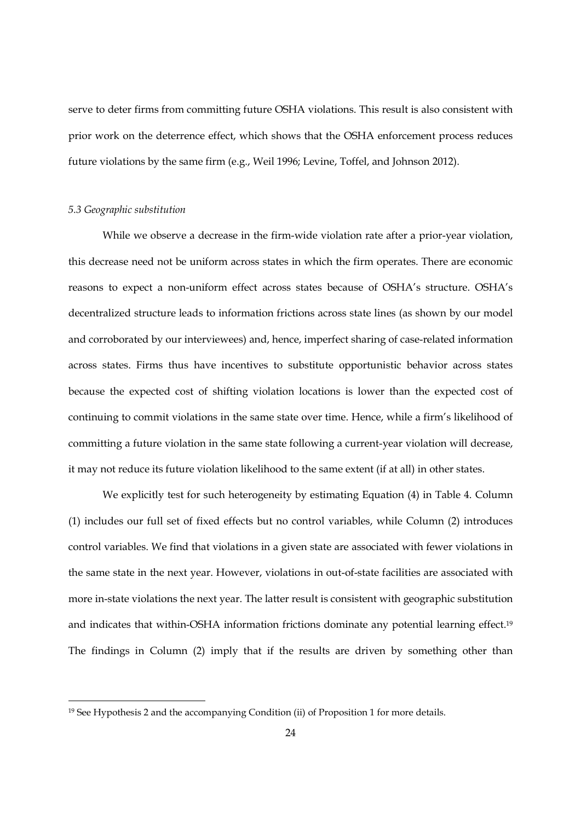serve to deter firms from committing future OSHA violations. This result is also consistent with prior work on the deterrence effect, which shows that the OSHA enforcement process reduces future violations by the same firm (e.g., Weil 1996; Levine, Toffel, and Johnson 2012).

## 5.3 Geographic substitution

While we observe a decrease in the firm-wide violation rate after a prior-year violation, this decrease need not be uniform across states in which the firm operates. There are economic reasons to expect a non-uniform effect across states because of OSHA's structure. OSHA's decentralized structure leads to information frictions across state lines (as shown by our model and corroborated by our interviewees) and, hence, imperfect sharing of case-related information across states. Firms thus have incentives to substitute opportunistic behavior across states because the expected cost of shifting violation locations is lower than the expected cost of continuing to commit violations in the same state over time. Hence, while a firm's likelihood of committing a future violation in the same state following a current-year violation will decrease, it may not reduce its future violation likelihood to the same extent (if at all) in other states.

We explicitly test for such heterogeneity by estimating Equation (4) in Table 4. Column (1) includes our full set of fixed effects but no control variables, while Column (2) introduces control variables. We find that violations in a given state are associated with fewer violations in the same state in the next year. However, violations in out-of-state facilities are associated with more in-state violations the next year. The latter result is consistent with geographic substitution and indicates that within-OSHA information frictions dominate any potential learning effect.<sup>19</sup> The findings in Column (2) imply that if the results are driven by something other than

<sup>19</sup> See Hypothesis 2 and the accompanying Condition (ii) of Proposition 1 for more details.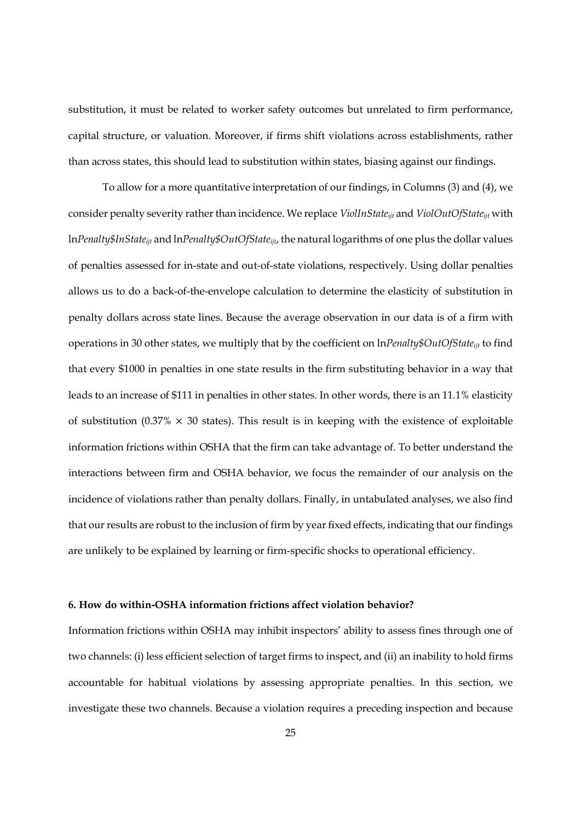substitution, it must be related to worker safety outcomes but unrelated to firm performance, capital structure, or valuation. Moreover, if firms shift violations across establishments, rather than across states, this should lead to substitution within states, biasing against our findings.

To allow for a more quantitative interpretation of our findings, in Columns (3) and (4), we consider penalty severity rather than incidence. We replace  $ViollnState_{ii}$  and  $ViollOutOfState_{ii}$  with lnPenalty\$InStateijt and lnPenalty\$OutOfStateijt, the natural logarithms of one plus the dollar values of penalties assessed for in-state and out-of-state violations, respectively. Using dollar penalties allows us to do a back-of-the-envelope calculation to determine the elasticity of substitution in penalty dollars across state lines. Because the average observation in our data is of a firm with operations in 30 other states, we multiply that by the coefficient on lnPenalty\$OutOfState<sub>ijt</sub> to find that every \$1000 in penalties in one state results in the firm substituting behavior in a way that leads to an increase of \$111 in penalties in other states. In other words, there is an 11.1% elasticity of substitution (0.37%  $\times$  30 states). This result is in keeping with the existence of exploitable information frictions within OSHA that the firm can take advantage of. To better understand the interactions between firm and OSHA behavior, we focus the remainder of our analysis on the incidence of violations rather than penalty dollars. Finally, in untabulated analyses, we also find that our results are robust to the inclusion of firm by year fixed effects, indicating that our findings are unlikely to be explained by learning or firm-specific shocks to operational efficiency.

## 6. How do within-OSHA information frictions affect violation behavior?

Information frictions within OSHA may inhibit inspectors' ability to assess fines through one of two channels: (i) less efficient selection of target firms to inspect, and (ii) an inability to hold firms accountable for habitual violations by assessing appropriate penalties. In this section, we investigate these two channels. Because a violation requires a preceding inspection and because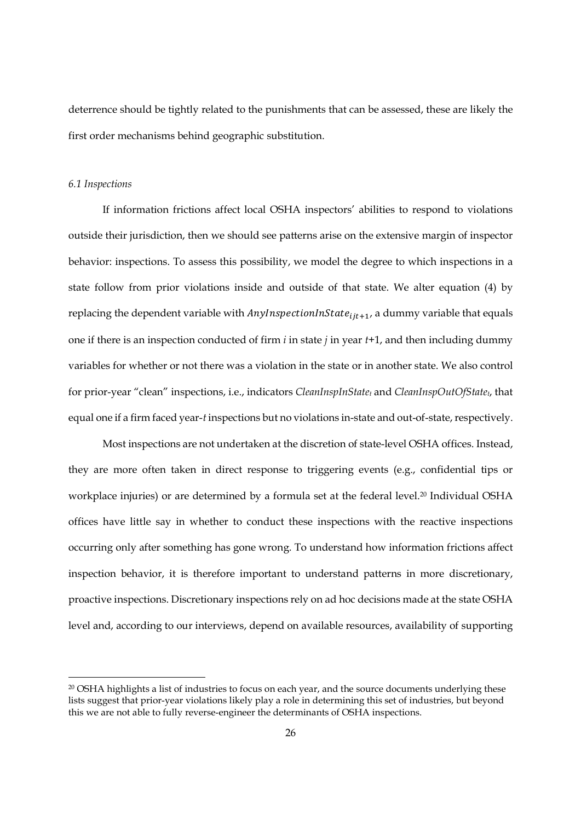deterrence should be tightly related to the punishments that can be assessed, these are likely the first order mechanisms behind geographic substitution.

## 6.1 Inspections

If information frictions affect local OSHA inspectors' abilities to respond to violations outside their jurisdiction, then we should see patterns arise on the extensive margin of inspector behavior: inspections. To assess this possibility, we model the degree to which inspections in a state follow from prior violations inside and outside of that state. We alter equation (4) by replacing the dependent variable with  $Any InspectionInState_{i}$ , a dummy variable that equals one if there is an inspection conducted of firm  $i$  in state  $j$  in year  $t+1$ , and then including dummy variables for whether or not there was a violation in the state or in another state. We also control for prior-year "clean" inspections, i.e., indicators CleanInspInStatet and CleanInspOutOfStatet, that equal one if a firm faced year-t inspections but no violations in-state and out-of-state, respectively.

Most inspections are not undertaken at the discretion of state-level OSHA offices. Instead, they are more often taken in direct response to triggering events (e.g., confidential tips or workplace injuries) or are determined by a formula set at the federal level.20 Individual OSHA offices have little say in whether to conduct these inspections with the reactive inspections occurring only after something has gone wrong. To understand how information frictions affect inspection behavior, it is therefore important to understand patterns in more discretionary, proactive inspections. Discretionary inspections rely on ad hoc decisions made at the state OSHA level and, according to our interviews, depend on available resources, availability of supporting

<sup>&</sup>lt;sup>20</sup> OSHA highlights a list of industries to focus on each year, and the source documents underlying these lists suggest that prior-year violations likely play a role in determining this set of industries, but beyond this we are not able to fully reverse-engineer the determinants of OSHA inspections.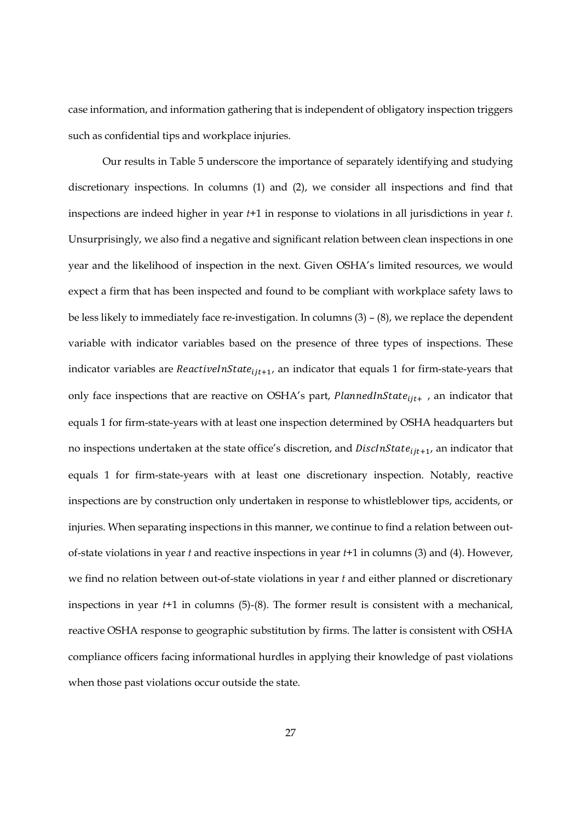case information, and information gathering that is independent of obligatory inspection triggers such as confidential tips and workplace injuries.

Our results in Table 5 underscore the importance of separately identifying and studying discretionary inspections. In columns (1) and (2), we consider all inspections and find that inspections are indeed higher in year  $t+1$  in response to violations in all jurisdictions in year  $t$ . Unsurprisingly, we also find a negative and significant relation between clean inspections in one year and the likelihood of inspection in the next. Given OSHA's limited resources, we would expect a firm that has been inspected and found to be compliant with workplace safety laws to be less likely to immediately face re-investigation. In columns (3) – (8), we replace the dependent variable with indicator variables based on the presence of three types of inspections. These indicator variables are *ReactiveInState*<sub>iit+1</sub>, an indicator that equals 1 for firm-state-years that only face inspections that are reactive on OSHA's part, PlannedInState $_{i}$ <sub>it+</sub>, an indicator that equals 1 for firm-state-years with at least one inspection determined by OSHA headquarters but no inspections undertaken at the state office's discretion, and  $DisclnState_{ijt+1}$ , an indicator that equals 1 for firm-state-years with at least one discretionary inspection. Notably, reactive inspections are by construction only undertaken in response to whistleblower tips, accidents, or injuries. When separating inspections in this manner, we continue to find a relation between outof-state violations in year t and reactive inspections in year t+1 in columns (3) and (4). However, we find no relation between out-of-state violations in year t and either planned or discretionary inspections in year  $t+1$  in columns  $(5)-(8)$ . The former result is consistent with a mechanical, reactive OSHA response to geographic substitution by firms. The latter is consistent with OSHA compliance officers facing informational hurdles in applying their knowledge of past violations when those past violations occur outside the state.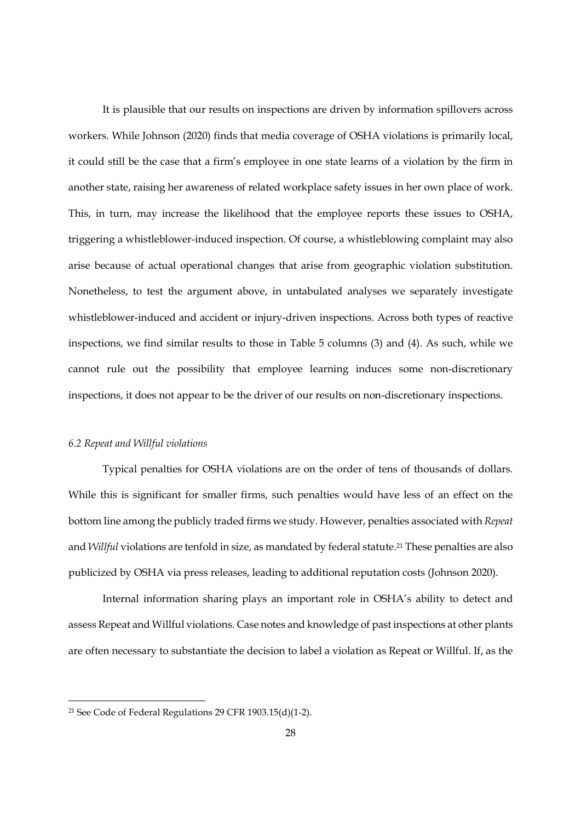It is plausible that our results on inspections are driven by information spillovers across workers. While Johnson (2020) finds that media coverage of OSHA violations is primarily local, it could still be the case that a firm's employee in one state learns of a violation by the firm in another state, raising her awareness of related workplace safety issues in her own place of work. This, in turn, may increase the likelihood that the employee reports these issues to OSHA, triggering a whistleblower-induced inspection. Of course, a whistleblowing complaint may also arise because of actual operational changes that arise from geographic violation substitution. Nonetheless, to test the argument above, in untabulated analyses we separately investigate whistleblower-induced and accident or injury-driven inspections. Across both types of reactive inspections, we find similar results to those in Table 5 columns (3) and (4). As such, while we cannot rule out the possibility that employee learning induces some non-discretionary inspections, it does not appear to be the driver of our results on non-discretionary inspections.

## 6.2 Repeat and Willful violations

 Typical penalties for OSHA violations are on the order of tens of thousands of dollars. While this is significant for smaller firms, such penalties would have less of an effect on the bottom line among the publicly traded firms we study. However, penalties associated with Repeat and Willful violations are tenfold in size, as mandated by federal statute.21 These penalties are also publicized by OSHA via press releases, leading to additional reputation costs (Johnson 2020).

Internal information sharing plays an important role in OSHA's ability to detect and assess Repeat and Willful violations. Case notes and knowledge of past inspections at other plants are often necessary to substantiate the decision to label a violation as Repeat or Willful. If, as the

<sup>21</sup> See Code of Federal Regulations 29 CFR 1903.15(d)(1-2).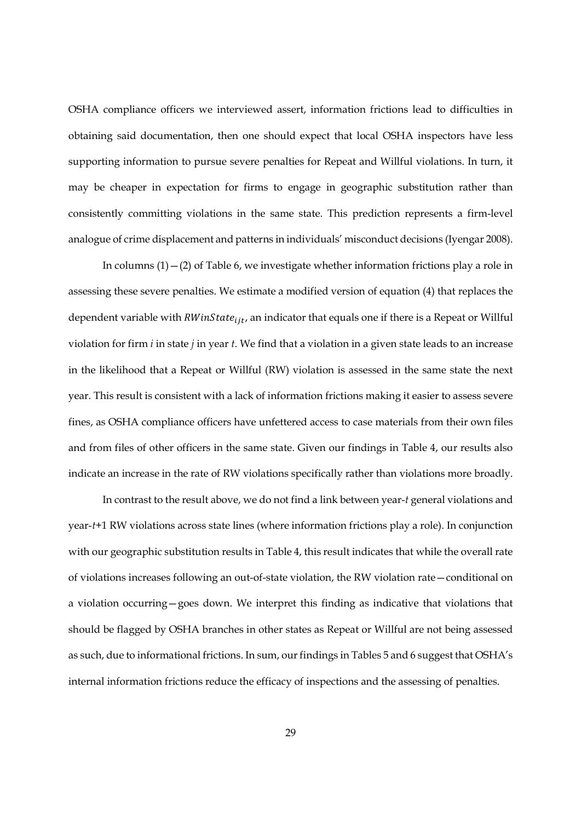OSHA compliance officers we interviewed assert, information frictions lead to difficulties in obtaining said documentation, then one should expect that local OSHA inspectors have less supporting information to pursue severe penalties for Repeat and Willful violations. In turn, it may be cheaper in expectation for firms to engage in geographic substitution rather than consistently committing violations in the same state. This prediction represents a firm-level analogue of crime displacement and patterns in individuals' misconduct decisions (Iyengar 2008).

In columns  $(1) - (2)$  of Table 6, we investigate whether information frictions play a role in assessing these severe penalties. We estimate a modified version of equation (4) that replaces the dependent variable with  $RWinState_{iit}$ , an indicator that equals one if there is a Repeat or Willful violation for firm  $i$  in state  $j$  in year  $t$ . We find that a violation in a given state leads to an increase in the likelihood that a Repeat or Willful (RW) violation is assessed in the same state the next year. This result is consistent with a lack of information frictions making it easier to assess severe fines, as OSHA compliance officers have unfettered access to case materials from their own files and from files of other officers in the same state. Given our findings in Table 4, our results also indicate an increase in the rate of RW violations specifically rather than violations more broadly.

In contrast to the result above, we do not find a link between year-t general violations and year-t+1 RW violations across state lines (where information frictions play a role). In conjunction with our geographic substitution results in Table 4, this result indicates that while the overall rate of violations increases following an out-of-state violation, the RW violation rate—conditional on a violation occurring—goes down. We interpret this finding as indicative that violations that should be flagged by OSHA branches in other states as Repeat or Willful are not being assessed as such, due to informational frictions. In sum, our findings in Tables 5 and 6 suggest that OSHA's internal information frictions reduce the efficacy of inspections and the assessing of penalties.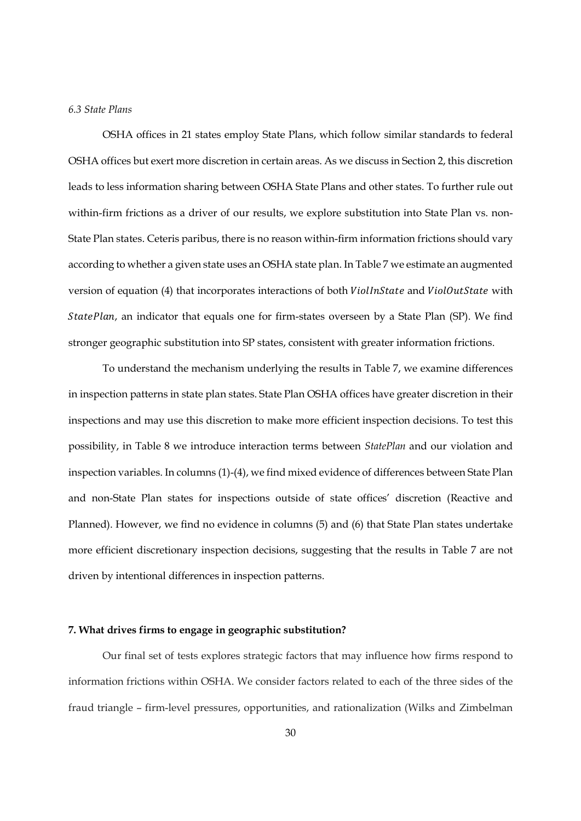## 6.3 State Plans

OSHA offices in 21 states employ State Plans, which follow similar standards to federal OSHA offices but exert more discretion in certain areas. As we discuss in Section 2, this discretion leads to less information sharing between OSHA State Plans and other states. To further rule out within-firm frictions as a driver of our results, we explore substitution into State Plan vs. non-State Plan states. Ceteris paribus, there is no reason within-firm information frictions should vary according to whether a given state uses an OSHA state plan. In Table 7 we estimate an augmented version of equation (4) that incorporates interactions of both ViollnState and ViolOutState with StatePlan, an indicator that equals one for firm-states overseen by a State Plan (SP). We find stronger geographic substitution into SP states, consistent with greater information frictions.

To understand the mechanism underlying the results in Table 7, we examine differences in inspection patterns in state plan states. State Plan OSHA offices have greater discretion in their inspections and may use this discretion to make more efficient inspection decisions. To test this possibility, in Table 8 we introduce interaction terms between StatePlan and our violation and inspection variables. In columns (1)-(4), we find mixed evidence of differences between State Plan and non-State Plan states for inspections outside of state offices' discretion (Reactive and Planned). However, we find no evidence in columns (5) and (6) that State Plan states undertake more efficient discretionary inspection decisions, suggesting that the results in Table 7 are not driven by intentional differences in inspection patterns.

## 7. What drives firms to engage in geographic substitution?

Our final set of tests explores strategic factors that may influence how firms respond to information frictions within OSHA. We consider factors related to each of the three sides of the fraud triangle – firm-level pressures, opportunities, and rationalization (Wilks and Zimbelman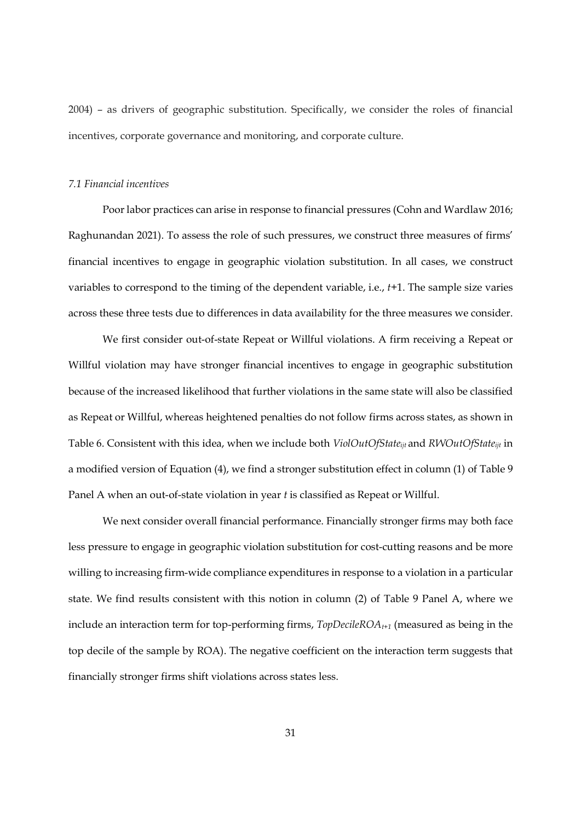2004) – as drivers of geographic substitution. Specifically, we consider the roles of financial incentives, corporate governance and monitoring, and corporate culture.

## 7.1 Financial incentives

Poor labor practices can arise in response to financial pressures (Cohn and Wardlaw 2016; Raghunandan 2021). To assess the role of such pressures, we construct three measures of firms' financial incentives to engage in geographic violation substitution. In all cases, we construct variables to correspond to the timing of the dependent variable, i.e., t+1. The sample size varies across these three tests due to differences in data availability for the three measures we consider.

We first consider out-of-state Repeat or Willful violations. A firm receiving a Repeat or Willful violation may have stronger financial incentives to engage in geographic substitution because of the increased likelihood that further violations in the same state will also be classified as Repeat or Willful, whereas heightened penalties do not follow firms across states, as shown in Table 6. Consistent with this idea, when we include both ViolOutOfState<sub>ijt</sub> and RWOutOfState<sub>ijt</sub> in a modified version of Equation (4), we find a stronger substitution effect in column (1) of Table 9 Panel A when an out-of-state violation in year t is classified as Repeat or Willful.

We next consider overall financial performance. Financially stronger firms may both face less pressure to engage in geographic violation substitution for cost-cutting reasons and be more willing to increasing firm-wide compliance expenditures in response to a violation in a particular state. We find results consistent with this notion in column (2) of Table 9 Panel A, where we include an interaction term for top-performing firms,  $TopDecileROA<sub>t+1</sub>$  (measured as being in the top decile of the sample by ROA). The negative coefficient on the interaction term suggests that financially stronger firms shift violations across states less.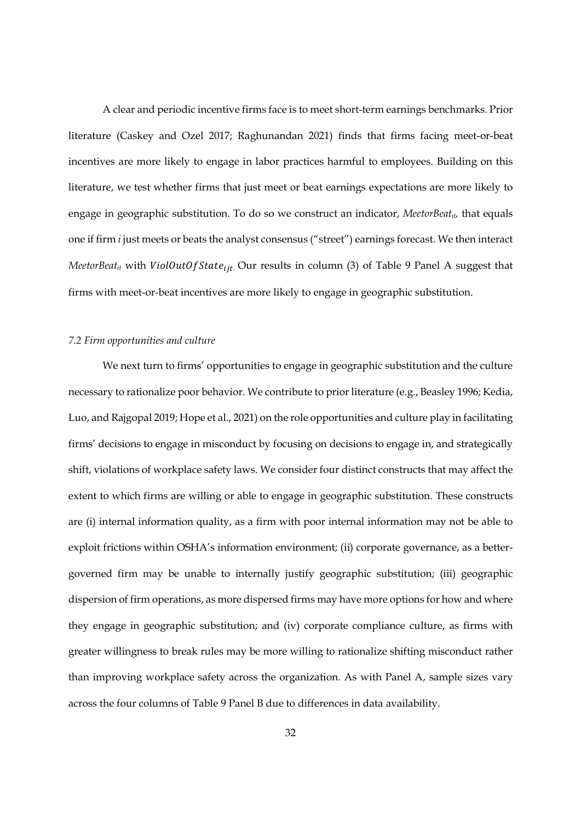A clear and periodic incentive firms face is to meet short-term earnings benchmarks. Prior literature (Caskey and Ozel 2017; Raghunandan 2021) finds that firms facing meet-or-beat incentives are more likely to engage in labor practices harmful to employees. Building on this literature, we test whether firms that just meet or beat earnings expectations are more likely to engage in geographic substitution. To do so we construct an indicator, MeetorBeat<sub>it</sub>, that equals one if firm i just meets or beats the analyst consensus ("street") earnings forecast. We then interact MeetorBeat<sub>it</sub> with ViolOutOfState<sub>iit</sub>. Our results in column (3) of Table 9 Panel A suggest that firms with meet-or-beat incentives are more likely to engage in geographic substitution.

## 7.2 Firm opportunities and culture

We next turn to firms' opportunities to engage in geographic substitution and the culture necessary to rationalize poor behavior. We contribute to prior literature (e.g., Beasley 1996; Kedia, Luo, and Rajgopal 2019; Hope et al., 2021) on the role opportunities and culture play in facilitating firms' decisions to engage in misconduct by focusing on decisions to engage in, and strategically shift, violations of workplace safety laws. We consider four distinct constructs that may affect the extent to which firms are willing or able to engage in geographic substitution. These constructs are (i) internal information quality, as a firm with poor internal information may not be able to exploit frictions within OSHA's information environment; (ii) corporate governance, as a bettergoverned firm may be unable to internally justify geographic substitution; (iii) geographic dispersion of firm operations, as more dispersed firms may have more options for how and where they engage in geographic substitution; and (iv) corporate compliance culture, as firms with greater willingness to break rules may be more willing to rationalize shifting misconduct rather than improving workplace safety across the organization. As with Panel A, sample sizes vary across the four columns of Table 9 Panel B due to differences in data availability.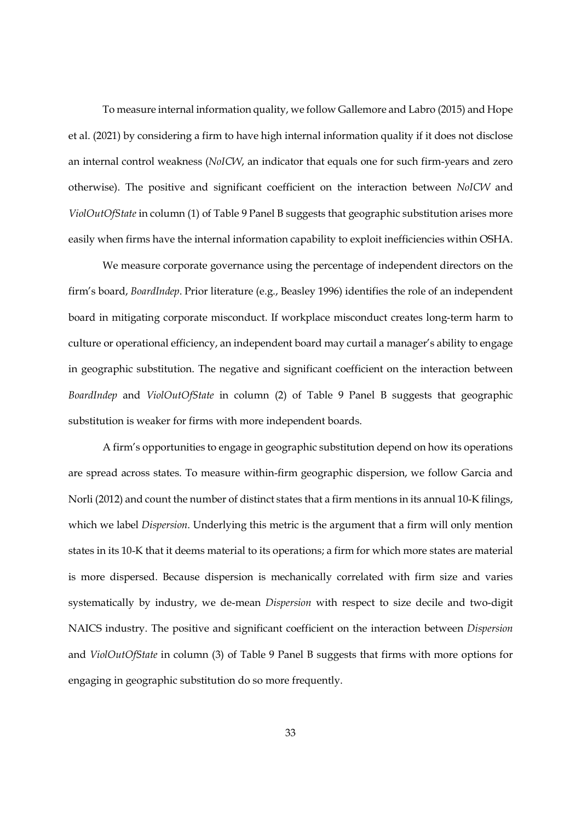To measure internal information quality, we follow Gallemore and Labro (2015) and Hope et al. (2021) by considering a firm to have high internal information quality if it does not disclose an internal control weakness (NoICW, an indicator that equals one for such firm-years and zero otherwise). The positive and significant coefficient on the interaction between NoICW and ViolOutOfState in column (1) of Table 9 Panel B suggests that geographic substitution arises more easily when firms have the internal information capability to exploit inefficiencies within OSHA.

We measure corporate governance using the percentage of independent directors on the firm's board, BoardIndep. Prior literature (e.g., Beasley 1996) identifies the role of an independent board in mitigating corporate misconduct. If workplace misconduct creates long-term harm to culture or operational efficiency, an independent board may curtail a manager's ability to engage in geographic substitution. The negative and significant coefficient on the interaction between BoardIndep and ViolOutOfState in column (2) of Table 9 Panel B suggests that geographic substitution is weaker for firms with more independent boards.

A firm's opportunities to engage in geographic substitution depend on how its operations are spread across states. To measure within-firm geographic dispersion, we follow Garcia and Norli (2012) and count the number of distinct states that a firm mentions in its annual 10-K filings, which we label *Dispersion*. Underlying this metric is the argument that a firm will only mention states in its 10-K that it deems material to its operations; a firm for which more states are material is more dispersed. Because dispersion is mechanically correlated with firm size and varies systematically by industry, we de-mean Dispersion with respect to size decile and two-digit NAICS industry. The positive and significant coefficient on the interaction between Dispersion and ViolOutOfState in column (3) of Table 9 Panel B suggests that firms with more options for engaging in geographic substitution do so more frequently.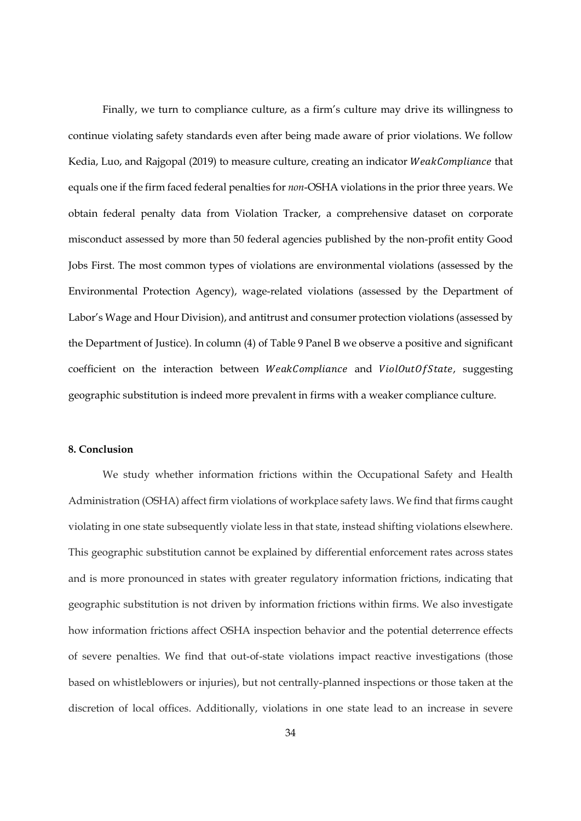Finally, we turn to compliance culture, as a firm's culture may drive its willingness to continue violating safety standards even after being made aware of prior violations. We follow Kedia, Luo, and Rajgopal (2019) to measure culture, creating an indicator  $WeakComplete$  that equals one if the firm faced federal penalties for non-OSHA violations in the prior three years. We obtain federal penalty data from Violation Tracker, a comprehensive dataset on corporate misconduct assessed by more than 50 federal agencies published by the non-profit entity Good Jobs First. The most common types of violations are environmental violations (assessed by the Environmental Protection Agency), wage-related violations (assessed by the Department of Labor's Wage and Hour Division), and antitrust and consumer protection violations (assessed by the Department of Justice). In column (4) of Table 9 Panel B we observe a positive and significant coefficient on the interaction between WeakCompliance and ViolOutOfState, suggesting geographic substitution is indeed more prevalent in firms with a weaker compliance culture.

## 8. Conclusion

We study whether information frictions within the Occupational Safety and Health Administration (OSHA) affect firm violations of workplace safety laws. We find that firms caught violating in one state subsequently violate less in that state, instead shifting violations elsewhere. This geographic substitution cannot be explained by differential enforcement rates across states and is more pronounced in states with greater regulatory information frictions, indicating that geographic substitution is not driven by information frictions within firms. We also investigate how information frictions affect OSHA inspection behavior and the potential deterrence effects of severe penalties. We find that out-of-state violations impact reactive investigations (those based on whistleblowers or injuries), but not centrally-planned inspections or those taken at the discretion of local offices. Additionally, violations in one state lead to an increase in severe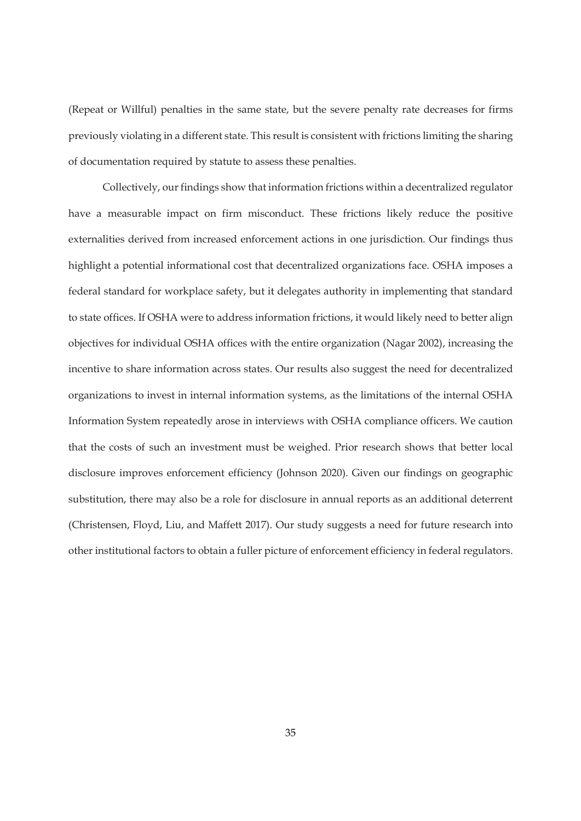(Repeat or Willful) penalties in the same state, but the severe penalty rate decreases for firms previously violating in a different state. This result is consistent with frictions limiting the sharing of documentation required by statute to assess these penalties.

Collectively, our findings show that information frictions within a decentralized regulator have a measurable impact on firm misconduct. These frictions likely reduce the positive externalities derived from increased enforcement actions in one jurisdiction. Our findings thus highlight a potential informational cost that decentralized organizations face. OSHA imposes a federal standard for workplace safety, but it delegates authority in implementing that standard to state offices. If OSHA were to address information frictions, it would likely need to better align objectives for individual OSHA offices with the entire organization (Nagar 2002), increasing the incentive to share information across states. Our results also suggest the need for decentralized organizations to invest in internal information systems, as the limitations of the internal OSHA Information System repeatedly arose in interviews with OSHA compliance officers. We caution that the costs of such an investment must be weighed. Prior research shows that better local disclosure improves enforcement efficiency (Johnson 2020). Given our findings on geographic substitution, there may also be a role for disclosure in annual reports as an additional deterrent (Christensen, Floyd, Liu, and Maffett 2017). Our study suggests a need for future research into other institutional factors to obtain a fuller picture of enforcement efficiency in federal regulators.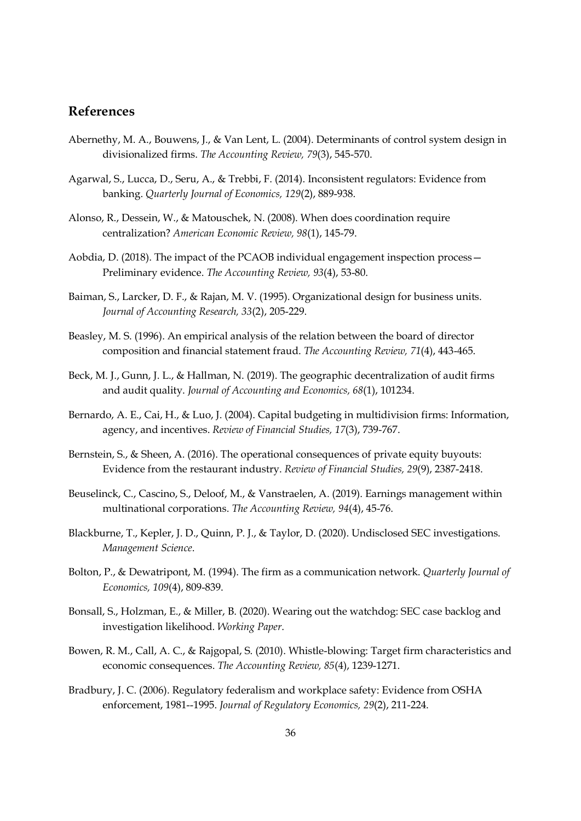## References

- Abernethy, M. A., Bouwens, J., & Van Lent, L. (2004). Determinants of control system design in divisionalized firms. The Accounting Review, 79(3), 545-570.
- Agarwal, S., Lucca, D., Seru, A., & Trebbi, F. (2014). Inconsistent regulators: Evidence from banking. Quarterly Journal of Economics, 129(2), 889-938.
- Alonso, R., Dessein, W., & Matouschek, N. (2008). When does coordination require centralization? American Economic Review, 98(1), 145-79.
- Aobdia, D. (2018). The impact of the PCAOB individual engagement inspection process— Preliminary evidence. The Accounting Review, 93(4), 53-80.
- Baiman, S., Larcker, D. F., & Rajan, M. V. (1995). Organizational design for business units. Journal of Accounting Research, 33(2), 205-229.
- Beasley, M. S. (1996). An empirical analysis of the relation between the board of director composition and financial statement fraud. The Accounting Review, 71(4), 443-465.
- Beck, M. J., Gunn, J. L., & Hallman, N. (2019). The geographic decentralization of audit firms and audit quality. Journal of Accounting and Economics, 68(1), 101234.
- Bernardo, A. E., Cai, H., & Luo, J. (2004). Capital budgeting in multidivision firms: Information, agency, and incentives. Review of Financial Studies, 17(3), 739-767.
- Bernstein, S., & Sheen, A. (2016). The operational consequences of private equity buyouts: Evidence from the restaurant industry. Review of Financial Studies, 29(9), 2387-2418.
- Beuselinck, C., Cascino, S., Deloof, M., & Vanstraelen, A. (2019). Earnings management within multinational corporations. The Accounting Review, 94(4), 45-76.
- Blackburne, T., Kepler, J. D., Quinn, P. J., & Taylor, D. (2020). Undisclosed SEC investigations. Management Science.
- Bolton, P., & Dewatripont, M. (1994). The firm as a communication network. Quarterly Journal of Economics, 109(4), 809-839.
- Bonsall, S., Holzman, E., & Miller, B. (2020). Wearing out the watchdog: SEC case backlog and investigation likelihood. Working Paper.
- Bowen, R. M., Call, A. C., & Rajgopal, S. (2010). Whistle-blowing: Target firm characteristics and economic consequences. The Accounting Review, 85(4), 1239-1271.
- Bradbury, J. C. (2006). Regulatory federalism and workplace safety: Evidence from OSHA enforcement, 1981--1995. Journal of Regulatory Economics, 29(2), 211-224.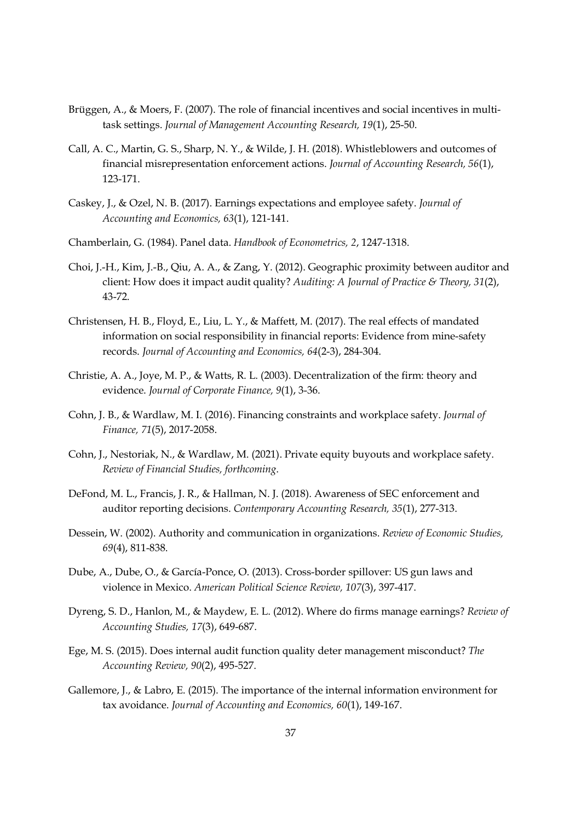- Brüggen, A., & Moers, F. (2007). The role of financial incentives and social incentives in multitask settings. Journal of Management Accounting Research, 19(1), 25-50.
- Call, A. C., Martin, G. S., Sharp, N. Y., & Wilde, J. H. (2018). Whistleblowers and outcomes of financial misrepresentation enforcement actions. Journal of Accounting Research, 56(1), 123-171.
- Caskey, J., & Ozel, N. B. (2017). Earnings expectations and employee safety. Journal of Accounting and Economics, 63(1), 121-141.
- Chamberlain, G. (1984). Panel data. Handbook of Econometrics, 2, 1247-1318.
- Choi, J.-H., Kim, J.-B., Qiu, A. A., & Zang, Y. (2012). Geographic proximity between auditor and client: How does it impact audit quality? Auditing: A Journal of Practice & Theory, 31(2), 43-72.
- Christensen, H. B., Floyd, E., Liu, L. Y., & Maffett, M. (2017). The real effects of mandated information on social responsibility in financial reports: Evidence from mine-safety records. Journal of Accounting and Economics, 64(2-3), 284-304.
- Christie, A. A., Joye, M. P., & Watts, R. L. (2003). Decentralization of the firm: theory and evidence. Journal of Corporate Finance, 9(1), 3-36.
- Cohn, J. B., & Wardlaw, M. I. (2016). Financing constraints and workplace safety. Journal of Finance, 71(5), 2017-2058.
- Cohn, J., Nestoriak, N., & Wardlaw, M. (2021). Private equity buyouts and workplace safety. Review of Financial Studies, forthcoming.
- DeFond, M. L., Francis, J. R., & Hallman, N. J. (2018). Awareness of SEC enforcement and auditor reporting decisions. Contemporary Accounting Research, 35(1), 277-313.
- Dessein, W. (2002). Authority and communication in organizations. Review of Economic Studies, 69(4), 811-838.
- Dube, A., Dube, O., & García-Ponce, O. (2013). Cross-border spillover: US gun laws and violence in Mexico. American Political Science Review, 107(3), 397-417.
- Dyreng, S. D., Hanlon, M., & Maydew, E. L. (2012). Where do firms manage earnings? Review of Accounting Studies, 17(3), 649-687.
- Ege, M. S. (2015). Does internal audit function quality deter management misconduct? The Accounting Review, 90(2), 495-527.
- Gallemore, J., & Labro, E. (2015). The importance of the internal information environment for tax avoidance. Journal of Accounting and Economics, 60(1), 149-167.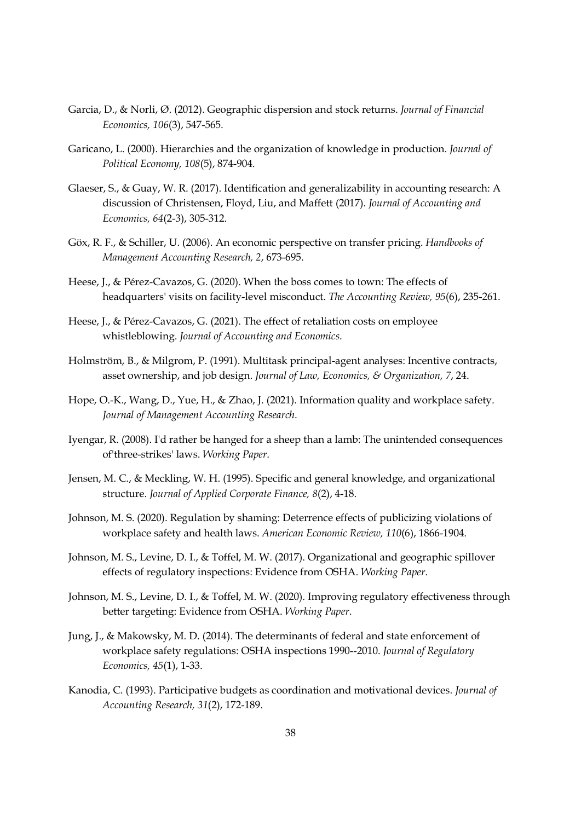- Garcia, D., & Norli, Ø. (2012). Geographic dispersion and stock returns. Journal of Financial Economics, 106(3), 547-565.
- Garicano, L. (2000). Hierarchies and the organization of knowledge in production. Journal of Political Economy, 108(5), 874-904.
- Glaeser, S., & Guay, W. R. (2017). Identification and generalizability in accounting research: A discussion of Christensen, Floyd, Liu, and Maffett (2017). Journal of Accounting and Economics, 64(2-3), 305-312.
- Göx, R. F., & Schiller, U. (2006). An economic perspective on transfer pricing. Handbooks of Management Accounting Research, 2, 673-695.
- Heese, J., & Pérez-Cavazos, G. (2020). When the boss comes to town: The effects of headquarters' visits on facility-level misconduct. The Accounting Review, 95(6), 235-261.
- Heese, J., & Pérez-Cavazos, G. (2021). The effect of retaliation costs on employee whistleblowing. Journal of Accounting and Economics.
- Holmström, B., & Milgrom, P. (1991). Multitask principal-agent analyses: Incentive contracts, asset ownership, and job design. Journal of Law, Economics, & Organization, 7, 24.
- Hope, O.-K., Wang, D., Yue, H., & Zhao, J. (2021). Information quality and workplace safety. Journal of Management Accounting Research.
- Iyengar, R. (2008). I'd rather be hanged for a sheep than a lamb: The unintended consequences of'three-strikes' laws. Working Paper.
- Jensen, M. C., & Meckling, W. H. (1995). Specific and general knowledge, and organizational structure. Journal of Applied Corporate Finance, 8(2), 4-18.
- Johnson, M. S. (2020). Regulation by shaming: Deterrence effects of publicizing violations of workplace safety and health laws. American Economic Review, 110(6), 1866-1904.
- Johnson, M. S., Levine, D. I., & Toffel, M. W. (2017). Organizational and geographic spillover effects of regulatory inspections: Evidence from OSHA. Working Paper.
- Johnson, M. S., Levine, D. I., & Toffel, M. W. (2020). Improving regulatory effectiveness through better targeting: Evidence from OSHA. Working Paper.
- Jung, J., & Makowsky, M. D. (2014). The determinants of federal and state enforcement of workplace safety regulations: OSHA inspections 1990--2010. Journal of Regulatory Economics, 45(1), 1-33.
- Kanodia, C. (1993). Participative budgets as coordination and motivational devices. Journal of Accounting Research, 31(2), 172-189.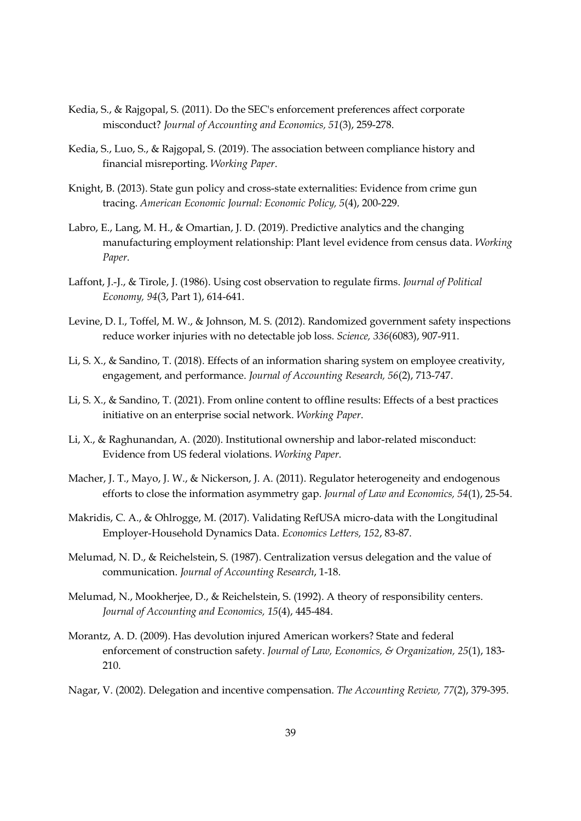- Kedia, S., & Rajgopal, S. (2011). Do the SEC's enforcement preferences affect corporate misconduct? Journal of Accounting and Economics, 51(3), 259-278.
- Kedia, S., Luo, S., & Rajgopal, S. (2019). The association between compliance history and financial misreporting. Working Paper.
- Knight, B. (2013). State gun policy and cross-state externalities: Evidence from crime gun tracing. American Economic Journal: Economic Policy, 5(4), 200-229.
- Labro, E., Lang, M. H., & Omartian, J. D. (2019). Predictive analytics and the changing manufacturing employment relationship: Plant level evidence from census data. Working Paper.
- Laffont, J.-J., & Tirole, J. (1986). Using cost observation to regulate firms. Journal of Political Economy, 94(3, Part 1), 614-641.
- Levine, D. I., Toffel, M. W., & Johnson, M. S. (2012). Randomized government safety inspections reduce worker injuries with no detectable job loss. Science, 336(6083), 907-911.
- Li, S. X., & Sandino, T. (2018). Effects of an information sharing system on employee creativity, engagement, and performance. Journal of Accounting Research, 56(2), 713-747.
- Li, S. X., & Sandino, T. (2021). From online content to offline results: Effects of a best practices initiative on an enterprise social network. Working Paper.
- Li, X., & Raghunandan, A. (2020). Institutional ownership and labor-related misconduct: Evidence from US federal violations. Working Paper.
- Macher, J. T., Mayo, J. W., & Nickerson, J. A. (2011). Regulator heterogeneity and endogenous efforts to close the information asymmetry gap. Journal of Law and Economics, 54(1), 25-54.
- Makridis, C. A., & Ohlrogge, M. (2017). Validating RefUSA micro-data with the Longitudinal Employer-Household Dynamics Data. Economics Letters, 152, 83-87.
- Melumad, N. D., & Reichelstein, S. (1987). Centralization versus delegation and the value of communication. Journal of Accounting Research, 1-18.
- Melumad, N., Mookherjee, D., & Reichelstein, S. (1992). A theory of responsibility centers. Journal of Accounting and Economics, 15(4), 445-484.
- Morantz, A. D. (2009). Has devolution injured American workers? State and federal enforcement of construction safety. Journal of Law, Economics, & Organization, 25(1), 183-210.
- Nagar, V. (2002). Delegation and incentive compensation. The Accounting Review, 77(2), 379-395.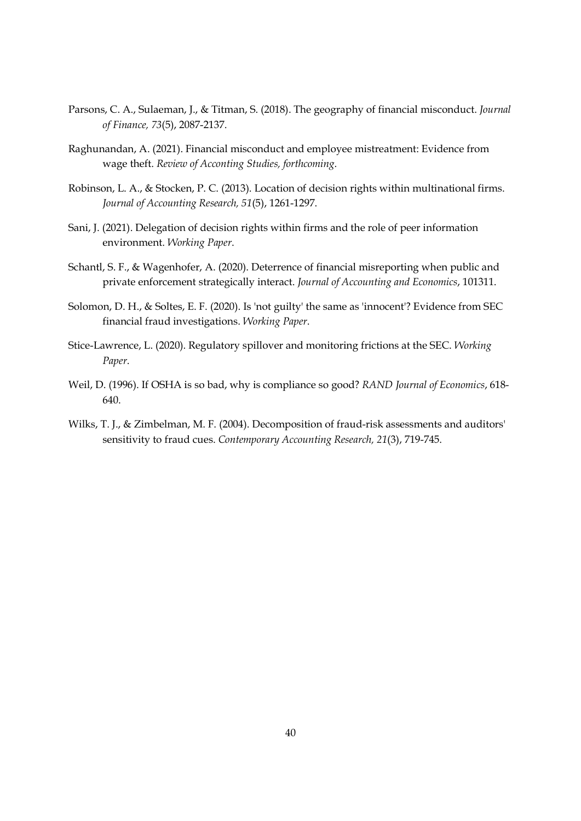- Parsons, C. A., Sulaeman, J., & Titman, S. (2018). The geography of financial misconduct. Journal of Finance, 73(5), 2087-2137.
- Raghunandan, A. (2021). Financial misconduct and employee mistreatment: Evidence from wage theft. Review of Acconting Studies, forthcoming.
- Robinson, L. A., & Stocken, P. C. (2013). Location of decision rights within multinational firms. Journal of Accounting Research, 51(5), 1261-1297.
- Sani, J. (2021). Delegation of decision rights within firms and the role of peer information environment. Working Paper.
- Schantl, S. F., & Wagenhofer, A. (2020). Deterrence of financial misreporting when public and private enforcement strategically interact. Journal of Accounting and Economics, 101311.
- Solomon, D. H., & Soltes, E. F. (2020). Is 'not guilty' the same as 'innocent'? Evidence from SEC financial fraud investigations. Working Paper.
- Stice-Lawrence, L. (2020). Regulatory spillover and monitoring frictions at the SEC. Working Paper.
- Weil, D. (1996). If OSHA is so bad, why is compliance so good? RAND Journal of Economics, 618- 640.
- Wilks, T. J., & Zimbelman, M. F. (2004). Decomposition of fraud-risk assessments and auditors' sensitivity to fraud cues. Contemporary Accounting Research, 21(3), 719-745.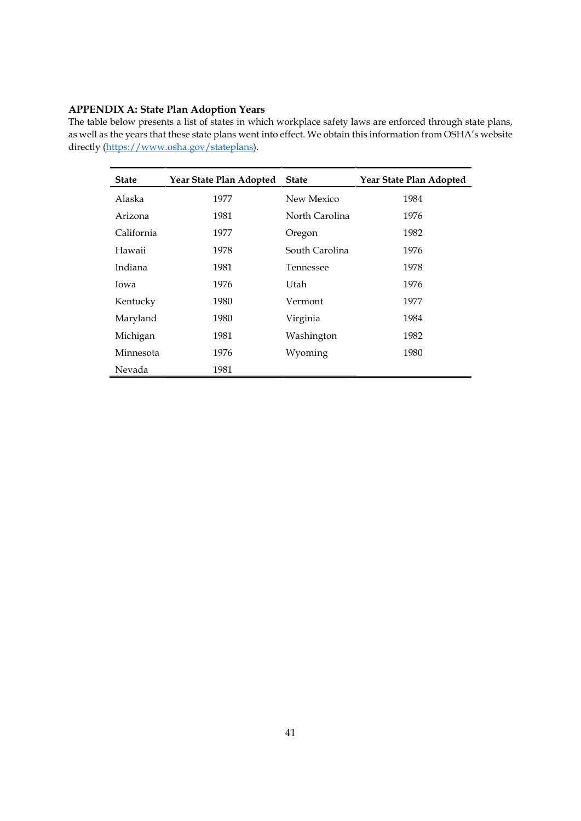## APPENDIX A: State Plan Adoption Years

The table below presents a list of states in which workplace safety laws are enforced through state plans, as well as the years that these state plans went into effect. We obtain this information from OSHA's website directly (https://www.osha.gov/stateplans).

| <b>State</b> | Year State Plan Adopted | <b>State</b>   | Year State Plan Adopted |
|--------------|-------------------------|----------------|-------------------------|
| Alaska       | 1977                    | New Mexico     | 1984                    |
| Arizona      | 1981                    | North Carolina | 1976                    |
| California   | 1977                    | Oregon         | 1982                    |
| Hawaii       | 1978                    | South Carolina | 1976                    |
| Indiana      | 1981                    | Tennessee      | 1978                    |
| Iowa         | 1976                    | Utah           | 1976                    |
| Kentucky     | 1980                    | Vermont        | 1977                    |
| Maryland     | 1980                    | Virginia       | 1984                    |
| Michigan     | 1981                    | Washington     | 1982                    |
| Minnesota    | 1976                    | Wyoming        | 1980                    |
| Nevada       | 1981                    |                |                         |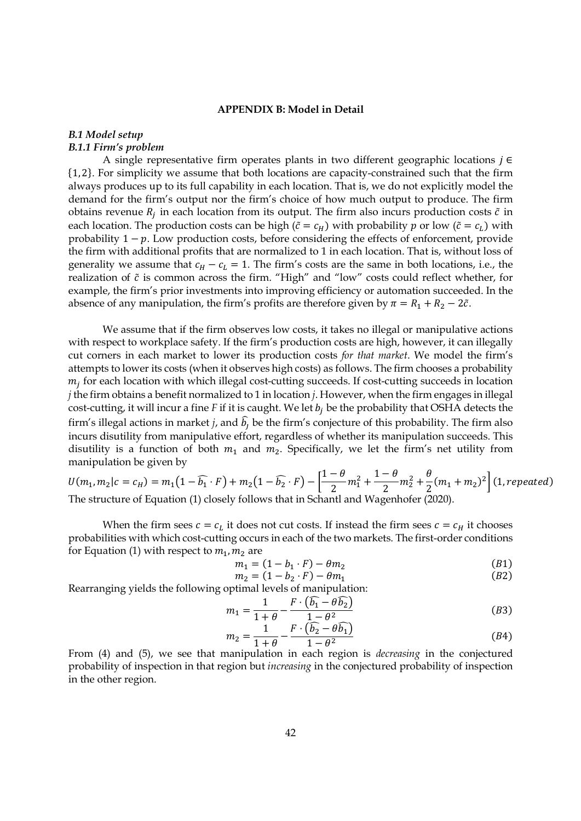## APPENDIX B: Model in Detail

## B.1 Model setup B.1.1 Firm's problem

A single representative firm operates plants in two different geographic locations  $j \in \mathbb{C}$ {1, 2}. For simplicity we assume that both locations are capacity-constrained such that the firm always produces up to its full capability in each location. That is, we do not explicitly model the demand for the firm's output nor the firm's choice of how much output to produce. The firm obtains revenue  $R_j$  in each location from its output. The firm also incurs production costs  $\tilde{c}$  in each location. The production costs can be high ( $\tilde{c} = c_H$ ) with probability p or low ( $\tilde{c} = c_L$ ) with probability  $1 - p$ . Low production costs, before considering the effects of enforcement, provide the firm with additional profits that are normalized to 1 in each location. That is, without loss of generality we assume that  $c_H - c_L = 1$ . The firm's costs are the same in both locations, i.e., the realization of  $\tilde{c}$  is common across the firm. "High" and "low" costs could reflect whether, for example, the firm's prior investments into improving efficiency or automation succeeded. In the absence of any manipulation, the firm's profits are therefore given by  $\pi = R_1 + R_2 - 2\tilde{c}$ .

We assume that if the firm observes low costs, it takes no illegal or manipulative actions with respect to workplace safety. If the firm's production costs are high, however, it can illegally cut corners in each market to lower its production costs for that market. We model the firm's attempts to lower its costs (when it observes high costs) as follows. The firm chooses a probability  $m_j$  for each location with which illegal cost-cutting succeeds. If cost-cutting succeeds in location  $j$  the firm obtains a benefit normalized to 1 in location  $j$ . However, when the firm engages in illegal cost-cutting, it will incur a fine F if it is caught. We let  $b_j$  be the probability that OSHA detects the firm's illegal actions in market *j*, and  $\widehat{b}_j$  be the firm's conjecture of this probability. The firm also incurs disutility from manipulative effort, regardless of whether its manipulation succeeds. This disutility is a function of both  $m_1$  and  $m_2$ . Specifically, we let the firm's net utility from manipulation be given by

$$
U(m_1, m_2 | c = c_H) = m_1 (1 - \widehat{b_1} \cdot F) + m_2 (1 - \widehat{b_2} \cdot F) - \left[ \frac{1 - \theta}{2} m_1^2 + \frac{1 - \theta}{2} m_2^2 + \frac{\theta}{2} (m_1 + m_2)^2 \right] (1, repeated)
$$
  
The structure of Equation (1) closely follows that in Schantl and Wagenhofer (2020).

When the firm sees  $c = c_L$  it does not cut costs. If instead the firm sees  $c = c_H$  it chooses probabilities with which cost-cutting occurs in each of the two markets. The first-order conditions for Equation (1) with respect to  $m_1, m_2$  are

$$
m_1 = (1 - b_1 \cdot F) - \theta m_2 \tag{B1}
$$

$$
m_2 = (1 - b_2 \cdot F) - \theta m_1 \tag{B2}
$$

Rearranging yields the following optimal levels of manipulation:

$$
m_1 = \frac{1}{1+\theta} - \frac{F \cdot (\widehat{b_1} - \theta \widehat{b_2})}{1-\theta^2} \tag{B3}
$$

$$
m_2 = \frac{1}{1+\theta} - \frac{F \cdot (\widehat{b_2} - \theta \widehat{b_1})}{1 - \theta^2}
$$
 (B4)

From (4) and (5), we see that manipulation in each region is *decreasing* in the conjectured probability of inspection in that region but increasing in the conjectured probability of inspection in the other region.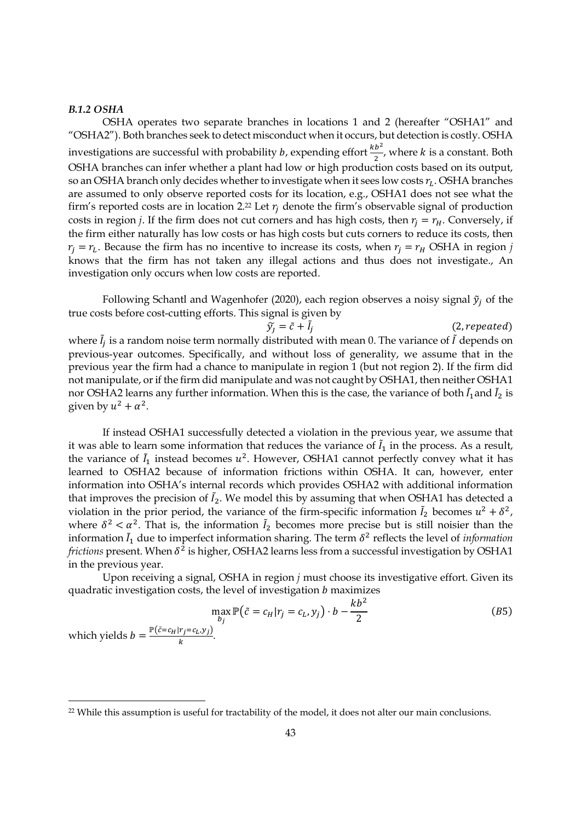### B.1.2 OSHA

OSHA operates two separate branches in locations 1 and 2 (hereafter "OSHA1" and "OSHA2"). Both branches seek to detect misconduct when it occurs, but detection is costly. OSHA investigations are successful with probability *b*, expending effort  $\frac{kb^2}{2}$ , where *k* is a constant. Both OSHA branches can infer whether a plant had low or high production costs based on its output, so an OSHA branch only decides whether to investigate when it sees low costs  $r_L$ . OSHA branches are assumed to only observe reported costs for its location, e.g., OSHA1 does not see what the firm's reported costs are in location 2.<sup>22</sup> Let  $r_j$  denote the firm's observable signal of production costs in region *j*. If the firm does not cut corners and has high costs, then  $r_i = r_H$ . Conversely, if the firm either naturally has low costs or has high costs but cuts corners to reduce its costs, then  $r_j = r_L$ . Because the firm has no incentive to increase its costs, when  $r_j = r_H$  OSHA in region j knows that the firm has not taken any illegal actions and thus does not investigate., An investigation only occurs when low costs are reported.

Following Schantl and Wagenhofer (2020), each region observes a noisy signal  $\tilde{y}_j$  of the true costs before cost-cutting efforts. This signal is given by

 $\widetilde{y}_j = \tilde{c} + \tilde{l}_j$  $(2, repeated)$ where  $\tilde{l}_j$  is a random noise term normally distributed with mean 0. The variance of  $\tilde{l}$  depends on previous-year outcomes. Specifically, and without loss of generality, we assume that in the previous year the firm had a chance to manipulate in region 1 (but not region 2). If the firm did not manipulate, or if the firm did manipulate and was not caught by OSHA1, then neither OSHA1 nor OSHA2 learns any further information. When this is the case, the variance of both  $\tilde{I}_1$  and  $\tilde{I}_2$  is given by  $u^2 + \alpha^2$ .

If instead OSHA1 successfully detected a violation in the previous year, we assume that it was able to learn some information that reduces the variance of  $\tilde{I}_1$  in the process. As a result, the variance of  $\tilde{I}_1$  instead becomes  $u^2$ . However, OSHA1 cannot perfectly convey what it has learned to OSHA2 because of information frictions within OSHA. It can, however, enter information into OSHA's internal records which provides OSHA2 with additional information that improves the precision of  $I_2$ . We model this by assuming that when OSHA1 has detected a violation in the prior period, the variance of the firm-specific information  $\tilde{I}_2$  becomes  $u^2 + \delta^2$ , where  $\delta^2 < \alpha^2$ . That is, the information  $\tilde{I}_2$  becomes more precise but is still noisier than the information  $\tilde{l}_1$  due to imperfect information sharing. The term  $\delta^2$  reflects the level of *information* frictions present. When  $\delta^2$  is higher, OSHA2 learns less from a successful investigation by OSHA1 in the previous year.

Upon receiving a signal, OSHA in region j must choose its investigative effort. Given its quadratic investigation costs, the level of investigation  $b$  maximizes

$$
\max_{b_j} \mathbb{P}\left(\tilde{c} = c_H | r_j = c_L, y_j\right) \cdot b - \frac{kb^2}{2}
$$
\nwhich yields 
$$
b = \frac{\mathbb{P}(\tilde{c} = c_H | r_j = c_L, y_j)}{\mathbb{P}(b)}.
$$

which yields  $b =$  $\boldsymbol{k}$ .

<sup>&</sup>lt;sup>22</sup> While this assumption is useful for tractability of the model, it does not alter our main conclusions.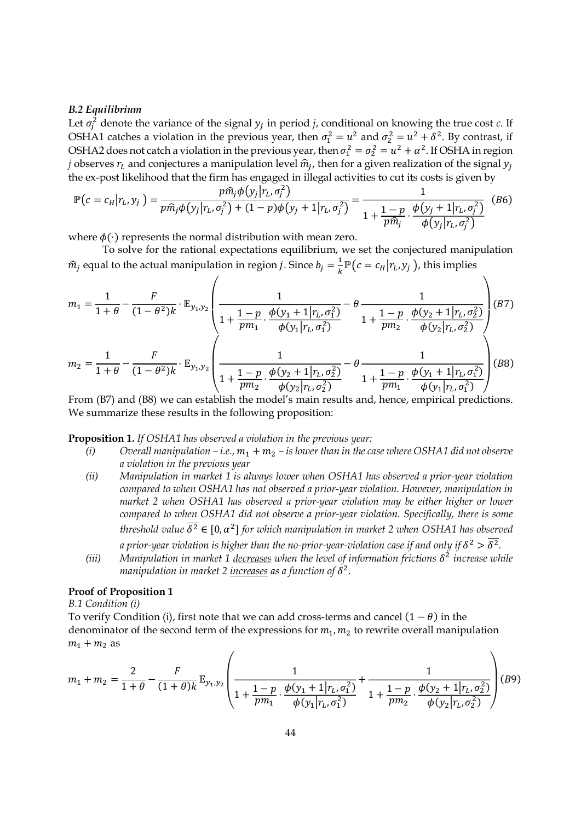## B.2 Equilibrium

Let  $\sigma_j^2$  denote the variance of the signal  $y_j$  in period j, conditional on knowing the true cost c. If OSHA1 catches a violation in the previous year, then  $\sigma_1^2 = u^2$  and  $\sigma_2^2 = u^2 + \delta^2$ . By contrast, if OSHA2 does not catch a violation in the previous year, then  $\sigma_1^2 = \sigma_2^2 = u^2 + \alpha^2$ . If OSHA in region *j* observes  $r_L$  and conjectures a manipulation level  $\widehat{m}_j$ , then for a given realization of the signal  $y_j$ the ex-post likelihood that the firm has engaged in illegal activities to cut its costs is given by

$$
\mathbb{P}(c = c_H | r_L, y_j) = \frac{p \hat{m}_j \phi(y_j | r_L, \sigma_j^2)}{p \hat{m}_j \phi(y_j | r_L, \sigma_j^2) + (1 - p) \phi(y_j + 1 | r_L, \sigma_j^2)} = \frac{1}{1 + \frac{1 - p}{p \hat{m}_j} \cdot \frac{\phi(y_j + 1 | r_L, \sigma_j^2)}{\phi(y_j | r_L, \sigma_j^2)}} \tag{B6}
$$

where  $\phi(\cdot)$  represents the normal distribution with mean zero.

To solve for the rational expectations equilibrium, we set the conjectured manipulation  $\widehat{m}_j$  equal to the actual manipulation in region *j*. Since  $b_j = \frac{1}{\nu}$  $\frac{1}{k} \mathbb{P}\big(c = c_H | r_L, y_j\big)$ , this implies

$$
m_1 = \frac{1}{1+\theta} - \frac{F}{(1-\theta^2)k} \cdot \mathbb{E}_{y_1, y_2} \left( \frac{1}{1 + \frac{1-p}{pm_1} \cdot \frac{\phi(y_1 + 1|r_L, \sigma_1^2)}{\phi(y_1|r_L, \sigma_1^2)}} - \theta \frac{1}{1 + \frac{1-p}{pm_2} \cdot \frac{\phi(y_2 + 1|r_L, \sigma_2^2)}{\phi(y_2|r_L, \sigma_2^2)}} \right) (B7)
$$
  

$$
m_2 = \frac{1}{1+\theta} - \frac{F}{(1-\theta^2)k} \cdot \mathbb{E}_{y_1, y_2} \left( \frac{1}{1 + \frac{1-p}{pm_2} \cdot \frac{\phi(y_2 + 1|r_L, \sigma_2^2)}{\phi(y_2|r_L, \sigma_2^2)}} - \theta \frac{1}{1 + \frac{1-p}{pm_1} \cdot \frac{\phi(y_1 + 1|r_L, \sigma_1^2)}{\phi(y_1|r_L, \sigma_1^2)}} \right) (B8)
$$

 $\Delta$  $\phi(y_1|r_L, \sigma_1^2)$  / From (B7) and (B8) we can establish the model's main results and, hence, empirical predictions. We summarize these results in the following proposition:

## Proposition 1. If OSHA1 has observed a violation in the previous year:

- (i) Overall manipulation i.e.,  $m_1 + m_2$  is lower than in the case where OSHA1 did not observe a violation in the previous year
- (ii) Manipulation in market 1 is always lower when OSHA1 has observed a prior-year violation compared to when OSHA1 has not observed a prior-year violation. However, manipulation in market 2 when OSHA1 has observed a prior-year violation may be either higher or lower compared to when OSHA1 did not observe a prior-year violation. Specifically, there is some threshold value  $\overline{\delta^2} \in [0, \alpha^2]$  for which manipulation in market 2 when OSHA1 has observed a prior-year violation is higher than the no-prior-year-violation case if and only if  $\delta^2 > \delta^2$ .
- (iii) Manipulation in market 1 decreases when the level of information frictions  $\delta^2$  increase while manipulation in market 2 increases as a function of  $\delta^2$ .

## Proof of Proposition 1

### B.1 Condition (i)

To verify Condition (i), first note that we can add cross-terms and cancel  $(1 - \theta)$  in the denominator of the second term of the expressions for  $m_1, m_2$  to rewrite overall manipulation  $m_1 + m_2$  as

$$
m_1 + m_2 = \frac{2}{1+\theta} - \frac{F}{(1+\theta)k} \mathbb{E}_{y_1, y_2} \left( \frac{1}{1 + \frac{1-p}{pm_1} \cdot \frac{\phi(y_1 + 1 | r_L, \sigma_1^2)}{\phi(y_1 | r_L, \sigma_1^2)}} + \frac{1}{1 + \frac{1-p}{pm_2} \cdot \frac{\phi(y_2 + 1 | r_L, \sigma_2^2)}{\phi(y_2 | r_L, \sigma_2^2)}} \right) (B9)
$$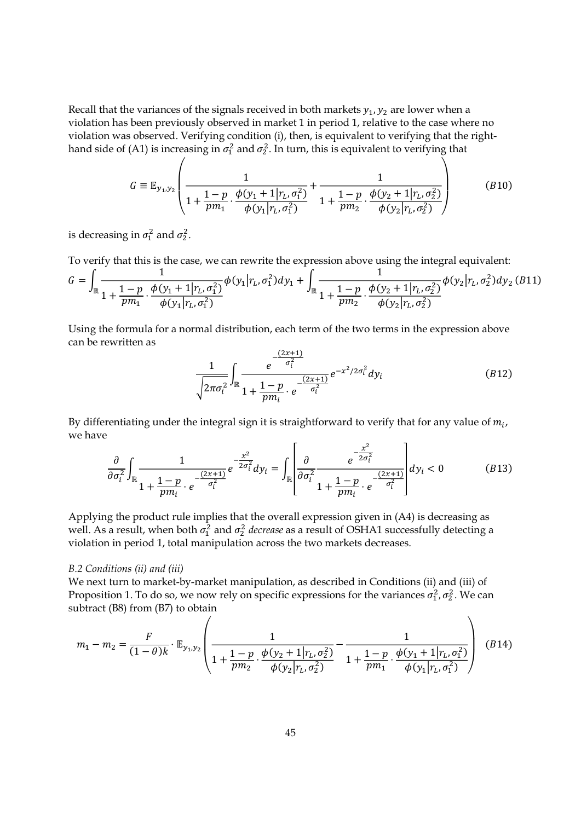Recall that the variances of the signals received in both markets  $y_1$ ,  $y_2$  are lower when a violation has been previously observed in market 1 in period 1, relative to the case where no violation was observed. Verifying condition (i), then, is equivalent to verifying that the righthand side of (A1) is increasing in  $\sigma_1^2$  and  $\sigma_2^2$ . In turn, this is equivalent to verifying that

$$
G \equiv \mathbb{E}_{y_1, y_2} \left( \frac{1}{1 + \frac{1 - p}{pm_1} \cdot \frac{\phi(y_1 + 1 | r_L, \sigma_1^2)}{\phi(y_1 | r_L, \sigma_1^2)}} + \frac{1}{1 + \frac{1 - p}{pm_2} \cdot \frac{\phi(y_2 + 1 | r_L, \sigma_2^2)}{\phi(y_2 | r_L, \sigma_2^2)}} \right)
$$
(B10)

is decreasing in  $\sigma_1^2$  and  $\sigma_2^2$ .

To verify that this is the case, we can rewrite the expression above using the integral equivalent:

$$
G = \int_{\mathbb{R}} \frac{1}{1 + \frac{1 - p}{pm_1} \cdot \frac{\phi(y_1 + 1 | r_L, \sigma_1^2)}{\phi(y_1 | r_L, \sigma_1^2)}} \phi(y_1 | r_L, \sigma_1^2) dy_1 + \int_{\mathbb{R}} \frac{1}{1 + \frac{1 - p}{pm_2} \cdot \frac{\phi(y_2 + 1 | r_L, \sigma_2^2)}{\phi(y_2 | r_L, \sigma_2^2)}} \phi(y_2 | r_L, \sigma_2^2) dy_2 \quad (B11)
$$

Using the formula for a normal distribution, each term of the two terms in the expression above can be rewritten as  $(9.11)$ 

$$
\frac{1}{\sqrt{2\pi\sigma_i^2}} \int_{\mathbb{R}} \frac{e^{-\frac{(2x+1)}{\sigma_i^2}}}{1 + \frac{1-p}{pm_i} \cdot e^{-\frac{(2x+1)}{\sigma_i^2}}} e^{-x^2/2\sigma_i^2} dy_i
$$
(B12)

By differentiating under the integral sign it is straightforward to verify that for any value of  $m_i$ , we have  $\overline{1}$ 

$$
\frac{\partial}{\partial \sigma_i^2} \int_{\mathbb{R}} \frac{1}{1 + \frac{1 - p}{pm_i} \cdot e^{-\frac{(2x + 1)}{\sigma_i^2}}} e^{-\frac{x^2}{2\sigma_i^2}} dy_i = \int_{\mathbb{R}} \left[ \frac{\partial}{\partial \sigma_i^2} \frac{e^{-\frac{x^2}{2\sigma_i^2}}}{1 + \frac{1 - p}{pm_i} \cdot e^{-\frac{(2x + 1)}{\sigma_i^2}}} \right] dy_i < 0 \tag{B13}
$$

Applying the product rule implies that the overall expression given in (A4) is decreasing as well. As a result, when both  $\sigma_1^2$  and  $\sigma_2^2$  decrease as a result of OSHA1 successfully detecting a violation in period 1, total manipulation across the two markets decreases.

### B.2 Conditions (ii) and (iii)

We next turn to market-by-market manipulation, as described in Conditions (ii) and (iii) of Proposition 1. To do so, we now rely on specific expressions for the variances  $\sigma_1^2$ ,  $\sigma_2^2$ . We can subtract (B8) from (B7) to obtain

$$
m_1 - m_2 = \frac{F}{(1-\theta)k} \cdot \mathbb{E}_{y_1, y_2} \left( \frac{1}{1 + \frac{1-p}{pm_2} \cdot \frac{\phi(y_2 + 1 | r_L, \sigma_2^2)}{\phi(y_2 | r_L, \sigma_2^2)}} - \frac{1}{1 + \frac{1-p}{pm_1} \cdot \frac{\phi(y_1 + 1 | r_L, \sigma_1^2)}{\phi(y_1 | r_L, \sigma_1^2)}} \right)
$$
(B14)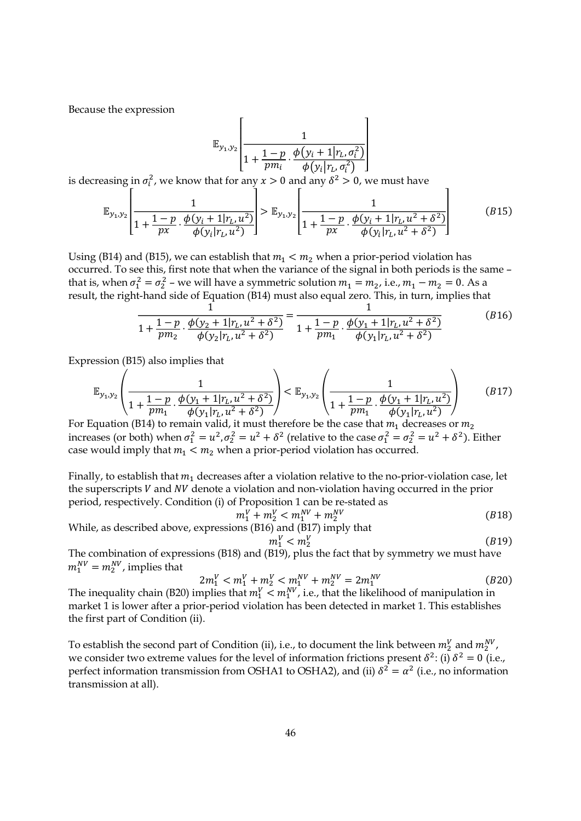Because the expression

$$
\mathbb{E}_{y_1, y_2} \left[ \frac{1}{1 + \frac{1 - p}{pm_i} \cdot \frac{\phi(y_i + 1 | r_L, \sigma_i^2)}{\phi(y_i | r_L, \sigma_i^2)}} \right]
$$

is decreasing in  $\sigma_i^2$ , we know that for any  $x > 0$  and any  $\delta^2 > 0$ , we must have

$$
\mathbb{E}_{y_1, y_2} \left[ \frac{1}{1 + \frac{1 - p}{px} \cdot \frac{\phi(y_i + 1 | r_L, u^2)}{\phi(y_i | r_L, u^2)}} \right] > \mathbb{E}_{y_1, y_2} \left[ \frac{1}{1 + \frac{1 - p}{px} \cdot \frac{\phi(y_i + 1 | r_L, u^2 + \delta^2)}{\phi(y_i | r_L, u^2 + \delta^2)}} \right] \tag{B15}
$$

Using (B14) and (B15), we can establish that  $m_1 < m_2$  when a prior-period violation has occurred. To see this, first note that when the variance of the signal in both periods is the same – that is, when  $\sigma_1^2 = \sigma_2^2$  – we will have a symmetric solution  $m_1 = m_2$ , i.e.,  $m_1 - m_2 = 0$ . As a result, the right-hand side of Equation (B14) must also equal zero. This, in turn, implies that 1 1

$$
\frac{1}{1 + \frac{1 - p}{pm_2} \cdot \frac{\phi(y_2 + 1 | r_L, u^2 + \delta^2)}{\phi(y_2 | r_L, u^2 + \delta^2)}} = \frac{1}{1 + \frac{1 - p}{pm_1} \cdot \frac{\phi(y_1 + 1 | r_L, u^2 + \delta^2)}{\phi(y_1 | r_L, u^2 + \delta^2)}}
$$
(B16)

Expression (B15) also implies that

$$
\mathbb{E}_{y_1, y_2} \left( \frac{1}{1 + \frac{1 - p}{pm_1} \cdot \frac{\phi(y_1 + 1 | r_L, u^2 + \delta^2)}{\phi(y_1 | r_L, u^2 + \delta^2)}} \right) < \mathbb{E}_{y_1, y_2} \left( \frac{1}{1 + \frac{1 - p}{pm_1} \cdot \frac{\phi(y_1 + 1 | r_L, u^2)}{\phi(y_1 | r_L, u^2)}} \right) \tag{B17}
$$

For Equation (B14) to remain valid, it must therefore be the case that  $m_1$  decreases or  $m_2$ increases (or both) when  $\sigma_1^2 = u^2$ ,  $\sigma_2^2 = u^2 + \delta^2$  (relative to the case  $\sigma_1^2 = \sigma_2^2 = u^2 + \delta^2$ ). Either case would imply that  $m_1 < m_2$  when a prior-period violation has occurred.

Finally, to establish that  $m_1$  decreases after a violation relative to the no-prior-violation case, let the superscripts  $V$  and  $\overline{N}V$  denote a violation and non-violation having occurred in the prior period, respectively. Condition (i) of Proposition 1 can be re-stated as

$$
m_1^V + m_2^V < m_1^{NV} + m_2^{NV} \tag{B18}
$$

 $\mathbf{I}$ 

While, as described above, expressions (B16) and (B17) imply that  $m_1^V < m_2^V$  $\frac{V}{2}$  (B19)

The combination of expressions (B18) and (B19), plus the fact that by symmetry we must have  $m_1^{NV} = m_2^{NV}$ , implies that

$$
2m_1^V < m_1^V + m_2^V < m_1^{NV} + m_2^{NV} = 2m_1^{NV} \tag{B20}
$$

The inequality chain (B20) implies that  $m_1^V < m_1^{NV}$ , i.e., that the likelihood of manipulation in market 1 is lower after a prior-period violation has been detected in market 1. This establishes the first part of Condition (ii).

To establish the second part of Condition (ii), i.e., to document the link between  $m_2^V$  and  $m_2^{NV}$ , we consider two extreme values for the level of information frictions present  $\delta^2$ : (i)  $\delta^2 = 0$  (i.e., perfect information transmission from OSHA1 to OSHA2), and (ii)  $\delta^2 = \alpha^2$  (i.e., no information transmission at all).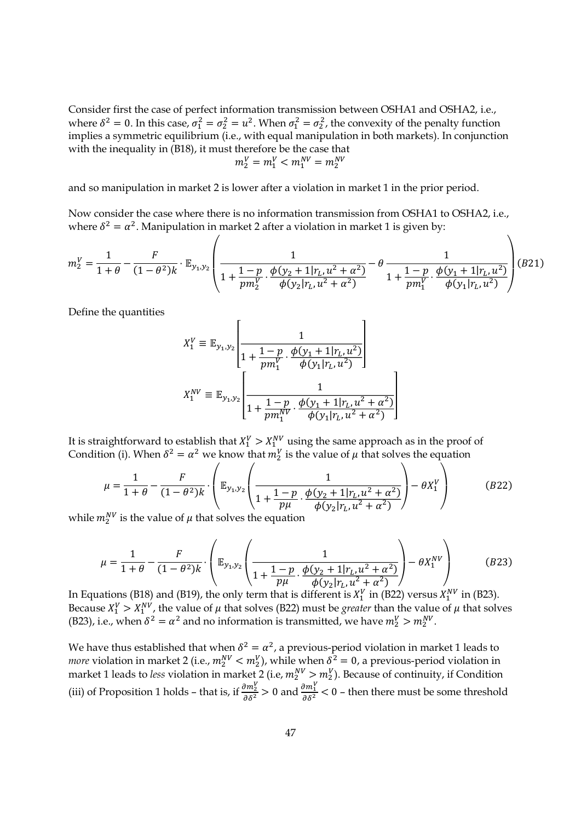Consider first the case of perfect information transmission between OSHA1 and OSHA2, i.e., where  $\delta^2 = 0$ . In this case,  $\sigma_1^2 = \sigma_2^2 = u^2$ . When  $\sigma_1^2 = \sigma_2^2$ , the convexity of the penalty function implies a symmetric equilibrium (i.e., with equal manipulation in both markets). In conjunction with the inequality in (B18), it must therefore be the case that

$$
m_2^V = m_1^V < m_1^{NV} = m_2^{NV}
$$

and so manipulation in market 2 is lower after a violation in market 1 in the prior period.

Now consider the case where there is no information transmission from OSHA1 to OSHA2, i.e., where  $\delta^2 = \alpha^2$ . Manipulation in market 2 after a violation in market 1 is given by:  $\overline{\phantom{0}}$ 

$$
m_2^V = \frac{1}{1+\theta} - \frac{F}{(1-\theta^2)k} \cdot \mathbb{E}_{y_1, y_2} \left( \frac{1}{1 + \frac{1-p}{pm_2^V} \cdot \frac{\phi(y_2 + 1|r_L, u^2 + \alpha^2)}{\phi(y_2|r_L, u^2 + \alpha^2)}} - \theta \frac{1}{1 + \frac{1-p}{pm_1^V} \cdot \frac{\phi(y_1 + 1|r_L, u^2)}{\phi(y_1|r_L, u^2)}} \right) (B21)
$$

 $\overline{1}$ 

Define the quantities

$$
X_1^V \equiv \mathbb{E}_{y_1, y_2} \left[ \frac{1}{1 + \frac{1 - p}{pm_1^V} \cdot \frac{\phi(y_1 + 1 | r_L, u^2)}{\phi(y_1 | r_L, u^2)}} \right]
$$
  

$$
X_1^{NV} \equiv \mathbb{E}_{y_1, y_2} \left[ \frac{1}{1 + \frac{1 - p}{pm_1^{NV}} \cdot \frac{\phi(y_1 + 1 | r_L, u^2 + \alpha^2)}{\phi(y_1 | r_L, u^2 + \alpha^2)}} \right]
$$

It is straightforward to establish that  $X_1^V > X_1^{NV}$  using the same approach as in the proof of Condition (i). When  $\delta^2 = \alpha^2$  we know that  $m_2^V$  is the value of  $\mu$  that solves the equation

$$
\mu = \frac{1}{1+\theta} - \frac{F}{(1-\theta^2)k} \cdot \left( \mathbb{E}_{y_1, y_2} \left( \frac{1}{1+\frac{1-p}{p\mu} \cdot \frac{\phi(y_2+1|r_L, u^2+\alpha^2)}{\phi(y_2|r_L, u^2+\alpha^2)}} \right) - \theta X_1^V \right)
$$
(B22)

while  $m_2^{NV}$  is the value of  $\mu$  that solves the equation

$$
\mu = \frac{1}{1+\theta} - \frac{F}{(1-\theta^2)k} \cdot \left( \mathbb{E}_{y_1, y_2} \left( \frac{1}{1 + \frac{1-p}{p\mu} \cdot \frac{\phi(y_2 + 1|r_L, u^2 + \alpha^2)}{\phi(y_2|r_L, u^2 + \alpha^2)}} \right) - \theta X_1^{NV} \right)
$$
(B23)

In Equations (B18) and (B19), the only term that is different is  $X_1^V$  in (B22) versus  $X_1^{NV}$  in (B23). Because  $X_1^V > X_1^{NV}$ , the value of  $\mu$  that solves (B22) must be *greater* than the value of  $\mu$  that solves (B23), i.e., when  $\delta^2 = \alpha^2$  and no information is transmitted, we have  $m_2^V > m_2^{NV}$ .

We have thus established that when  $\delta^2 = \alpha^2$ , a previous-period violation in market 1 leads to *more* violation in market 2 (i.e.,  $m_2^{NV} < m_2^{V}$ ), while when  $\delta^2 = 0$ , a previous-period violation in market 1 leads to *less* violation in market 2 (i.e,  $m_2^{VV} > m_2^{V}$ ). Because of continuity, if Condition (iii) of Proposition 1 holds – that is, if  $\frac{\partial m_2^V}{\partial \delta^2} > 0$  and  $\frac{\partial m_1^V}{\partial \delta^2} < 0$  – then there must be some threshold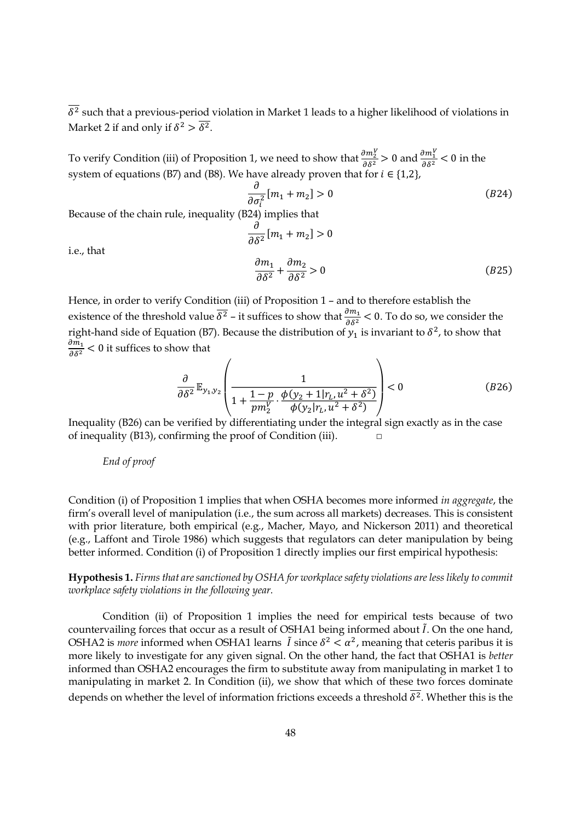$\delta^2$  such that a previous-period violation in Market 1 leads to a higher likelihood of violations in Market 2 if and only if  $\delta^2 > \delta^2$ .

To verify Condition (iii) of Proposition 1, we need to show that  $\frac{\partial m_2^V}{\partial \delta^2} > 0$  and  $\frac{\partial m_1^V}{\partial \delta^2} < 0$  in the system of equations (B7) and (B8). We have already proven that for  $i \in \{1,2\}$ ,

 $\partial$  $\frac{\partial}{\partial \sigma_i^2} [m_1 + m_2] > 0$  (B24)

Because of the chain rule, inequality  $(B24)$  implies that д

i.e., that

$$
\frac{\partial m_1}{\partial \delta^2} + \frac{\partial m_2}{\partial \delta^2} > 0
$$
 (B25)

Hence, in order to verify Condition (iii) of Proposition 1 – and to therefore establish the existence of the threshold value  $\overline{\delta^2}$  – it suffices to show that  $\frac{\partial m_1}{\partial \delta^2}$  < 0. To do so, we consider the right-hand side of Equation (B7). Because the distribution of  $y_1$  is invariant to  $\delta^2$ , to show that  $\frac{\partial m_1}{\partial \delta^2}$  < 0 it suffices to show that

 $\frac{\partial}{\partial \delta^2} [m_1 + m_2] > 0$ 

$$
\frac{\partial}{\partial \delta^2} \mathbb{E}_{y_1, y_2} \left( \frac{1}{1 + \frac{1 - p}{pm_2'} \cdot \frac{\phi(y_2 + 1 | r_L, u^2 + \delta^2)}{\phi(y_2 | r_L, u^2 + \delta^2)}} \right) < 0
$$
\n(B26)

Inequality (B26) can be verified by differentiating under the integral sign exactly as in the case of inequality (B13), confirming the proof of Condition (iii).  $\Box$ 

## End of proof

Condition (i) of Proposition 1 implies that when OSHA becomes more informed in aggregate, the firm's overall level of manipulation (i.e., the sum across all markets) decreases. This is consistent with prior literature, both empirical (e.g., Macher, Mayo, and Nickerson 2011) and theoretical (e.g., Laffont and Tirole 1986) which suggests that regulators can deter manipulation by being better informed. Condition (i) of Proposition 1 directly implies our first empirical hypothesis:

Hypothesis 1. Firms that are sanctioned by OSHA for workplace safety violations are less likely to commit workplace safety violations in the following year.

Condition (ii) of Proposition 1 implies the need for empirical tests because of two countervailing forces that occur as a result of OSHA1 being informed about  $\tilde{l}$ . On the one hand, OSHA2 is *more* informed when OSHA1 learns  $\tilde{l}$  since  $\delta^2 < \alpha^2$ , meaning that ceteris paribus it is more likely to investigate for any given signal. On the other hand, the fact that OSHA1 is better informed than OSHA2 encourages the firm to substitute away from manipulating in market 1 to manipulating in market 2. In Condition (ii), we show that which of these two forces dominate depends on whether the level of information frictions exceeds a threshold  $\delta^2$ . Whether this is the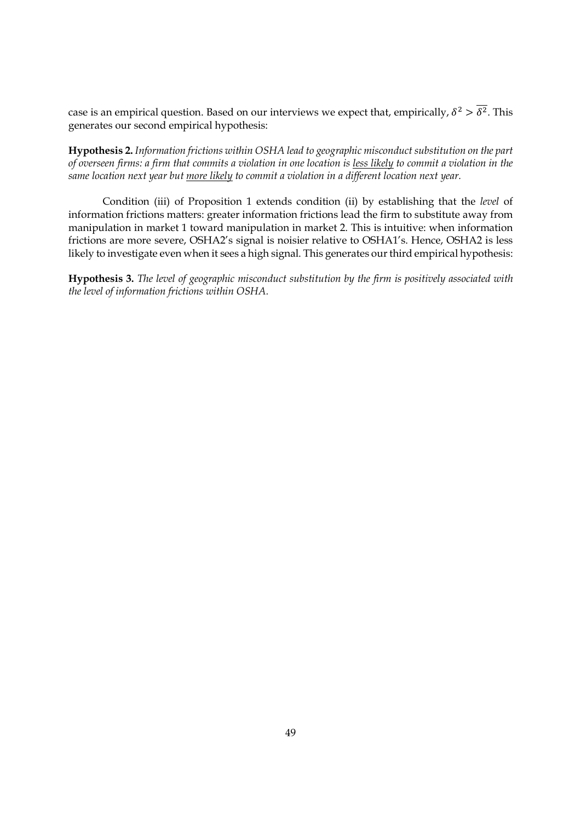case is an empirical question. Based on our interviews we expect that, empirically,  $\delta^2 > \overline{\delta^2}$ . This generates our second empirical hypothesis:

Hypothesis 2. Information frictions within OSHA lead to geographic misconduct substitution on the part of overseen firms: a firm that commits a violation in one location is less likely to commit a violation in the same location next year but more likely to commit a violation in a different location next year.

Condition (iii) of Proposition 1 extends condition (ii) by establishing that the level of information frictions matters: greater information frictions lead the firm to substitute away from manipulation in market 1 toward manipulation in market 2. This is intuitive: when information frictions are more severe, OSHA2's signal is noisier relative to OSHA1's. Hence, OSHA2 is less likely to investigate even when it sees a high signal. This generates our third empirical hypothesis:

Hypothesis 3. The level of geographic misconduct substitution by the firm is positively associated with the level of information frictions within OSHA.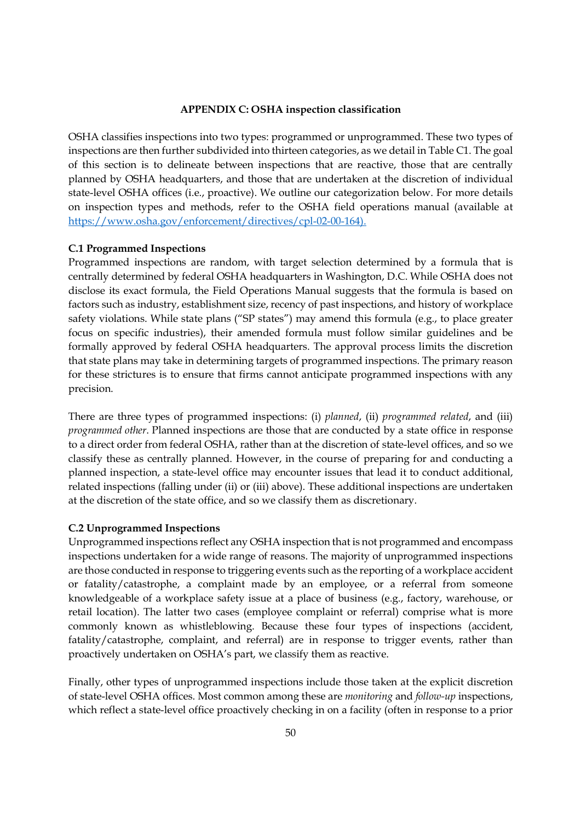## APPENDIX C: OSHA inspection classification

OSHA classifies inspections into two types: programmed or unprogrammed. These two types of inspections are then further subdivided into thirteen categories, as we detail in Table C1. The goal of this section is to delineate between inspections that are reactive, those that are centrally planned by OSHA headquarters, and those that are undertaken at the discretion of individual state-level OSHA offices (i.e., proactive). We outline our categorization below. For more details on inspection types and methods, refer to the OSHA field operations manual (available at https://www.osha.gov/enforcement/directives/cpl-02-00-164).

## C.1 Programmed Inspections

Programmed inspections are random, with target selection determined by a formula that is centrally determined by federal OSHA headquarters in Washington, D.C. While OSHA does not disclose its exact formula, the Field Operations Manual suggests that the formula is based on factors such as industry, establishment size, recency of past inspections, and history of workplace safety violations. While state plans ("SP states") may amend this formula (e.g., to place greater focus on specific industries), their amended formula must follow similar guidelines and be formally approved by federal OSHA headquarters. The approval process limits the discretion that state plans may take in determining targets of programmed inspections. The primary reason for these strictures is to ensure that firms cannot anticipate programmed inspections with any precision.

There are three types of programmed inspections: (i) planned, (ii) programmed related, and (iii) programmed other. Planned inspections are those that are conducted by a state office in response to a direct order from federal OSHA, rather than at the discretion of state-level offices, and so we classify these as centrally planned. However, in the course of preparing for and conducting a planned inspection, a state-level office may encounter issues that lead it to conduct additional, related inspections (falling under (ii) or (iii) above). These additional inspections are undertaken at the discretion of the state office, and so we classify them as discretionary.

## C.2 Unprogrammed Inspections

Unprogrammed inspections reflect any OSHA inspection that is not programmed and encompass inspections undertaken for a wide range of reasons. The majority of unprogrammed inspections are those conducted in response to triggering events such as the reporting of a workplace accident or fatality/catastrophe, a complaint made by an employee, or a referral from someone knowledgeable of a workplace safety issue at a place of business (e.g., factory, warehouse, or retail location). The latter two cases (employee complaint or referral) comprise what is more commonly known as whistleblowing. Because these four types of inspections (accident, fatality/catastrophe, complaint, and referral) are in response to trigger events, rather than proactively undertaken on OSHA's part, we classify them as reactive.

Finally, other types of unprogrammed inspections include those taken at the explicit discretion of state-level OSHA offices. Most common among these are monitoring and follow-up inspections, which reflect a state-level office proactively checking in on a facility (often in response to a prior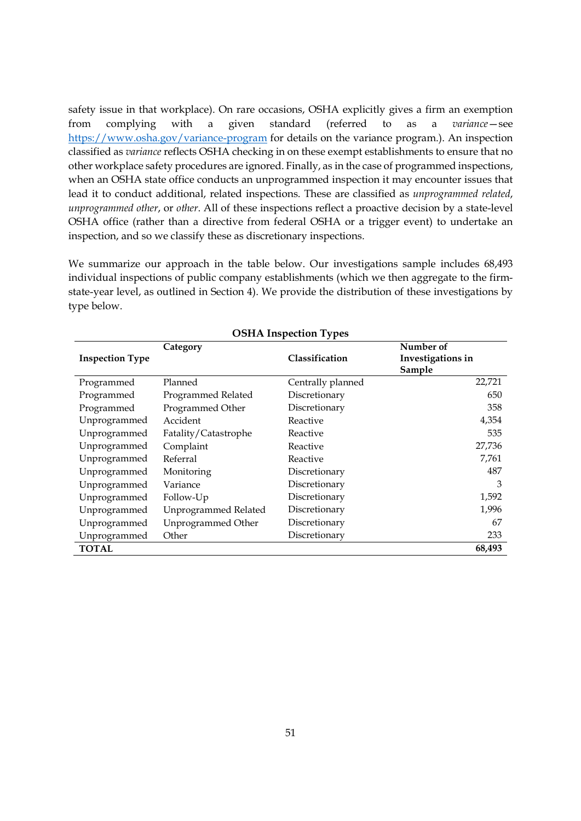safety issue in that workplace). On rare occasions, OSHA explicitly gives a firm an exemption from complying with a given standard (referred to as a variance—see https://www.osha.gov/variance-program for details on the variance program.). An inspection classified as variance reflects OSHA checking in on these exempt establishments to ensure that no other workplace safety procedures are ignored. Finally, as in the case of programmed inspections, when an OSHA state office conducts an unprogrammed inspection it may encounter issues that lead it to conduct additional, related inspections. These are classified as unprogrammed related, unprogrammed other, or other. All of these inspections reflect a proactive decision by a state-level OSHA office (rather than a directive from federal OSHA or a trigger event) to undertake an inspection, and so we classify these as discretionary inspections.

We summarize our approach in the table below. Our investigations sample includes 68,493 individual inspections of public company establishments (which we then aggregate to the firmstate-year level, as outlined in Section 4). We provide the distribution of these investigations by type below.

| OSHA HISPECHUIL LYPES  |                      |                       |                                          |  |  |  |
|------------------------|----------------------|-----------------------|------------------------------------------|--|--|--|
| <b>Inspection Type</b> | Category             | <b>Classification</b> | Number of<br>Investigations in<br>Sample |  |  |  |
| Programmed             | Planned              | Centrally planned     | 22,721                                   |  |  |  |
| Programmed             | Programmed Related   | Discretionary         | 650                                      |  |  |  |
| Programmed             | Programmed Other     | Discretionary         | 358                                      |  |  |  |
| Unprogrammed           | Accident             | Reactive              | 4,354                                    |  |  |  |
| Unprogrammed           | Fatality/Catastrophe | Reactive              | 535                                      |  |  |  |
| Unprogrammed           | Complaint            | Reactive              | 27,736                                   |  |  |  |
| Unprogrammed           | Referral             | Reactive              | 7,761                                    |  |  |  |
| Unprogrammed           | Monitoring           | Discretionary         | 487                                      |  |  |  |
| Unprogrammed           | Variance             | Discretionary         | 3                                        |  |  |  |
| Unprogrammed           | Follow-Up            | Discretionary         | 1,592                                    |  |  |  |
| Unprogrammed           | Unprogrammed Related | Discretionary         | 1,996                                    |  |  |  |
| Unprogrammed           | Unprogrammed Other   | Discretionary         | 67                                       |  |  |  |
| Unprogrammed           | Other                | Discretionary         | 233                                      |  |  |  |
| <b>TOTAL</b>           |                      |                       | 68,493                                   |  |  |  |

OSHA Inspection Types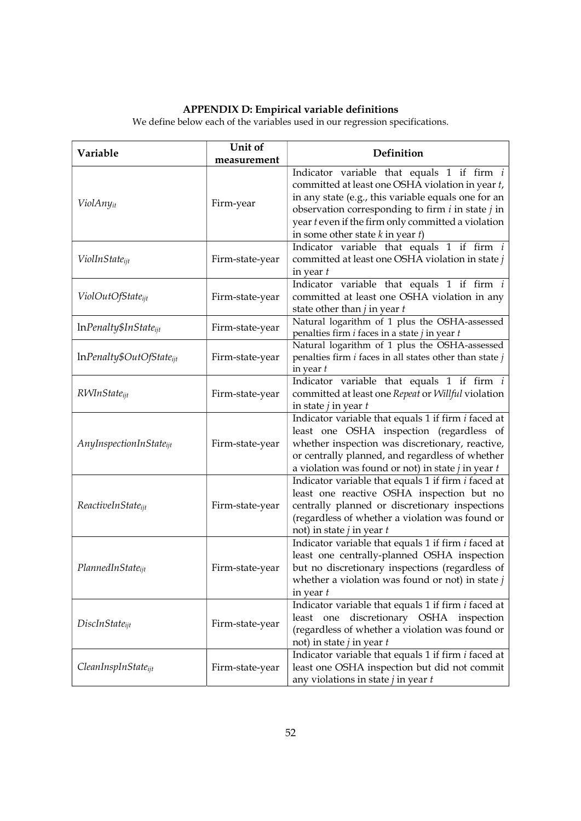## APPENDIX D: Empirical variable definitions

We define below each of the variables used in our regression specifications.

| Unit of                                 |                 |                                                                                                                                                                                                                                                                                                                   |
|-----------------------------------------|-----------------|-------------------------------------------------------------------------------------------------------------------------------------------------------------------------------------------------------------------------------------------------------------------------------------------------------------------|
| Variable                                | measurement     | <b>Definition</b>                                                                                                                                                                                                                                                                                                 |
| ViolAny <sub>it</sub>                   | Firm-year       | Indicator variable that equals $1$ if firm $i$<br>committed at least one OSHA violation in year t,<br>in any state (e.g., this variable equals one for an<br>observation corresponding to firm $i$ in state $j$ in<br>year t even if the firm only committed a violation<br>in some other state $k$ in year $t$ ) |
| ViolInState <sub>ijt</sub>              | Firm-state-year | Indicator variable that equals $1$ if firm $i$<br>committed at least one OSHA violation in state $j$<br>in year $t$                                                                                                                                                                                               |
| ViolOutOfState <sub>ijt</sub>           | Firm-state-year | Indicator variable that equals $1$ if firm $i$<br>committed at least one OSHA violation in any<br>state other than $j$ in year $t$                                                                                                                                                                                |
| lnPenalty\$InState <sub>ijt</sub>       | Firm-state-year | Natural logarithm of 1 plus the OSHA-assessed<br>penalties firm $i$ faces in a state $j$ in year $t$                                                                                                                                                                                                              |
| $lnPenalty$ \$OutOfState <sub>ijt</sub> | Firm-state-year | Natural logarithm of 1 plus the OSHA-assessed<br>penalties firm $i$ faces in all states other than state $j$<br>in year t                                                                                                                                                                                         |
| RWInState <sub>ijt</sub>                | Firm-state-year | Indicator variable that equals $1$ if firm $i$<br>committed at least one Repeat or Willful violation<br>in state $j$ in year $t$                                                                                                                                                                                  |
| $Any Inspection In State_{ijt}$         | Firm-state-year | Indicator variable that equals 1 if firm i faced at<br>least one OSHA inspection (regardless of<br>whether inspection was discretionary, reactive,<br>or centrally planned, and regardless of whether<br>a violation was found or not) in state $j$ in year $t$                                                   |
| ReactiveInState <sub>ijt</sub>          | Firm-state-year | Indicator variable that equals 1 if firm i faced at<br>least one reactive OSHA inspection but no<br>centrally planned or discretionary inspections<br>(regardless of whether a violation was found or<br>not) in state $j$ in year $t$                                                                            |
| PlannedInState <sub>ijt</sub>           | Firm-state-year | Indicator variable that equals 1 if firm <i>i</i> faced at<br>least one centrally-planned OSHA inspection<br>but no discretionary inspections (regardless of<br>whether a violation was found or not) in state $j$<br>in year $t$                                                                                 |
| $DisclnState_{ijt}$                     | Firm-state-year | Indicator variable that equals 1 if firm <i>i</i> faced at<br>discretionary OSHA inspection<br>least one<br>(regardless of whether a violation was found or<br>not) in state $j$ in year $t$                                                                                                                      |
| $CleanInsplnState_{ijt}$                | Firm-state-year | Indicator variable that equals 1 if firm <i>i</i> faced at<br>least one OSHA inspection but did not commit<br>any violations in state $j$ in year $t$                                                                                                                                                             |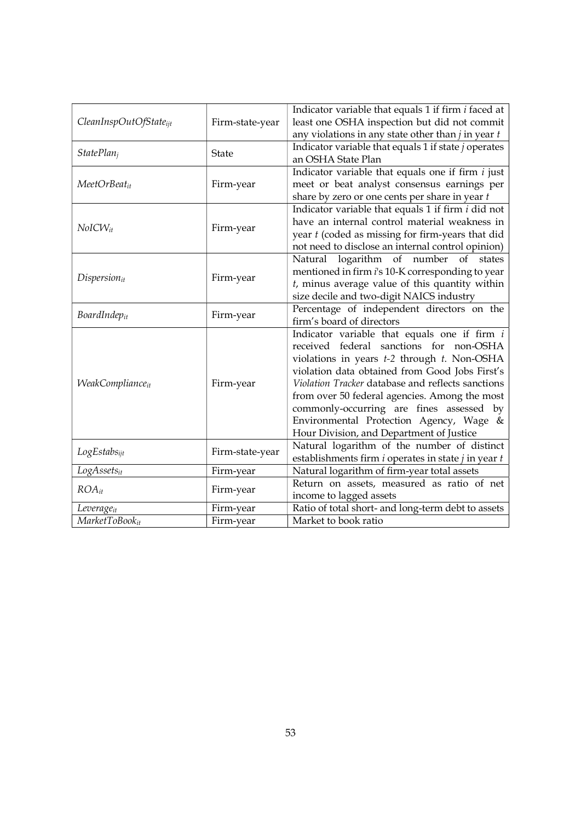| CleanInspOutOfState <sub>ijt</sub> | Firm-state-year | Indicator variable that equals 1 if firm <i>i</i> faced at<br>least one OSHA inspection but did not commit<br>any violations in any state other than $j$ in year $t$                                                                                                                                                                                                                                                                |
|------------------------------------|-----------------|-------------------------------------------------------------------------------------------------------------------------------------------------------------------------------------------------------------------------------------------------------------------------------------------------------------------------------------------------------------------------------------------------------------------------------------|
| StatePlan <sub>i</sub>             | State           | Indicator variable that equals $1$ if state $j$ operates<br>an OSHA State Plan                                                                                                                                                                                                                                                                                                                                                      |
| $MeetOrBeat_{it}$                  | Firm-year       | Indicator variable that equals one if firm $i$ just<br>meet or beat analyst consensus earnings per<br>share by zero or one cents per share in year t                                                                                                                                                                                                                                                                                |
| $NoICW_{it}$                       | Firm-year       | Indicator variable that equals 1 if firm <i>i</i> did not<br>have an internal control material weakness in<br>year t (coded as missing for firm-years that did<br>not need to disclose an internal control opinion)                                                                                                                                                                                                                 |
| $Disperson_{it}$                   | Firm-year       | Natural logarithm of number of<br>states<br>mentioned in firm i's 10-K corresponding to year<br>$t$ , minus average value of this quantity within<br>size decile and two-digit NAICS industry                                                                                                                                                                                                                                       |
| BoardIndepit                       | Firm-year       | Percentage of independent directors on the<br>firm's board of directors                                                                                                                                                                                                                                                                                                                                                             |
| WeakComplianceit                   | Firm-year       | Indicator variable that equals one if firm $i$<br>received federal sanctions for non-OSHA<br>violations in years t-2 through t. Non-OSHA<br>violation data obtained from Good Jobs First's<br>Violation Tracker database and reflects sanctions<br>from over 50 federal agencies. Among the most<br>commonly-occurring are fines assessed by<br>Environmental Protection Agency, Wage &<br>Hour Division, and Department of Justice |
| LogEstabsijt                       | Firm-state-year | Natural logarithm of the number of distinct<br>establishments firm $i$ operates in state $j$ in year $t$                                                                                                                                                                                                                                                                                                                            |
| $LogAssets_{it}$                   | Firm-year       | Natural logarithm of firm-year total assets                                                                                                                                                                                                                                                                                                                                                                                         |
| $ROA_{it}$                         | Firm-year       | Return on assets, measured as ratio of net<br>income to lagged assets                                                                                                                                                                                                                                                                                                                                                               |
| Leverageit                         | Firm-year       | Ratio of total short- and long-term debt to assets                                                                                                                                                                                                                                                                                                                                                                                  |
| MarketToBookit                     | Firm-year       | Market to book ratio                                                                                                                                                                                                                                                                                                                                                                                                                |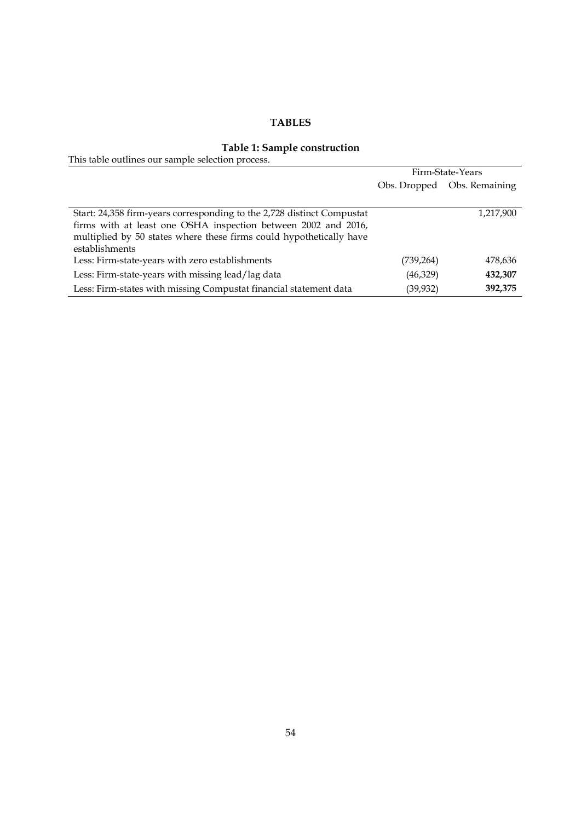## TABLES

## Table 1: Sample construction

This table outlines our sample selection process.

|                                                                        | Firm-State-Years |                             |  |
|------------------------------------------------------------------------|------------------|-----------------------------|--|
|                                                                        |                  | Obs. Dropped Obs. Remaining |  |
|                                                                        |                  |                             |  |
| Start: 24,358 firm-years corresponding to the 2,728 distinct Compustat |                  | 1,217,900                   |  |
| firms with at least one OSHA inspection between 2002 and 2016,         |                  |                             |  |
| multiplied by 50 states where these firms could hypothetically have    |                  |                             |  |
| establishments                                                         |                  |                             |  |
| Less: Firm-state-years with zero establishments                        | (739,264)        | 478,636                     |  |
| Less: Firm-state-years with missing lead/lag data                      | (46,329)         | 432,307                     |  |
| Less: Firm-states with missing Compustat financial statement data      | (39, 932)        | 392,375                     |  |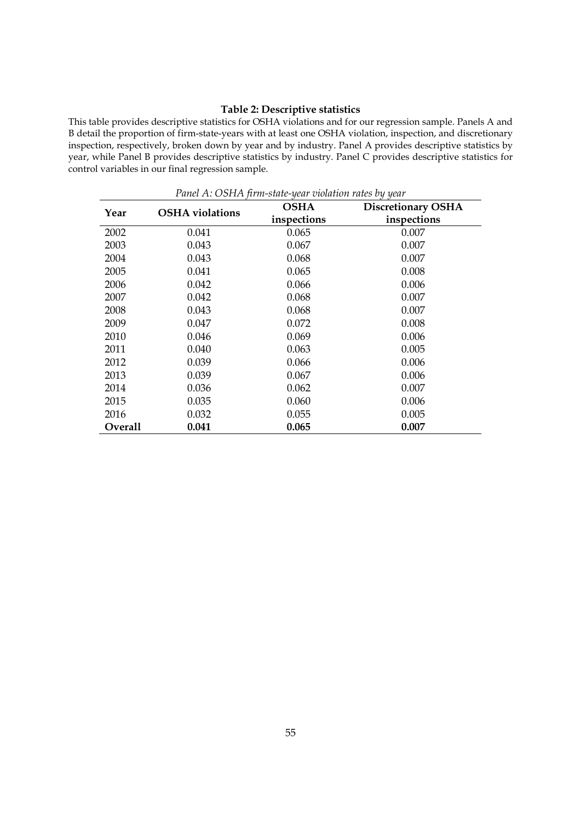## Table 2: Descriptive statistics

This table provides descriptive statistics for OSHA violations and for our regression sample. Panels A and B detail the proportion of firm-state-years with at least one OSHA violation, inspection, and discretionary inspection, respectively, broken down by year and by industry. Panel A provides descriptive statistics by year, while Panel B provides descriptive statistics by industry. Panel C provides descriptive statistics for control variables in our final regression sample.

|                |                        | <b>OSHA</b> | <b>Discretionary OSHA</b> |
|----------------|------------------------|-------------|---------------------------|
| Year           | <b>OSHA</b> violations | inspections | inspections               |
| 2002           | 0.041                  | 0.065       | 0.007                     |
| 2003           | 0.043                  | 0.067       | 0.007                     |
| 2004           | 0.043                  | 0.068       | 0.007                     |
| 2005           | 0.041                  | 0.065       | 0.008                     |
| 2006           | 0.042                  | 0.066       | 0.006                     |
| 2007           | 0.042                  | 0.068       | 0.007                     |
| 2008           | 0.043                  | 0.068       | 0.007                     |
| 2009           | 0.047                  | 0.072       | 0.008                     |
| 2010           | 0.046                  | 0.069       | 0.006                     |
| 2011           | 0.040                  | 0.063       | 0.005                     |
| 2012           | 0.039                  | 0.066       | 0.006                     |
| 2013           | 0.039                  | 0.067       | 0.006                     |
| 2014           | 0.036                  | 0.062       | 0.007                     |
| 2015           | 0.035                  | 0.060       | 0.006                     |
| 2016           | 0.032                  | 0.055       | 0.005                     |
| <b>Overall</b> | 0.041                  | 0.065       | 0.007                     |

Panel A: OSHA firm-state-year violation rates by year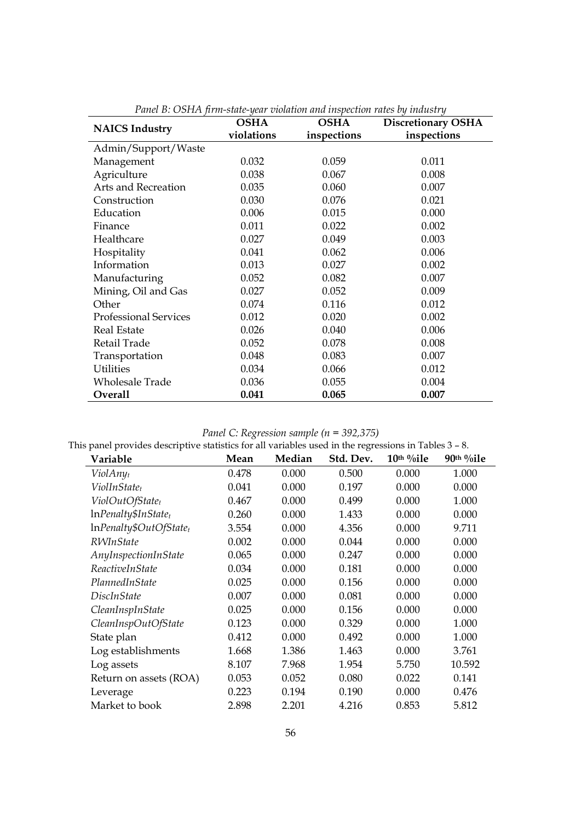| r anci D. Oorni firm saac year cioanion ana inspection rates og inamsiry | <b>OSHA</b> | <b>OSHA</b> | <b>Discretionary OSHA</b> |
|--------------------------------------------------------------------------|-------------|-------------|---------------------------|
| <b>NAICS Industry</b>                                                    | violations  | inspections | inspections               |
| Admin/Support/Waste                                                      |             |             |                           |
| Management                                                               | 0.032       | 0.059       | 0.011                     |
| Agriculture                                                              | 0.038       | 0.067       | 0.008                     |
| Arts and Recreation                                                      | 0.035       | 0.060       | 0.007                     |
| Construction                                                             | 0.030       | 0.076       | 0.021                     |
| Education                                                                | 0.006       | 0.015       | 0.000                     |
| Finance                                                                  | 0.011       | 0.022       | 0.002                     |
| Healthcare                                                               | 0.027       | 0.049       | 0.003                     |
| Hospitality                                                              | 0.041       | 0.062       | 0.006                     |
| Information                                                              | 0.013       | 0.027       | 0.002                     |
| Manufacturing                                                            | 0.052       | 0.082       | 0.007                     |
| Mining, Oil and Gas                                                      | 0.027       | 0.052       | 0.009                     |
| Other                                                                    | 0.074       | 0.116       | 0.012                     |
| <b>Professional Services</b>                                             | 0.012       | 0.020       | 0.002                     |
| <b>Real Estate</b>                                                       | 0.026       | 0.040       | 0.006                     |
| Retail Trade                                                             | 0.052       | 0.078       | 0.008                     |
| Transportation                                                           | 0.048       | 0.083       | 0.007                     |
| <b>Utilities</b>                                                         | 0.034       | 0.066       | 0.012                     |
| Wholesale Trade                                                          | 0.036       | 0.055       | 0.004                     |
| Overall                                                                  | 0.041       | 0.065       | 0.007                     |

Panel B: OSHA firm-state-year violation and inspection rates by industry

Panel C: Regression sample ( $n = 392,375$ )

| This panel provides descriptive statistics for all variables used in the regressions in Tables 3 – 8. |       |        |           |             |                        |  |
|-------------------------------------------------------------------------------------------------------|-------|--------|-----------|-------------|------------------------|--|
| Variable                                                                                              | Mean  | Median | Std. Dev. | $10th$ %ile | 90 <sup>th %</sup> ile |  |
| ViolAny <sub>t</sub>                                                                                  | 0.478 | 0.000  | 0.500     | 0.000       | 1.000                  |  |
| ViolInState <sub>t</sub>                                                                              | 0.041 | 0.000  | 0.197     | 0.000       | 0.000                  |  |
| ViolOutOfState <sub>t</sub>                                                                           | 0.467 | 0.000  | 0.499     | 0.000       | 1.000                  |  |
| $lnPenalty$InState_t$                                                                                 | 0.260 | 0.000  | 1.433     | 0.000       | 0.000                  |  |
| InPenalty\$OutOfStatet                                                                                | 3.554 | 0.000  | 4.356     | 0.000       | 9.711                  |  |
| <b>RWInState</b>                                                                                      | 0.002 | 0.000  | 0.044     | 0.000       | 0.000                  |  |
| AnyInspectionInState                                                                                  | 0.065 | 0.000  | 0.247     | 0.000       | 0.000                  |  |
| ReactiveInState                                                                                       | 0.034 | 0.000  | 0.181     | 0.000       | 0.000                  |  |
| PlannedInState                                                                                        | 0.025 | 0.000  | 0.156     | 0.000       | 0.000                  |  |
| <i>DiscInState</i>                                                                                    | 0.007 | 0.000  | 0.081     | 0.000       | 0.000                  |  |
| CleanInspInState                                                                                      | 0.025 | 0.000  | 0.156     | 0.000       | 0.000                  |  |
| CleanInspOutOfState                                                                                   | 0.123 | 0.000  | 0.329     | 0.000       | 1.000                  |  |
| State plan                                                                                            | 0.412 | 0.000  | 0.492     | 0.000       | 1.000                  |  |
| Log establishments                                                                                    | 1.668 | 1.386  | 1.463     | 0.000       | 3.761                  |  |
| Log assets                                                                                            | 8.107 | 7.968  | 1.954     | 5.750       | 10.592                 |  |
| Return on assets (ROA)                                                                                | 0.053 | 0.052  | 0.080     | 0.022       | 0.141                  |  |
| Leverage                                                                                              | 0.223 | 0.194  | 0.190     | 0.000       | 0.476                  |  |
| Market to book                                                                                        | 2.898 | 2.201  | 4.216     | 0.853       | 5.812                  |  |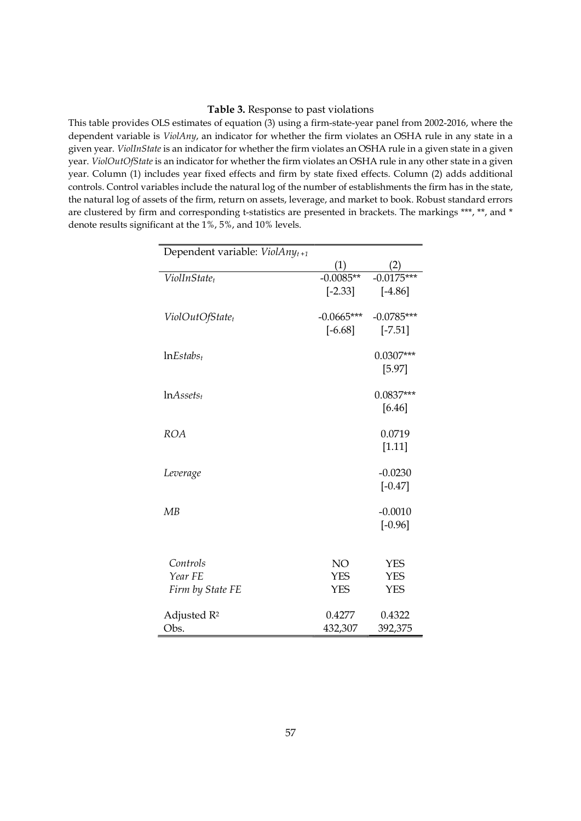## Table 3. Response to past violations

This table provides OLS estimates of equation (3) using a firm-state-year panel from 2002-2016, where the dependent variable is ViolAny, an indicator for whether the firm violates an OSHA rule in any state in a given year. ViolInState is an indicator for whether the firm violates an OSHA rule in a given state in a given year. ViolOutOfState is an indicator for whether the firm violates an OSHA rule in any other state in a given year. Column (1) includes year fixed effects and firm by state fixed effects. Column (2) adds additional controls. Control variables include the natural log of the number of establishments the firm has in the state, the natural log of assets of the firm, return on assets, leverage, and market to book. Robust standard errors are clustered by firm and corresponding t-statistics are presented in brackets. The markings \*\*\*, \*\*, and \* denote results significant at the 1%, 5%, and 10% levels.

| Dependent variable: $ViolAny_{t+1}$ |              |              |
|-------------------------------------|--------------|--------------|
|                                     | (1)          | (2)          |
| ViolInState <sub>t</sub>            | $-0.0085**$  | $-0.0175***$ |
|                                     | $[-2.33]$    | $[-4.86]$    |
|                                     |              |              |
| ViolOutOfState <sub>t</sub>         | $-0.0665***$ | $-0.0785***$ |
|                                     | $[-6.68]$    | $[-7.51]$    |
|                                     |              |              |
| $lnEstabs_t$                        |              | $0.0307***$  |
|                                     |              | [5.97]       |
|                                     |              |              |
| InAssets <sub>t</sub>               |              | $0.0837***$  |
|                                     |              | $[6.46]$     |
|                                     |              |              |
| <b>ROA</b>                          |              | 0.0719       |
|                                     |              | $[1.11]$     |
|                                     |              |              |
| Leverage                            |              | $-0.0230$    |
|                                     |              | $[-0.47]$    |
|                                     |              |              |
| MB                                  |              | $-0.0010$    |
|                                     |              | $[-0.96]$    |
|                                     |              |              |
|                                     |              |              |
| Controls                            | NO           | YES          |
| Year FE                             | <b>YES</b>   | <b>YES</b>   |
| Firm by State FE                    | <b>YES</b>   | <b>YES</b>   |
|                                     |              |              |
| Adjusted R <sup>2</sup>             | 0.4277       | 0.4322       |
| Obs.                                | 432,307      | 392,375      |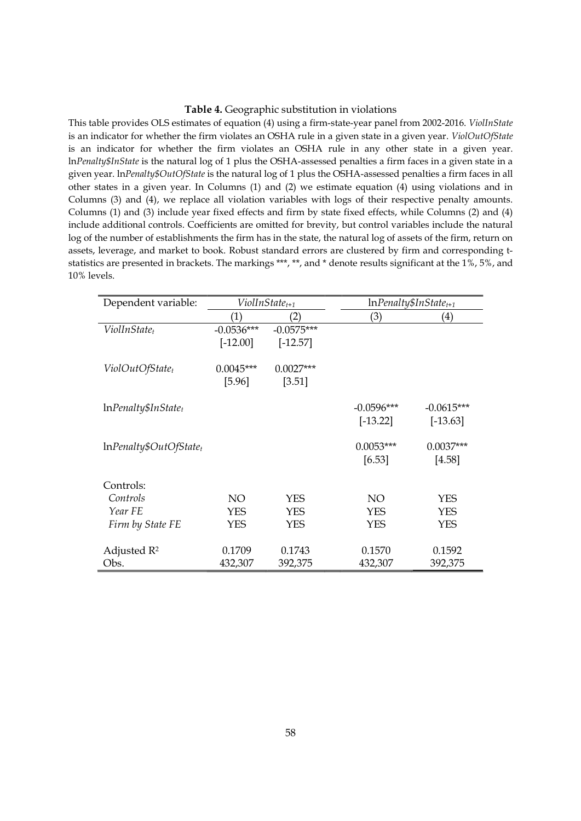## Table 4. Geographic substitution in violations

This table provides OLS estimates of equation (4) using a firm-state-year panel from 2002-2016. ViolInState is an indicator for whether the firm violates an OSHA rule in a given state in a given year. ViolOutOfState is an indicator for whether the firm violates an OSHA rule in any other state in a given year. lnPenalty\$InState is the natural log of 1 plus the OSHA-assessed penalties a firm faces in a given state in a given year. lnPenalty\$OutOfState is the natural log of 1 plus the OSHA-assessed penalties a firm faces in all other states in a given year. In Columns (1) and (2) we estimate equation (4) using violations and in Columns (3) and (4), we replace all violation variables with logs of their respective penalty amounts. Columns (1) and (3) include year fixed effects and firm by state fixed effects, while Columns (2) and (4) include additional controls. Coefficients are omitted for brevity, but control variables include the natural log of the number of establishments the firm has in the state, the natural log of assets of the firm, return on assets, leverage, and market to book. Robust standard errors are clustered by firm and corresponding tstatistics are presented in brackets. The markings \*\*\*, \*\*, and \* denote results significant at the 1%, 5%, and 10% levels.

| Dependent variable:         |                   | ViolInState <sub>t+1</sub> | $lnPenalty$InStatet+1$ |                   |
|-----------------------------|-------------------|----------------------------|------------------------|-------------------|
|                             | $\left( 1\right)$ | 2)                         | (3)                    | $\left( 4\right)$ |
| ViolInState <sub>t</sub>    | $-0.0536***$      | $-0.0575***$               |                        |                   |
|                             | $[-12.00]$        | $[-12.57]$                 |                        |                   |
| ViolOutOfState <sub>t</sub> | $0.0045***$       | $0.0027***$                |                        |                   |
|                             | [5.96]            | [3.51]                     |                        |                   |
| $lnPenalty$InState_t$       |                   |                            | $-0.0596***$           | $-0.0615***$      |
|                             |                   |                            | $[-13.22]$             | $[-13.63]$        |
| $lnPenalty$ \$OutOfStatet   |                   |                            | $0.0053***$            | $0.0037***$       |
|                             |                   |                            | [6.53]                 | [4.58]            |
| Controls:                   |                   |                            |                        |                   |
| Controls                    | NO                | <b>YES</b>                 | NO.                    | <b>YES</b>        |
| Year FE                     | <b>YES</b>        | <b>YES</b>                 | <b>YES</b>             | <b>YES</b>        |
| Firm by State FE            | <b>YES</b>        | <b>YES</b>                 | <b>YES</b>             | <b>YES</b>        |
| Adjusted R <sup>2</sup>     | 0.1709            | 0.1743                     | 0.1570                 | 0.1592            |
| Obs.                        | 432,307           | 392,375                    | 432,307                | 392,375           |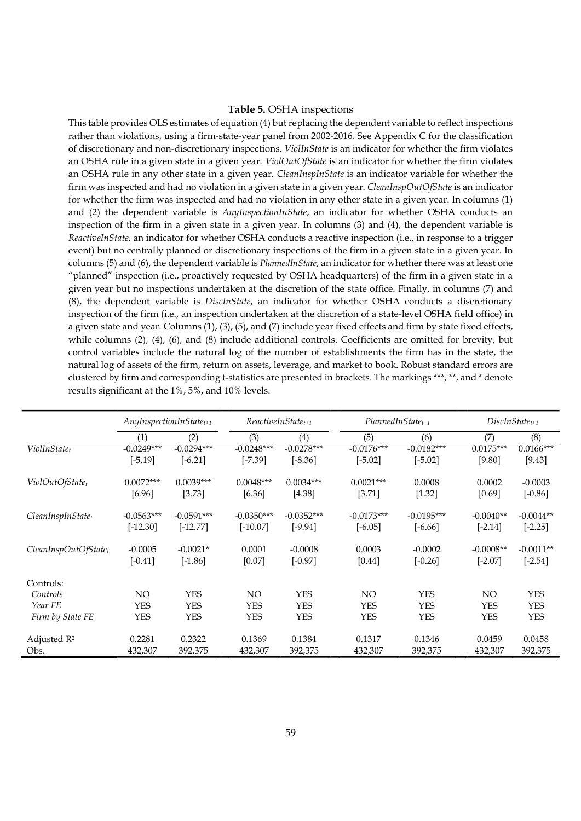#### Table 5. OSHA inspections

This table provides OLS estimates of equation (4) but replacing the dependent variable to reflect inspections rather than violations, using a firm-state-year panel from 2002-2016. See Appendix C for the classification of discretionary and non-discretionary inspections. ViolInState is an indicator for whether the firm violates an OSHA rule in a given state in a given year. *ViolOutOfState* is an indicator for whether the firm violates an OSHA rule in any other state in a given year. CleanInspInState is an indicator variable for whether the firm was inspected and had no violation in a given state in a given year. CleanInspOutOfState is an indicator for whether the firm was inspected and had no violation in any other state in a given year. In columns (1) and (2) the dependent variable is *AnyInspectionInState*, an indicator for whether OSHA conducts an inspection of the firm in a given state in a given year. In columns (3) and (4), the dependent variable is ReactiveInState, an indicator for whether OSHA conducts a reactive inspection (i.e., in response to a trigger event) but no centrally planned or discretionary inspections of the firm in a given state in a given year. In columns (5) and (6), the dependent variable is *PlannedInState*, an indicator for whether there was at least one "planned" inspection (i.e., proactively requested by OSHA headquarters) of the firm in a given state in a given year but no inspections undertaken at the discretion of the state office. Finally, in columns (7) and (8), the dependent variable is DiscInState, an indicator for whether OSHA conducts a discretionary inspection of the firm (i.e., an inspection undertaken at the discretion of a state-level OSHA field office) in a given state and year. Columns (1), (3), (5), and (7) include year fixed effects and firm by state fixed effects, while columns (2), (4), (6), and (8) include additional controls. Coefficients are omitted for brevity, but control variables include the natural log of the number of establishments the firm has in the state, the natural log of assets of the firm, return on assets, leverage, and market to book. Robust standard errors are clustered by firm and corresponding t-statistics are presented in brackets. The markings \*\*\*, \*\*, and \* denote results significant at the 1%, 5%, and 10% levels.

|                             | $Any InspectionInState_{t+1}$ |              | $Reactive In State_{t+1}$ |                   |              | $Planned InState_{t+1}$ |             | $DischState_{t+1}$ |  |
|-----------------------------|-------------------------------|--------------|---------------------------|-------------------|--------------|-------------------------|-------------|--------------------|--|
|                             | (1)                           | (2)          | (3)                       | $\left( 4\right)$ | (5)          | (6)                     | (7)         | (8)                |  |
| ViolInState <sub>t</sub>    | $-0.0249***$                  | $-0.0294***$ | $-0.0248***$              | $-0.0278***$      | $-0.0176***$ | $-0.0182***$            | $0.0175***$ | $0.0166***$        |  |
|                             | $[-5.19]$                     | $[-6.21]$    | $[-7.39]$                 | $[-8.36]$         | $[-5.02]$    | $[-5.02]$               | [9.80]      | [9.43]             |  |
| ViolOutOfState <sub>t</sub> | $0.0072***$                   | $0.0039***$  | $0.0048***$               | $0.0034***$       | $0.0021***$  | 0.0008                  | 0.0002      | $-0.0003$          |  |
|                             | [6.96]                        | [3.73]       | [6.36]                    | [4.38]            | [3.71]       | [1.32]                  | $[0.69]$    | $[-0.86]$          |  |
| $CleanInsplnState_t$        | $-0.0563***$                  | $-0.0591***$ | $-0.0350***$              | $-0.0352***$      | $-0.0173***$ | $-0.0195***$            | $-0.0040**$ | $-0.0044**$        |  |
|                             | $[-12.30]$                    | $[-12.77]$   | $[-10.07]$                | $[-9.94]$         | $[-6.05]$    | $[-6.66]$               | $[-2.14]$   | $[-2.25]$          |  |
| $CleanInspOutOfState_t$     | $-0.0005$                     | $-0.0021*$   | 0.0001                    | $-0.0008$         | 0.0003       | $-0.0002$               | $-0.0008**$ | $-0.0011**$        |  |
|                             | $[-0.41]$                     | $[-1.86]$    | $[0.07]$                  | $[-0.97]$         | $[0.44]$     | $[-0.26]$               | $[-2.07]$   | $[-2.54]$          |  |
| Controls:                   |                               |              |                           |                   |              |                         |             |                    |  |
| Controls                    | NO.                           | <b>YES</b>   | NO.                       | <b>YES</b>        | NO.          | <b>YES</b>              | NO.         | <b>YES</b>         |  |
| Year FE                     | <b>YES</b>                    | <b>YES</b>   | <b>YES</b>                | <b>YES</b>        | <b>YES</b>   | <b>YES</b>              | <b>YES</b>  | <b>YES</b>         |  |
| Firm by State FE            | <b>YES</b>                    | YES          | <b>YES</b>                | <b>YES</b>        | YES          | YES                     | <b>YES</b>  | YES                |  |
| Adjusted $\mathbb{R}^2$     | 0.2281                        | 0.2322       | 0.1369                    | 0.1384            | 0.1317       | 0.1346                  | 0.0459      | 0.0458             |  |
| Obs.                        | 432,307                       | 392,375      | 432,307                   | 392,375           | 432,307      | 392,375                 | 432,307     | 392,375            |  |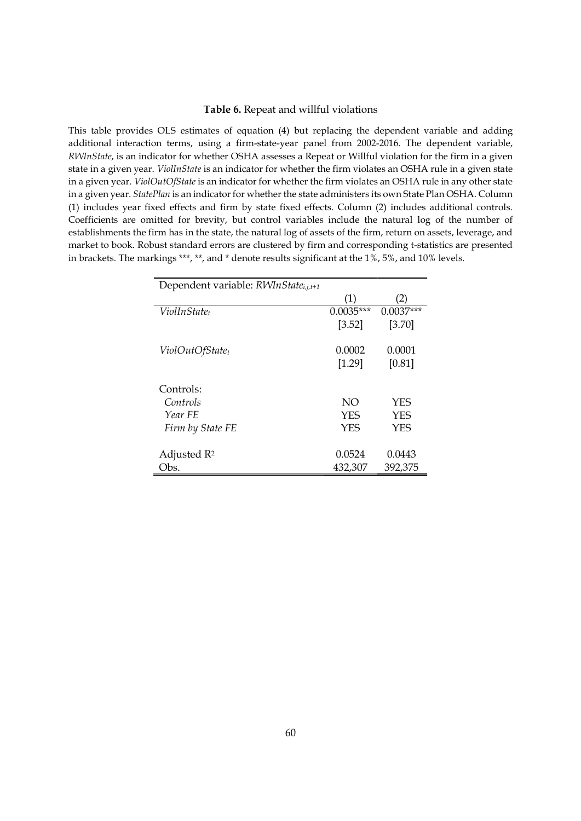## Table 6. Repeat and willful violations

This table provides OLS estimates of equation (4) but replacing the dependent variable and adding additional interaction terms, using a firm-state-year panel from 2002-2016. The dependent variable, RWInState, is an indicator for whether OSHA assesses a Repeat or Willful violation for the firm in a given state in a given year. ViolInState is an indicator for whether the firm violates an OSHA rule in a given state in a given year. ViolOutOfState is an indicator for whether the firm violates an OSHA rule in any other state in a given year. StatePlan is an indicator for whether the state administers its own State Plan OSHA. Column (1) includes year fixed effects and firm by state fixed effects. Column (2) includes additional controls. Coefficients are omitted for brevity, but control variables include the natural log of the number of establishments the firm has in the state, the natural log of assets of the firm, return on assets, leverage, and market to book. Robust standard errors are clustered by firm and corresponding t-statistics are presented in brackets. The markings \*\*\*, \*\*, and \* denote results significant at the 1%, 5%, and 10% levels.

| Dependent variable: RWInState <sub>i,i,t+1</sub> |                   |             |
|--------------------------------------------------|-------------------|-------------|
|                                                  | $\left( 1\right)$ |             |
| ViolInState <sub>t</sub>                         | $0.0035***$       | $0.0037***$ |
|                                                  | [3.52]            | [3.70]      |
| ViolOutOfState <sub>t</sub>                      | 0.0002            | 0.0001      |
|                                                  | [1.29]            | [0.81]      |
| Controls:                                        |                   |             |
| Controls                                         | NO                | <b>YES</b>  |
| Year FE                                          | <b>YES</b>        | <b>YES</b>  |
| Firm by State FE                                 | <b>YES</b>        | YES         |
| Adjusted $R^2$                                   | 0.0524            | 0.0443      |
| Obs.                                             | 432,307           | 392,375     |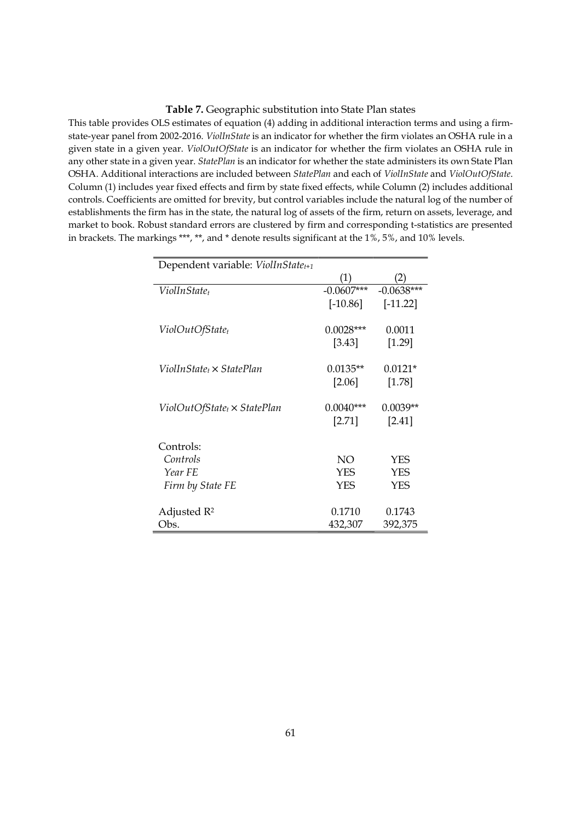## Table 7. Geographic substitution into State Plan states

This table provides OLS estimates of equation (4) adding in additional interaction terms and using a firmstate-year panel from 2002-2016. ViolInState is an indicator for whether the firm violates an OSHA rule in a given state in a given year. ViolOutOfState is an indicator for whether the firm violates an OSHA rule in any other state in a given year. StatePlan is an indicator for whether the state administers its own State Plan OSHA. Additional interactions are included between StatePlan and each of ViolInState and ViolOutOfState. Column (1) includes year fixed effects and firm by state fixed effects, while Column (2) includes additional controls. Coefficients are omitted for brevity, but control variables include the natural log of the number of establishments the firm has in the state, the natural log of assets of the firm, return on assets, leverage, and market to book. Robust standard errors are clustered by firm and corresponding t-statistics are presented in brackets. The markings \*\*\*, \*\*, and \* denote results significant at the 1%, 5%, and 10% levels.

| Dependent variable: ViolInState <sub>t+1</sub> |              |              |
|------------------------------------------------|--------------|--------------|
|                                                |              |              |
| ViolInState <sub>t</sub>                       | $-0.0607***$ | $-0.0638***$ |
|                                                | $[-10.86]$   | $[-11.22]$   |
|                                                |              |              |
| ViolOutOfState <sub>t</sub>                    | $0.0028***$  | 0.0011       |
|                                                | [3.43]       | [1.29]       |
|                                                |              |              |
| ViolInState <sub>t</sub> × StatePlan           | $0.0135**$   | $0.0121*$    |
|                                                | $[2.06]$     | [1.78]       |
|                                                |              |              |
| $ViolOutOfState_t \times StatePlan$            | $0.0040***$  | $0.0039**$   |
|                                                | $[2.71]$     | $[2.41]$     |
|                                                |              |              |
| Controls:                                      |              |              |
| Controls                                       | NO           | <b>YES</b>   |
| Year FE                                        | <b>YES</b>   | <b>YES</b>   |
| Firm by State FE                               | <b>YES</b>   | <b>YES</b>   |
|                                                |              |              |
| Adjusted $R^2$                                 | 0.1710       | 0.1743       |
| Obs.                                           | 432,307      | 392,375      |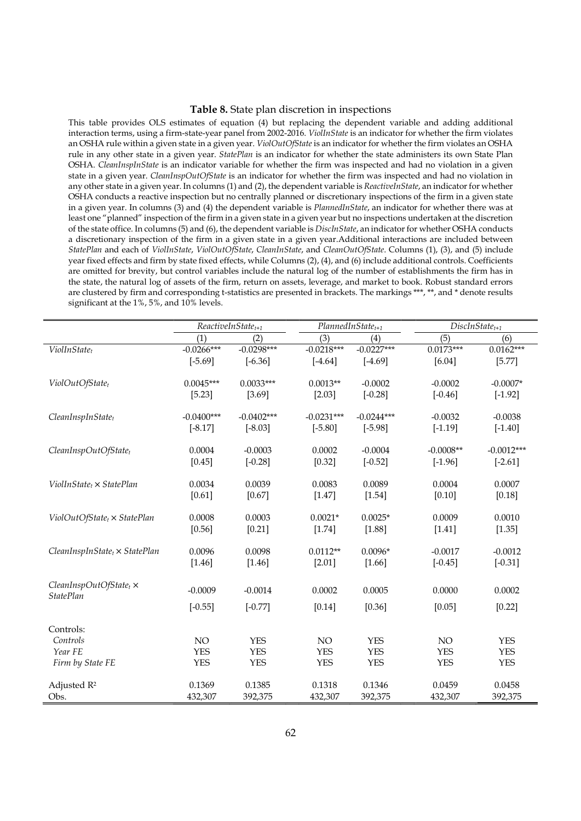### Table 8. State plan discretion in inspections

This table provides OLS estimates of equation (4) but replacing the dependent variable and adding additional interaction terms, using a firm-state-year panel from 2002-2016. ViolInState is an indicator for whether the firm violates an OSHA rule within a given state in a given year. ViolOutOfState is an indicator for whether the firm violates an OSHA rule in any other state in a given year. StatePlan is an indicator for whether the state administers its own State Plan OSHA. CleanInspInState is an indicator variable for whether the firm was inspected and had no violation in a given state in a given year. CleanInspOutOfState is an indicator for whether the firm was inspected and had no violation in any other state in a given year. In columns (1) and (2), the dependent variable is ReactiveInState, an indicator for whether OSHA conducts a reactive inspection but no centrally planned or discretionary inspections of the firm in a given state in a given year. In columns (3) and (4) the dependent variable is *PlannedInState*, an indicator for whether there was at least one "planned" inspection of the firm in a given state in a given year but no inspections undertaken at the discretion of the state office. In columns (5) and (6), the dependent variable is DiscInState, an indicator for whether OSHA conducts a discretionary inspection of the firm in a given state in a given year.Additional interactions are included between StatePlan and each of ViolInState, ViolOutOfState, CleanInState, and CleanOutOfState. Columns (1), (3), and (5) include year fixed effects and firm by state fixed effects, while Columns (2), (4), and (6) include additional controls. Coefficients are omitted for brevity, but control variables include the natural log of the number of establishments the firm has in the state, the natural log of assets of the firm, return on assets, leverage, and market to book. Robust standard errors are clustered by firm and corresponding t-statistics are presented in brackets. The markings \*\*\*, \*\*, and \* denote results significant at the 1%, 5%, and 10% levels.

|                                                    | $ReactiveInState_{t+1}$ |              | $Planned InState_{t+1}$ |              |             | $DisclnState_{t+1}$ |  |
|----------------------------------------------------|-------------------------|--------------|-------------------------|--------------|-------------|---------------------|--|
|                                                    | (1)                     | (2)          | (3)                     | (4)          | (5)         | (6)                 |  |
| ViolInState <sub>t</sub>                           | $-0.0266***$            | $-0.0298***$ | $-0.02\overline{18***}$ | $-0.0227***$ | $0.0173***$ | $0.0162***$         |  |
|                                                    | $[-5.69]$               | $[-6.36]$    | $[-4.64]$               | $[-4.69]$    | [6.04]      | [5.77]              |  |
|                                                    |                         |              |                         |              |             |                     |  |
| ViolOutOfStatet                                    | $0.0045***$             | $0.0033***$  | $0.0013**$              | $-0.0002$    | $-0.0002$   | $-0.0007*$          |  |
|                                                    | [5.23]                  | [3.69]       | [2.03]                  | $[-0.28]$    | $[-0.46]$   | $[-1.92]$           |  |
| $CleanInsplnState_t$                               | $-0.0400***$            | $-0.0402***$ | $-0.0231***$            | $-0.0244***$ | $-0.0032$   | $-0.0038$           |  |
|                                                    | $[-8.17]$               | $[-8.03]$    | $[-5.80]$               | $[-5.98]$    | $[-1.19]$   | $[-1.40]$           |  |
|                                                    |                         |              |                         |              |             |                     |  |
| CleanInspOutOfStatet                               | 0.0004                  | $-0.0003$    | 0.0002                  | $-0.0004$    | $-0.0008**$ | $-0.0012***$        |  |
|                                                    | [0.45]                  | $[-0.28]$    | [0.32]                  | $[-0.52]$    | $[-1.96]$   | $[-2.61]$           |  |
| $ViollnState_t \times StatePlan$                   | 0.0034                  | 0.0039       | 0.0083                  | 0.0089       | 0.0004      | 0.0007              |  |
|                                                    | [0.61]                  | [0.67]       | [1.47]                  | [1.54]       | [0.10]      | [0.18]              |  |
|                                                    |                         |              |                         |              |             |                     |  |
| $ViolOutOfState_t \times StatePlan$                | 0.0008                  | 0.0003       | $0.0021*$               | $0.0025*$    | 0.0009      | 0.0010              |  |
|                                                    | [0.56]                  | [0.21]       | [1.74]                  | [1.88]       | [1.41]      | [1.35]              |  |
|                                                    |                         |              |                         |              |             |                     |  |
| $CleanInsplnState_t \times StatePlan$              | 0.0096                  | 0.0098       | $0.0112**$              | $0.0096*$    | $-0.0017$   | $-0.0012$           |  |
|                                                    | $[1.46]$                | [1.46]       | $[2.01]$                | [1.66]       | $[-0.45]$   | $[-0.31]$           |  |
|                                                    |                         |              |                         |              |             |                     |  |
| $CleanInspOutOfState_t \times$<br><b>StatePlan</b> | $-0.0009$               | $-0.0014$    | 0.0002                  | 0.0005       | 0.0000      | 0.0002              |  |
|                                                    | $[-0.55]$               | $[-0.77]$    | $[0.14]$                | [0.36]       | [0.05]      | [0.22]              |  |
|                                                    |                         |              |                         |              |             |                     |  |
| Controls:                                          | NO                      | <b>YES</b>   | NO                      | <b>YES</b>   | NO          | <b>YES</b>          |  |
| Controls<br>Year FE                                | <b>YES</b>              | <b>YES</b>   | <b>YES</b>              | <b>YES</b>   | <b>YES</b>  | <b>YES</b>          |  |
| Firm by State FE                                   | <b>YES</b>              | <b>YES</b>   | <b>YES</b>              | <b>YES</b>   | <b>YES</b>  | <b>YES</b>          |  |
|                                                    |                         |              |                         |              |             |                     |  |
| Adjusted R <sup>2</sup>                            | 0.1369                  | 0.1385       | 0.1318                  | 0.1346       | 0.0459      | 0.0458              |  |
| Obs.                                               | 432,307                 | 392,375      | 432,307                 | 392,375      | 432,307     | 392,375             |  |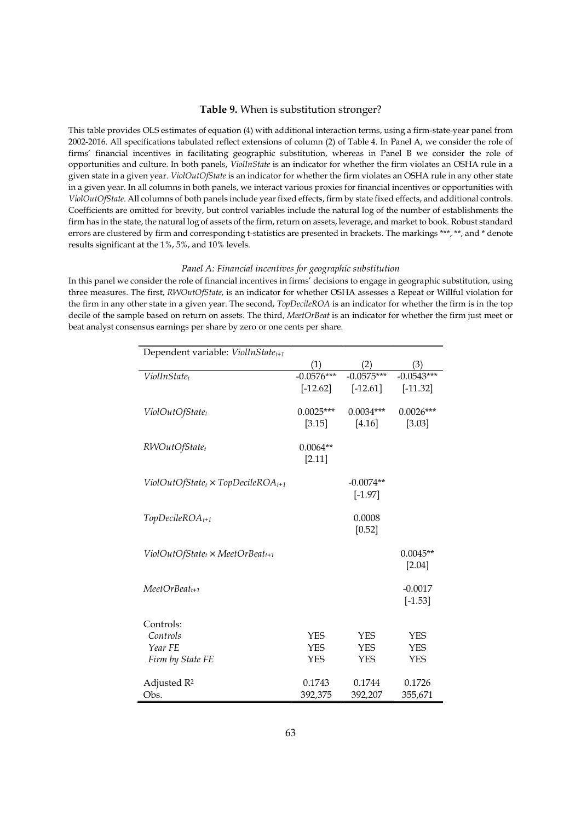## Table 9. When is substitution stronger?

This table provides OLS estimates of equation (4) with additional interaction terms, using a firm-state-year panel from 2002-2016. All specifications tabulated reflect extensions of column (2) of Table 4. In Panel A, we consider the role of firms' financial incentives in facilitating geographic substitution, whereas in Panel B we consider the role of opportunities and culture. In both panels, ViolInState is an indicator for whether the firm violates an OSHA rule in a given state in a given year. ViolOutOfState is an indicator for whether the firm violates an OSHA rule in any other state in a given year. In all columns in both panels, we interact various proxies for financial incentives or opportunities with ViolOutOfState. All columns of both panels include year fixed effects, firm by state fixed effects, and additional controls. Coefficients are omitted for brevity, but control variables include the natural log of the number of establishments the firm has in the state, the natural log of assets of the firm, return on assets, leverage, and market to book. Robust standard errors are clustered by firm and corresponding t-statistics are presented in brackets. The markings \*\*\*, \*\*, and \* denote results significant at the 1%, 5%, and 10% levels.

### Panel A: Financial incentives for geographic substitution

In this panel we consider the role of financial incentives in firms' decisions to engage in geographic substitution, using three measures. The first, RWOutOfState, is an indicator for whether OSHA assesses a Repeat or Willful violation for the firm in any other state in a given year. The second, TopDecileROA is an indicator for whether the firm is in the top decile of the sample based on return on assets. The third, MeetOrBeat is an indicator for whether the firm just meet or beat analyst consensus earnings per share by zero or one cents per share.

| Dependent variable: ViolInState <sub>t+1</sub> |                   |              |              |
|------------------------------------------------|-------------------|--------------|--------------|
|                                                | $\left( 1\right)$ |              | (3)          |
| ViolInState <sub>t</sub>                       | $-0.0576***$      | $-0.0575***$ | $-0.0543***$ |
|                                                | $[-12.62]$        | $[-12.61]$   | $[-11.32]$   |
|                                                |                   |              |              |
| ViolOutOfState <sub>t</sub>                    | $0.0025***$       | $0.0034***$  | $0.0026***$  |
|                                                | [3.15]            | $[4.16]$     | [3.03]       |
|                                                |                   |              |              |
| $RWOutOfState_t$                               | $0.0064**$        |              |              |
|                                                | [2.11]            |              |              |
|                                                |                   |              |              |
| $ViolOutOfState_t \times TopDecileROA_{t+1}$   |                   | $-0.0074**$  |              |
|                                                |                   | $[-1.97]$    |              |
|                                                |                   |              |              |
| $TopDecileROAt+1$                              |                   | 0.0008       |              |
|                                                |                   | [0.52]       |              |
|                                                |                   |              |              |
| $ViolOutOfState_t \times MeetOrBeat_{t+1}$     |                   |              | $0.0045**$   |
|                                                |                   |              | [2.04]       |
|                                                |                   |              |              |
| $MeetOrBeat_{t+1}$                             |                   |              | $-0.0017$    |
|                                                |                   |              | $[-1.53]$    |
|                                                |                   |              |              |
| Controls:                                      |                   |              |              |
| Controls                                       | <b>YES</b>        | <b>YES</b>   | <b>YES</b>   |
| Year FE                                        | <b>YES</b>        | <b>YES</b>   | <b>YES</b>   |
| Firm by State FE                               | <b>YES</b>        | <b>YES</b>   | <b>YES</b>   |
|                                                |                   |              |              |
| Adjusted R <sup>2</sup>                        | 0.1743            | 0.1744       | 0.1726       |
| Obs.                                           | 392,375           | 392,207      | 355,671      |